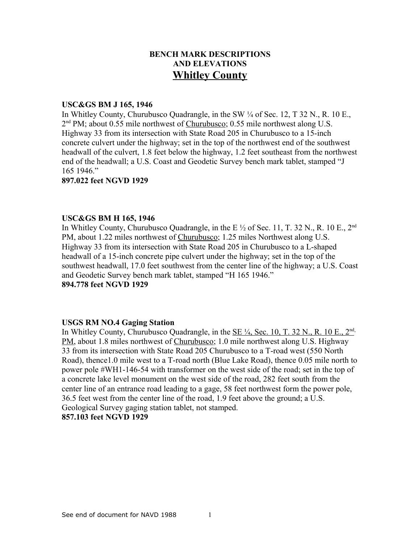# **BENCH MARK DESCRIPTIONS AND ELEVATIONS Whitley County**

#### **USC&GS BM J 165, 1946**

In Whitley County, Churubusco Quadrangle, in the SW ¼ of Sec. 12, T 32 N., R. 10 E., 2<sup>nd</sup> PM; about 0.55 mile northwest of Churubusco; 0.55 mile northwest along U.S. Highway 33 from its intersection with State Road 205 in Churubusco to a 15-inch concrete culvert under the highway; set in the top of the northwest end of the southwest headwall of the culvert, 1.8 feet below the highway, 1.2 feet southeast from the northwest end of the headwall; a U.S. Coast and Geodetic Survey bench mark tablet, stamped "J 165 1946."

## **897.022 feet NGVD 1929**

#### **USC&GS BM H 165, 1946**

In Whitley County, Churubusco Quadrangle, in the E  $\frac{1}{2}$  of Sec. 11, T. 32 N., R. 10 E., 2<sup>nd</sup> PM, about 1.22 miles northwest of Churubusco; 1.25 miles Northwest along U.S. Highway 33 from its intersection with State Road 205 in Churubusco to a L-shaped headwall of a 15-inch concrete pipe culvert under the highway; set in the top of the southwest headwall, 17.0 feet southwest from the center line of the highway; a U.S. Coast and Geodetic Survey bench mark tablet, stamped "H 165 1946." **894.778 feet NGVD 1929**

## **USGS RM NO.4 Gaging Station**

In Whitley County, Churubusco Quadrangle, in the <u>SE <sup>1</sup>/4, Sec. 10, T. 32 N., R. 10 E., 2<sup>nd</sup></u> PM, about 1.8 miles northwest of Churubusco; 1.0 mile northwest along U.S. Highway 33 from its intersection with State Road 205 Churubusco to a T-road west (550 North Road), thence1.0 mile west to a T-road north (Blue Lake Road), thence 0.05 mile north to power pole #WH1-146-54 with transformer on the west side of the road; set in the top of a concrete lake level monument on the west side of the road, 282 feet south from the center line of an entrance road leading to a gage, 58 feet northwest form the power pole, 36.5 feet west from the center line of the road, 1.9 feet above the ground; a U.S. Geological Survey gaging station tablet, not stamped. **857.103 feet NGVD 1929**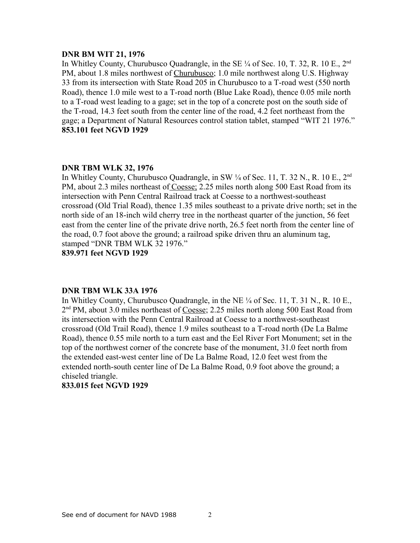### **DNR BM WIT 21, 1976**

In Whitley County, Churubusco Quadrangle, in the SE  $\frac{1}{4}$  of Sec. 10, T. 32, R. 10 E., 2<sup>nd</sup> PM, about 1.8 miles northwest of Churubusco; 1.0 mile northwest along U.S. Highway 33 from its intersection with State Road 205 in Churubusco to a T-road west (550 north Road), thence 1.0 mile west to a T-road north (Blue Lake Road), thence 0.05 mile north to a T-road west leading to a gage; set in the top of a concrete post on the south side of the T-road, 14.3 feet south from the center line of the road, 4.2 feet northeast from the gage; a Department of Natural Resources control station tablet, stamped "WIT 21 1976." **853.101 feet NGVD 1929**

#### **DNR TBM WLK 32, 1976**

In Whitley County, Churubusco Quadrangle, in SW 1/4 of Sec. 11, T. 32 N., R. 10 E., 2<sup>nd</sup> PM, about 2.3 miles northeast of Coesse; 2.25 miles north along 500 East Road from its intersection with Penn Central Railroad track at Coesse to a northwest-southeast crossroad (Old Trial Road), thence 1.35 miles southeast to a private drive north; set in the north side of an 18-inch wild cherry tree in the northeast quarter of the junction, 56 feet east from the center line of the private drive north, 26.5 feet north from the center line of the road, 0.7 foot above the ground; a railroad spike driven thru an aluminum tag, stamped "DNR TBM WLK 32 1976."

**839.971 feet NGVD 1929**

## **DNR TBM WLK 33A 1976**

In Whitley County, Churubusco Quadrangle, in the NE ¼ of Sec. 11, T. 31 N., R. 10 E., 2<sup>nd</sup> PM, about 3.0 miles northeast of Coesse; 2.25 miles north along 500 East Road from its intersection with the Penn Central Railroad at Coesse to a northwest-southeast crossroad (Old Trail Road), thence 1.9 miles southeast to a T-road north (De La Balme Road), thence 0.55 mile north to a turn east and the Eel River Fort Monument; set in the top of the northwest corner of the concrete base of the monument, 31.0 feet north from the extended east-west center line of De La Balme Road, 12.0 feet west from the extended north-south center line of De La Balme Road, 0.9 foot above the ground; a chiseled triangle.

# **833.015 feet NGVD 1929**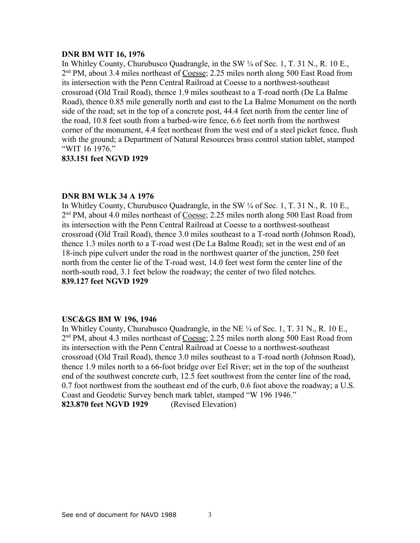## **DNR BM WIT 16, 1976**

In Whitley County, Churubusco Quadrangle, in the SW ¼ of Sec. 1, T. 31 N., R. 10 E., 2<sup>nd</sup> PM, about 3.4 miles northeast of Coesse; 2.25 miles north along 500 East Road from its intersection with the Penn Central Railroad at Coesse to a northwest-southeast crossroad (Old Trail Road), thence 1.9 miles southeast to a T-road north (De La Balme Road), thence 0.85 mile generally north and east to the La Balme Monument on the north side of the road; set in the top of a concrete post, 44.4 feet north from the center line of the road, 10.8 feet south from a barbed-wire fence, 6.6 feet north from the northwest corner of the monument, 4.4 feet northeast from the west end of a steel picket fence, flush with the ground; a Department of Natural Resources brass control station tablet, stamped "WIT 16 1976."

# **833.151 feet NGVD 1929**

## **DNR BM WLK 34 A 1976**

In Whitley County, Churubusco Quadrangle, in the SW ¼ of Sec. 1, T. 31 N., R. 10 E., 2<sup>nd</sup> PM, about 4.0 miles northeast of Coesse; 2.25 miles north along 500 East Road from its intersection with the Penn Central Railroad at Coesse to a northwest-southeast crossroad (Old Trail Road), thence 3.0 miles southeast to a T-road north (Johnson Road), thence 1.3 miles north to a T-road west (De La Balme Road); set in the west end of an 18-inch pipe culvert under the road in the northwest quarter of the junction, 250 feet north from the center lie of the T-road west, 14.0 feet west form the center line of the north-south road, 3.1 feet below the roadway; the center of two filed notches. **839.127 feet NGVD 1929**

## **USC&GS BM W 196, 1946**

In Whitley County, Churubusco Quadrangle, in the NE ¼ of Sec. 1, T. 31 N., R. 10 E., 2<sup>nd</sup> PM, about 4.3 miles northeast of Coesse; 2.25 miles north along 500 East Road from its intersection with the Penn Central Railroad at Coesse to a northwest-southeast crossroad (Old Trail Road), thence 3.0 miles southeast to a T-road north (Johnson Road), thence 1.9 miles north to a 66-foot bridge over Eel River; set in the top of the southeast end of the southwest concrete curb, 12.5 feet southwest from the center line of the road, 0.7 foot northwest from the southeast end of the curb, 0.6 foot above the roadway; a U.S. Coast and Geodetic Survey bench mark tablet, stamped "W 196 1946." **823.870 feet NGVD 1929** (Revised Elevation)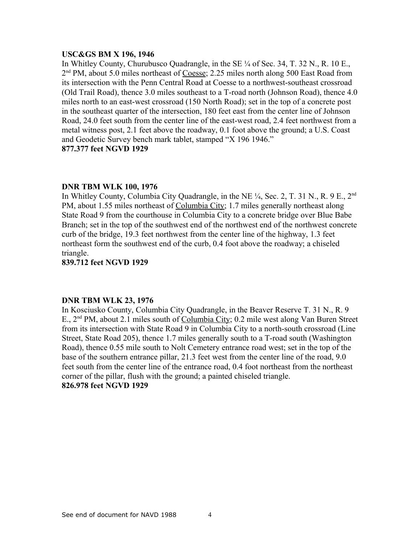## **USC&GS BM X 196, 1946**

In Whitley County, Churubusco Quadrangle, in the SE  $\frac{1}{4}$  of Sec. 34, T. 32 N., R. 10 E., 2<sup>nd</sup> PM, about 5.0 miles northeast of Coesse; 2.25 miles north along 500 East Road from its intersection with the Penn Central Road at Coesse to a northwest-southeast crossroad (Old Trail Road), thence 3.0 miles southeast to a T-road north (Johnson Road), thence 4.0 miles north to an east-west crossroad (150 North Road); set in the top of a concrete post in the southeast quarter of the intersection, 180 feet east from the center line of Johnson Road, 24.0 feet south from the center line of the east-west road, 2.4 feet northwest from a metal witness post, 2.1 feet above the roadway, 0.1 foot above the ground; a U.S. Coast and Geodetic Survey bench mark tablet, stamped "X 196 1946." **877.377 feet NGVD 1929**

## **DNR TBM WLK 100, 1976**

In Whitley County, Columbia City Quadrangle, in the NE  $\frac{1}{4}$ , Sec. 2, T. 31 N., R. 9 E., 2<sup>nd</sup> PM, about 1.55 miles northeast of Columbia City; 1.7 miles generally northeast along State Road 9 from the courthouse in Columbia City to a concrete bridge over Blue Babe Branch; set in the top of the southwest end of the northwest end of the northwest concrete curb of the bridge, 19.3 feet northwest from the center line of the highway, 1.3 feet northeast form the southwest end of the curb, 0.4 foot above the roadway; a chiseled triangle.

**839.712 feet NGVD 1929**

## **DNR TBM WLK 23, 1976**

In Kosciusko County, Columbia City Quadrangle, in the Beaver Reserve T. 31 N., R. 9 E., 2<sup>nd</sup> PM, about 2.1 miles south of Columbia City; 0.2 mile west along Van Buren Street from its intersection with State Road 9 in Columbia City to a north-south crossroad (Line Street, State Road 205), thence 1.7 miles generally south to a T-road south (Washington Road), thence 0.55 mile south to Nolt Cemetery entrance road west; set in the top of the base of the southern entrance pillar, 21.3 feet west from the center line of the road, 9.0 feet south from the center line of the entrance road, 0.4 foot northeast from the northeast corner of the pillar, flush with the ground; a painted chiseled triangle. **826.978 feet NGVD 1929**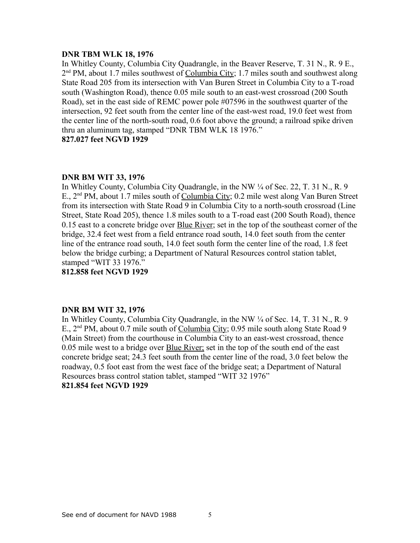## **DNR TBM WLK 18, 1976**

In Whitley County, Columbia City Quadrangle, in the Beaver Reserve, T. 31 N., R. 9 E., 2<sup>nd</sup> PM, about 1.7 miles southwest of Columbia City; 1.7 miles south and southwest along State Road 205 from its intersection with Van Buren Street in Columbia City to a T-road south (Washington Road), thence 0.05 mile south to an east-west crossroad (200 South Road), set in the east side of REMC power pole #07596 in the southwest quarter of the intersection, 92 feet south from the center line of the east-west road, 19.0 feet west from the center line of the north-south road, 0.6 foot above the ground; a railroad spike driven thru an aluminum tag, stamped "DNR TBM WLK 18 1976." **827.027 feet NGVD 1929**

## **DNR BM WIT 33, 1976**

In Whitley County, Columbia City Quadrangle, in the NW ¼ of Sec. 22, T. 31 N., R. 9 E., 2nd PM, about 1.7 miles south of Columbia City; 0.2 mile west along Van Buren Street from its intersection with State Road 9 in Columbia City to a north-south crossroad (Line Street, State Road 205), thence 1.8 miles south to a T-road east (200 South Road), thence 0.15 east to a concrete bridge over **Blue River**; set in the top of the southeast corner of the bridge, 32.4 feet west from a field entrance road south, 14.0 feet south from the center line of the entrance road south, 14.0 feet south form the center line of the road, 1.8 feet below the bridge curbing; a Department of Natural Resources control station tablet, stamped "WIT 33 1976."

**812.858 feet NGVD 1929**

## **DNR BM WIT 32, 1976**

In Whitley County, Columbia City Quadrangle, in the NW ¼ of Sec. 14, T. 31 N., R. 9 E., 2<sup>nd</sup> PM, about 0.7 mile south of Columbia City; 0.95 mile south along State Road 9 (Main Street) from the courthouse in Columbia City to an east-west crossroad, thence 0.05 mile west to a bridge over **Blue River**; set in the top of the south end of the east concrete bridge seat; 24.3 feet south from the center line of the road, 3.0 feet below the roadway, 0.5 foot east from the west face of the bridge seat; a Department of Natural Resources brass control station tablet, stamped "WIT 32 1976" **821.854 feet NGVD 1929**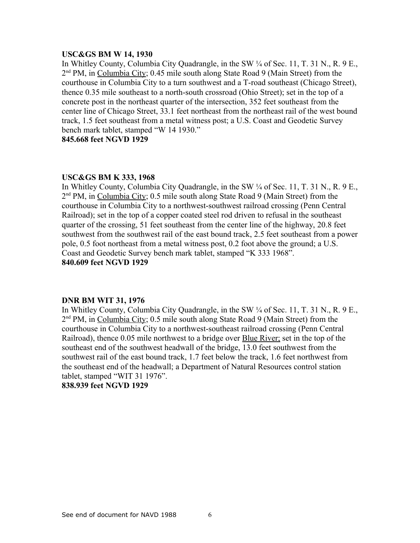#### **USC&GS BM W 14, 1930**

In Whitley County, Columbia City Quadrangle, in the SW ¼ of Sec. 11, T. 31 N., R. 9 E., 2<sup>nd</sup> PM, in Columbia City; 0.45 mile south along State Road 9 (Main Street) from the courthouse in Columbia City to a turn southwest and a T-road southeast (Chicago Street), thence 0.35 mile southeast to a north-south crossroad (Ohio Street); set in the top of a concrete post in the northeast quarter of the intersection, 352 feet southeast from the center line of Chicago Street, 33.1 feet northeast from the northeast rail of the west bound track, 1.5 feet southeast from a metal witness post; a U.S. Coast and Geodetic Survey bench mark tablet, stamped "W 14 1930."

**845.668 feet NGVD 1929**

## **USC&GS BM K 333, 1968**

In Whitley County, Columbia City Quadrangle, in the SW ¼ of Sec. 11, T. 31 N., R. 9 E., 2<sup>nd</sup> PM, in Columbia City; 0.5 mile south along State Road 9 (Main Street) from the courthouse in Columbia City to a northwest-southwest railroad crossing (Penn Central Railroad); set in the top of a copper coated steel rod driven to refusal in the southeast quarter of the crossing, 51 feet southeast from the center line of the highway, 20.8 feet southwest from the southwest rail of the east bound track, 2.5 feet southeast from a power pole, 0.5 foot northeast from a metal witness post, 0.2 foot above the ground; a U.S. Coast and Geodetic Survey bench mark tablet, stamped "K 333 1968". **840.609 feet NGVD 1929**

## **DNR BM WIT 31, 1976**

In Whitley County, Columbia City Quadrangle, in the SW ¼ of Sec. 11, T. 31 N., R. 9 E., 2<sup>nd</sup> PM, in Columbia City; 0.5 mile south along State Road 9 (Main Street) from the courthouse in Columbia City to a northwest-southeast railroad crossing (Penn Central Railroad), thence 0.05 mile northwest to a bridge over Blue River; set in the top of the southeast end of the southwest headwall of the bridge, 13.0 feet southwest from the southwest rail of the east bound track, 1.7 feet below the track, 1.6 feet northwest from the southeast end of the headwall; a Department of Natural Resources control station tablet, stamped "WIT 31 1976".

## **838.939 feet NGVD 1929**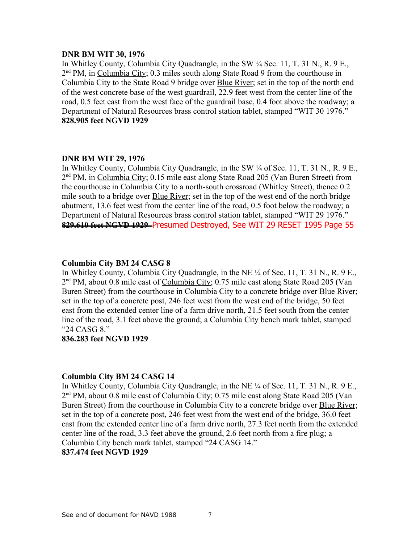### **DNR BM WIT 30, 1976**

In Whitley County, Columbia City Quadrangle, in the SW ¼ Sec. 11, T. 31 N., R. 9 E., 2<sup>nd</sup> PM, in Columbia City; 0.3 miles south along State Road 9 from the courthouse in Columbia City to the State Road 9 bridge over Blue River; set in the top of the north end of the west concrete base of the west guardrail, 22.9 feet west from the center line of the road, 0.5 feet east from the west face of the guardrail base, 0.4 foot above the roadway; a Department of Natural Resources brass control station tablet, stamped "WIT 30 1976." **828.905 feet NGVD 1929**

## **DNR BM WIT 29, 1976**

In Whitley County, Columbia City Quadrangle, in the SW ¼ of Sec. 11, T. 31 N., R. 9 E., 2<sup>nd</sup> PM, in Columbia City; 0.15 mile east along State Road 205 (Van Buren Street) from the courthouse in Columbia City to a north-south crossroad (Whitley Street), thence 0.2 mile south to a bridge over Blue River; set in the top of the west end of the north bridge abutment, 13.6 feet west from the center line of the road, 0.5 foot below the roadway; a Department of Natural Resources brass control station tablet, stamped "WIT 29 1976." **829.610 feet NGVD 1929** Presumed Destroyed, See WIT 29 RESET 1995 Page 55

## **Columbia City BM 24 CASG 8**

In Whitley County, Columbia City Quadrangle, in the NE ¼ of Sec. 11, T. 31 N., R. 9 E., 2<sup>nd</sup> PM, about 0.8 mile east of Columbia City; 0.75 mile east along State Road 205 (Van Buren Street) from the courthouse in Columbia City to a concrete bridge over Blue River; set in the top of a concrete post, 246 feet west from the west end of the bridge, 50 feet east from the extended center line of a farm drive north, 21.5 feet south from the center line of the road, 3.1 feet above the ground; a Columbia City bench mark tablet, stamped "24 CASG 8."

# **836.283 feet NGVD 1929**

## **Columbia City BM 24 CASG 14**

In Whitley County, Columbia City Quadrangle, in the NE ¼ of Sec. 11, T. 31 N., R. 9 E., 2<sup>nd</sup> PM, about 0.8 mile east of Columbia City; 0.75 mile east along State Road 205 (Van Buren Street) from the courthouse in Columbia City to a concrete bridge over Blue River; set in the top of a concrete post, 246 feet west from the west end of the bridge, 36.0 feet east from the extended center line of a farm drive north, 27.3 feet north from the extended center line of the road, 3.3 feet above the ground, 2.6 feet north from a fire plug; a Columbia City bench mark tablet, stamped "24 CASG 14." **837.474 feet NGVD 1929**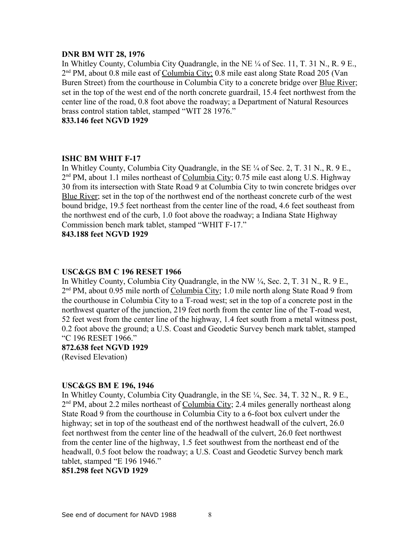#### **DNR BM WIT 28, 1976**

In Whitley County, Columbia City Quadrangle, in the NE ¼ of Sec. 11, T. 31 N., R. 9 E., 2<sup>nd</sup> PM, about 0.8 mile east of Columbia City; 0.8 mile east along State Road 205 (Van Buren Street) from the courthouse in Columbia City to a concrete bridge over Blue River; set in the top of the west end of the north concrete guardrail, 15.4 feet northwest from the center line of the road, 0.8 foot above the roadway; a Department of Natural Resources brass control station tablet, stamped "WIT 28 1976."

**833.146 feet NGVD 1929**

## **ISHC BM WHIT F-17**

In Whitley County, Columbia City Quadrangle, in the SE ¼ of Sec. 2, T. 31 N., R. 9 E., 2<sup>nd</sup> PM, about 1.1 miles northeast of Columbia City; 0.75 mile east along U.S. Highway 30 from its intersection with State Road 9 at Columbia City to twin concrete bridges over Blue River; set in the top of the northwest end of the northeast concrete curb of the west bound bridge, 19.5 feet northeast from the center line of the road, 4.6 feet southeast from the northwest end of the curb, 1.0 foot above the roadway; a Indiana State Highway Commission bench mark tablet, stamped "WHIT F-17."

**843.188 feet NGVD 1929**

## **USC&GS BM C 196 RESET 1966**

In Whitley County, Columbia City Quadrangle, in the NW  $\frac{1}{4}$ , Sec. 2, T. 31 N., R. 9 E., 2<sup>nd</sup> PM, about 0.95 mile north of Columbia City; 1.0 mile north along State Road 9 from the courthouse in Columbia City to a T-road west; set in the top of a concrete post in the northwest quarter of the junction, 219 feet north from the center line of the T-road west, 52 feet west from the center line of the highway, 1.4 feet south from a metal witness post, 0.2 foot above the ground; a U.S. Coast and Geodetic Survey bench mark tablet, stamped "C 196 RESET 1966."

#### **872.638 feet NGVD 1929**

(Revised Elevation)

## **USC&GS BM E 196, 1946**

In Whitley County, Columbia City Quadrangle, in the SE ¼, Sec. 34, T. 32 N., R. 9 E., 2<sup>nd</sup> PM, about 2.2 miles northeast of Columbia City; 2.4 miles generally northeast along State Road 9 from the courthouse in Columbia City to a 6-foot box culvert under the highway; set in top of the southeast end of the northwest headwall of the culvert, 26.0 feet northwest from the center line of the headwall of the culvert, 26.0 feet northwest from the center line of the highway, 1.5 feet southwest from the northeast end of the headwall, 0.5 foot below the roadway; a U.S. Coast and Geodetic Survey bench mark tablet, stamped "E 196 1946."

## **851.298 feet NGVD 1929**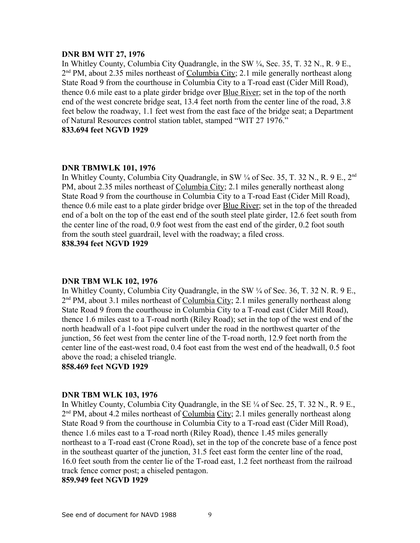#### **DNR BM WIT 27, 1976**

In Whitley County, Columbia City Quadrangle, in the SW ¼, Sec. 35, T. 32 N., R. 9 E., 2<sup>nd</sup> PM, about 2.35 miles northeast of Columbia City; 2.1 mile generally northeast along State Road 9 from the courthouse in Columbia City to a T-road east (Cider Mill Road), thence 0.6 mile east to a plate girder bridge over Blue River; set in the top of the north end of the west concrete bridge seat, 13.4 feet north from the center line of the road, 3.8 feet below the roadway, 1.1 feet west from the east face of the bridge seat; a Department of Natural Resources control station tablet, stamped "WIT 27 1976." **833.694 feet NGVD 1929**

## **DNR TBMWLK 101, 1976**

In Whitley County, Columbia City Quadrangle, in SW 1/4 of Sec. 35, T. 32 N., R. 9 E., 2<sup>nd</sup> PM, about 2.35 miles northeast of Columbia City; 2.1 miles generally northeast along State Road 9 from the courthouse in Columbia City to a T-road East (Cider Mill Road), thence 0.6 mile east to a plate girder bridge over Blue River; set in the top of the threaded end of a bolt on the top of the east end of the south steel plate girder, 12.6 feet south from the center line of the road, 0.9 foot west from the east end of the girder, 0.2 foot south from the south steel guardrail, level with the roadway; a filed cross. **838.394 feet NGVD 1929**

#### **DNR TBM WLK 102, 1976**

In Whitley County, Columbia City Quadrangle, in the SW  $\frac{1}{4}$  of Sec. 36, T, 32 N, R, 9 E. 2<sup>nd</sup> PM, about 3.1 miles northeast of Columbia City; 2.1 miles generally northeast along State Road 9 from the courthouse in Columbia City to a T-road east (Cider Mill Road), thence 1.6 miles east to a T-road north (Riley Road); set in the top of the west end of the north headwall of a 1-foot pipe culvert under the road in the northwest quarter of the junction, 56 feet west from the center line of the T-road north, 12.9 feet north from the center line of the east-west road, 0.4 foot east from the west end of the headwall, 0.5 foot above the road; a chiseled triangle.

**858.469 feet NGVD 1929**

#### **DNR TBM WLK 103, 1976**

In Whitley County, Columbia City Quadrangle, in the SE ¼ of Sec. 25, T. 32 N., R. 9 E., 2<sup>nd</sup> PM, about 4.2 miles northeast of Columbia City; 2.1 miles generally northeast along State Road 9 from the courthouse in Columbia City to a T-road east (Cider Mill Road), thence 1.6 miles east to a T-road north (Riley Road), thence 1.45 miles generally northeast to a T-road east (Crone Road), set in the top of the concrete base of a fence post in the southeast quarter of the junction, 31.5 feet east form the center line of the road, 16.0 feet south from the center lie of the T-road east, 1.2 feet northeast from the railroad track fence corner post; a chiseled pentagon.

#### **859.949 feet NGVD 1929**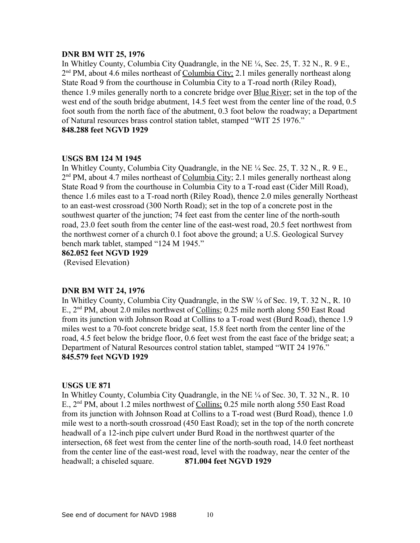## **DNR BM WIT 25, 1976**

In Whitley County, Columbia City Quadrangle, in the NE ¼, Sec. 25, T. 32 N., R. 9 E., 2<sup>nd</sup> PM, about 4.6 miles northeast of Columbia City; 2.1 miles generally northeast along State Road 9 from the courthouse in Columbia City to a T-road north (Riley Road), thence 1.9 miles generally north to a concrete bridge over Blue River; set in the top of the west end of the south bridge abutment, 14.5 feet west from the center line of the road, 0.5 foot south from the north face of the abutment, 0.3 foot below the roadway; a Department of Natural resources brass control station tablet, stamped "WIT 25 1976." **848.288 feet NGVD 1929**

# **USGS BM 124 M 1945**

In Whitley County, Columbia City Quadrangle, in the NE ¼ Sec. 25, T. 32 N., R. 9 E., 2<sup>nd</sup> PM, about 4.7 miles northeast of Columbia City; 2.1 miles generally northeast along State Road 9 from the courthouse in Columbia City to a T-road east (Cider Mill Road), thence 1.6 miles east to a T-road north (Riley Road), thence 2.0 miles generally Northeast to an east-west crossroad (300 North Road); set in the top of a concrete post in the southwest quarter of the junction; 74 feet east from the center line of the north-south road, 23.0 feet south from the center line of the east-west road, 20.5 feet northwest from the northwest corner of a church 0.1 foot above the ground; a U.S. Geological Survey bench mark tablet, stamped "124 M 1945."

**862.052 feet NGVD 1929**

(Revised Elevation)

## **DNR BM WIT 24, 1976**

In Whitley County, Columbia City Quadrangle, in the SW ¼ of Sec. 19, T. 32 N., R. 10 E., 2<sup>nd</sup> PM, about 2.0 miles northwest of Collins; 0.25 mile north along 550 East Road from its junction with Johnson Road at Collins to a T-road west (Burd Road), thence 1.9 miles west to a 70-foot concrete bridge seat, 15.8 feet north from the center line of the road, 4.5 feet below the bridge floor, 0.6 feet west from the east face of the bridge seat; a Department of Natural Resources control station tablet, stamped "WIT 24 1976." **845.579 feet NGVD 1929**

## **USGS UE 871**

In Whitley County, Columbia City Quadrangle, in the NE ¼ of Sec. 30, T. 32 N., R. 10 E., 2nd PM, about 1.2 miles northwest of Collins; 0.25 mile north along 550 East Road from its junction with Johnson Road at Collins to a T-road west (Burd Road), thence 1.0 mile west to a north-south crossroad (450 East Road); set in the top of the north concrete headwall of a 12-inch pipe culvert under Burd Road in the northwest quarter of the intersection, 68 feet west from the center line of the north-south road, 14.0 feet northeast from the center line of the east-west road, level with the roadway, near the center of the headwall; a chiseled square. **871.004 feet NGVD 1929**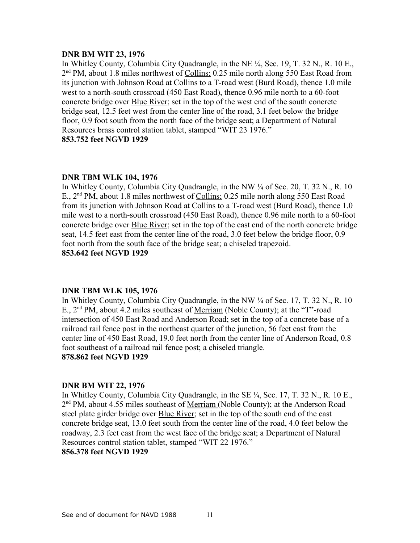#### **DNR BM WIT 23, 1976**

In Whitley County, Columbia City Quadrangle, in the NE ¼, Sec. 19, T. 32 N., R. 10 E., 2<sup>nd</sup> PM, about 1.8 miles northwest of Collins; 0.25 mile north along 550 East Road from its junction with Johnson Road at Collins to a T-road west (Burd Road), thence 1.0 mile west to a north-south crossroad (450 East Road), thence 0.96 mile north to a 60-foot concrete bridge over **Blue River**; set in the top of the west end of the south concrete bridge seat, 12.5 feet west from the center line of the road, 3.1 feet below the bridge floor, 0.9 foot south from the north face of the bridge seat; a Department of Natural Resources brass control station tablet, stamped "WIT 23 1976." **853.752 feet NGVD 1929**

## **DNR TBM WLK 104, 1976**

In Whitley County, Columbia City Quadrangle, in the NW ¼ of Sec. 20, T. 32 N., R. 10 E., 2nd PM, about 1.8 miles northwest of Collins; 0.25 mile north along 550 East Road from its junction with Johnson Road at Collins to a T-road west (Burd Road), thence 1.0 mile west to a north-south crossroad (450 East Road), thence 0.96 mile north to a 60-foot concrete bridge over **Blue River**; set in the top of the east end of the north concrete bridge seat, 14.5 feet east from the center line of the road, 3.0 feet below the bridge floor, 0.9 foot north from the south face of the bridge seat; a chiseled trapezoid. **853.642 feet NGVD 1929**

#### **DNR TBM WLK 105, 1976**

In Whitley County, Columbia City Quadrangle, in the NW  $\frac{1}{4}$  of Sec. 17, T. 32 N., R. 10 E., 2nd PM, about 4.2 miles southeast of Merriam (Noble County); at the "T"-road intersection of 450 East Road and Anderson Road; set in the top of a concrete base of a railroad rail fence post in the northeast quarter of the junction, 56 feet east from the center line of 450 East Road, 19.0 feet north from the center line of Anderson Road, 0.8 foot southeast of a railroad rail fence post; a chiseled triangle.

## **878.862 feet NGVD 1929**

#### **DNR BM WIT 22, 1976**

In Whitley County, Columbia City Quadrangle, in the SE ¼, Sec. 17, T. 32 N., R. 10 E., 2<sup>nd</sup> PM, about 4.55 miles southeast of <u>Merriam (</u>Noble County); at the Anderson Road steel plate girder bridge over **Blue River**; set in the top of the south end of the east concrete bridge seat, 13.0 feet south from the center line of the road, 4.0 feet below the roadway, 2.3 feet east from the west face of the bridge seat; a Department of Natural Resources control station tablet, stamped "WIT 22 1976." **856.378 feet NGVD 1929**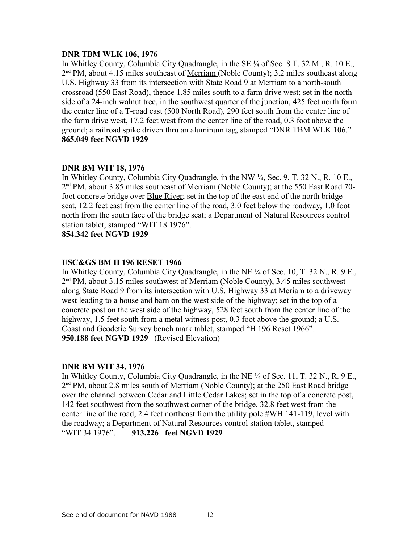## **DNR TBM WLK 106, 1976**

In Whitley County, Columbia City Quadrangle, in the SE  $\frac{1}{4}$  of Sec. 8 T. 32 M., R. 10 E., 2<sup>nd</sup> PM, about 4.15 miles southeast of <u>Merriam (</u>Noble County); 3.2 miles southeast along U.S. Highway 33 from its intersection with State Road 9 at Merriam to a north-south crossroad (550 East Road), thence 1.85 miles south to a farm drive west; set in the north side of a 24-inch walnut tree, in the southwest quarter of the junction, 425 feet north form the center line of a T-road east (500 North Road), 290 feet south from the center line of the farm drive west, 17.2 feet west from the center line of the road, 0.3 foot above the ground; a railroad spike driven thru an aluminum tag, stamped "DNR TBM WLK 106." **865.049 feet NGVD 1929**

# **DNR BM WIT 18, 1976**

In Whitley County, Columbia City Quadrangle, in the NW ¼, Sec. 9, T. 32 N., R. 10 E., 2<sup>nd</sup> PM, about 3.85 miles southeast of <u>Merriam</u> (Noble County); at the 550 East Road 70foot concrete bridge over Blue River; set in the top of the east end of the north bridge seat, 12.2 feet east from the center line of the road, 3.0 feet below the roadway, 1.0 foot north from the south face of the bridge seat; a Department of Natural Resources control station tablet, stamped "WIT 18 1976".

**854.342 feet NGVD 1929**

## **USC&GS BM H 196 RESET 1966**

In Whitley County, Columbia City Quadrangle, in the NE ¼ of Sec. 10, T. 32 N., R. 9 E., 2<sup>nd</sup> PM, about 3.15 miles southwest of <u>Merriam</u> (Noble County), 3.45 miles southwest along State Road 9 from its intersection with U.S. Highway 33 at Meriam to a driveway west leading to a house and barn on the west side of the highway; set in the top of a concrete post on the west side of the highway, 528 feet south from the center line of the highway, 1.5 feet south from a metal witness post, 0.3 foot above the ground; a U.S. Coast and Geodetic Survey bench mark tablet, stamped "H 196 Reset 1966". **950.188 feet NGVD 1929** (Revised Elevation)

## **DNR BM WIT 34, 1976**

In Whitley County, Columbia City Quadrangle, in the NE ¼ of Sec. 11, T. 32 N., R. 9 E., 2<sup>nd</sup> PM, about 2.8 miles south of <u>Merriam</u> (Noble County); at the 250 East Road bridge over the channel between Cedar and Little Cedar Lakes; set in the top of a concrete post, 142 feet southwest from the southwest corner of the bridge, 32.8 feet west from the center line of the road, 2.4 feet northeast from the utility pole #WH 141-119, level with the roadway; a Department of Natural Resources control station tablet, stamped "WIT 34 1976". **913.226 feet NGVD 1929**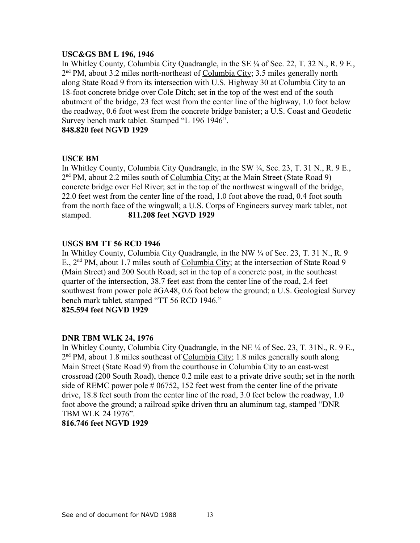## **USC&GS BM L 196, 1946**

In Whitley County, Columbia City Quadrangle, in the SE ¼ of Sec. 22, T. 32 N., R. 9 E., 2<sup>nd</sup> PM, about 3.2 miles north-northeast of Columbia City; 3.5 miles generally north along State Road 9 from its intersection with U.S. Highway 30 at Columbia City to an 18-foot concrete bridge over Cole Ditch; set in the top of the west end of the south abutment of the bridge, 23 feet west from the center line of the highway, 1.0 foot below the roadway, 0.6 foot west from the concrete bridge banister; a U.S. Coast and Geodetic Survey bench mark tablet. Stamped "L 196 1946".

## **848.820 feet NGVD 1929**

## **USCE BM**

In Whitley County, Columbia City Quadrangle, in the SW ¼, Sec. 23, T. 31 N., R. 9 E., 2<sup>nd</sup> PM, about 2.2 miles south of Columbia City; at the Main Street (State Road 9) concrete bridge over Eel River; set in the top of the northwest wingwall of the bridge, 22.0 feet west from the center line of the road, 1.0 foot above the road, 0.4 foot south from the north face of the wingwall; a U.S. Corps of Engineers survey mark tablet, not stamped. **811.208 feet NGVD 1929**

## **USGS BM TT 56 RCD 1946**

In Whitley County, Columbia City Quadrangle, in the NW ¼ of Sec. 23, T. 31 N., R. 9 E., 2<sup>nd</sup> PM, about 1.7 miles south of Columbia City; at the intersection of State Road 9 (Main Street) and 200 South Road; set in the top of a concrete post, in the southeast quarter of the intersection, 38.7 feet east from the center line of the road, 2.4 feet southwest from power pole #GA48, 0.6 foot below the ground; a U.S. Geological Survey bench mark tablet, stamped "TT 56 RCD 1946."

**825.594 feet NGVD 1929**

## **DNR TBM WLK 24, 1976**

In Whitley County, Columbia City Quadrangle, in the NE ¼ of Sec. 23, T. 31N., R. 9 E., 2<sup>nd</sup> PM, about 1.8 miles southeast of Columbia City; 1.8 miles generally south along Main Street (State Road 9) from the courthouse in Columbia City to an east-west crossroad (200 South Road), thence 0.2 mile east to a private drive south; set in the north side of REMC power pole # 06752, 152 feet west from the center line of the private drive, 18.8 feet south from the center line of the road, 3.0 feet below the roadway, 1.0 foot above the ground; a railroad spike driven thru an aluminum tag, stamped "DNR TBM WLK 24 1976".

# **816.746 feet NGVD 1929**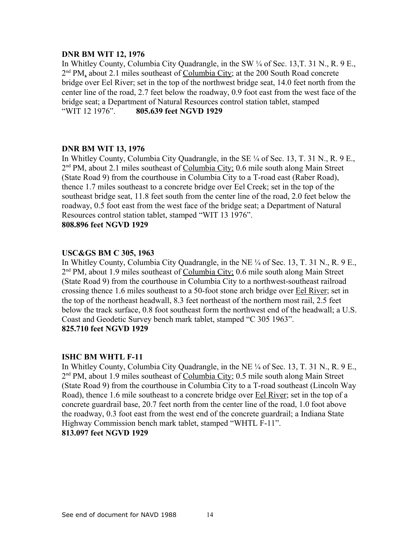## **DNR BM WIT 12, 1976**

In Whitley County, Columbia City Quadrangle, in the SW ¼ of Sec. 13,T. 31 N., R. 9 E., 2<sup>nd</sup> PM, about 2.1 miles southeast of Columbia City; at the 200 South Road concrete bridge over Eel River; set in the top of the northwest bridge seat, 14.0 feet north from the center line of the road, 2.7 feet below the roadway, 0.9 foot east from the west face of the bridge seat; a Department of Natural Resources control station tablet, stamped "WIT 12 1976". **805.639 feet NGVD 1929**

## **DNR BM WIT 13, 1976**

In Whitley County, Columbia City Quadrangle, in the SE  $\frac{1}{4}$  of Sec. 13, T. 31 N., R. 9 E., 2<sup>nd</sup> PM, about 2.1 miles southeast of Columbia City; 0.6 mile south along Main Street (State Road 9) from the courthouse in Columbia City to a T-road east (Raber Road), thence 1.7 miles southeast to a concrete bridge over Eel Creek; set in the top of the southeast bridge seat, 11.8 feet south from the center line of the road, 2.0 feet below the roadway, 0.5 foot east from the west face of the bridge seat; a Department of Natural Resources control station tablet, stamped "WIT 13 1976". **808.896 feet NGVD 1929**

## **USC&GS BM C 305, 1963**

In Whitley County, Columbia City Quadrangle, in the NE ¼ of Sec. 13, T. 31 N., R. 9 E., 2<sup>nd</sup> PM, about 1.9 miles southeast of Columbia City; 0.6 mile south along Main Street (State Road 9) from the courthouse in Columbia City to a northwest-southeast railroad crossing thence 1.6 miles southeast to a 50-foot stone arch bridge over Eel River; set in the top of the northeast headwall, 8.3 feet northeast of the northern most rail, 2.5 feet below the track surface, 0.8 foot southeast form the northwest end of the headwall; a U.S. Coast and Geodetic Survey bench mark tablet, stamped "C 305 1963". **825.710 feet NGVD 1929**

## **ISHC BM WHTL F-11**

In Whitley County, Columbia City Quadrangle, in the NE ¼ of Sec. 13, T. 31 N., R. 9 E., 2<sup>nd</sup> PM, about 1.9 miles southeast of Columbia City; 0.5 mile south along Main Street (State Road 9) from the courthouse in Columbia City to a T-road southeast (Lincoln Way Road), thence 1.6 mile southeast to a concrete bridge over Eel River; set in the top of a concrete guardrail base, 20.7 feet north from the center line of the road, 1.0 foot above the roadway, 0.3 foot east from the west end of the concrete guardrail; a Indiana State Highway Commission bench mark tablet, stamped "WHTL F-11". **813.097 feet NGVD 1929**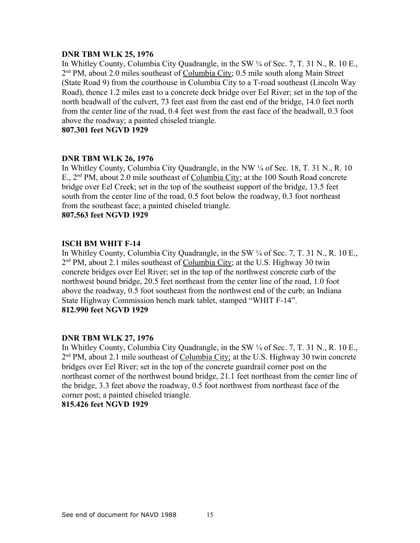## **DNR TBM WLK 25, 1976**

In Whitley County, Columbia City Quadrangle, in the SW ¼ of Sec. 7, T. 31 N., R. 10 E., 2<sup>nd</sup> PM, about 2.0 miles southeast of Columbia City; 0.5 mile south along Main Street (State Road 9) from the courthouse in Columbia City to a T-road southeast (Lincoln Way Road), thence 1.2 miles east to a concrete deck bridge over Eel River; set in the top of the north headwall of the culvert, 73 feet east from the east end of the bridge, 14.0 feet north from the center line of the road, 0.4 feet west from the east face of the headwall, 0.3 foot above the roadway; a painted chiseled triangle.

**807.301 feet NGVD 1929**

## **DNR TBM WLK 26, 1976**

In Whitley County, Columbia City Quadrangle, in the NW  $\frac{1}{4}$  of Sec. 18, T. 31 N., R. 10 E., 2<sup>nd</sup> PM, about 2.0 mile southeast of Columbia City; at the 100 South Road concrete bridge over Eel Creek; set in the top of the southeast support of the bridge, 13.5 feet south from the center line of the road, 0.5 foot below the roadway, 0.3 foot northeast from the southeast face; a painted chiseled triangle.

**807.563 feet NGVD 1929**

## **ISCH BM WHIT F-14**

In Whitley County, Columbia City Quadrangle, in the SW  $\frac{1}{4}$  of Sec. 7, T. 31 N., R. 10 E. 2<sup>nd</sup> PM, about 2.1 miles southeast of Columbia City; at the U.S. Highway 30 twin concrete bridges over Eel River; set in the top of the northwest concrete curb of the northwest bound bridge, 20.5 feet northeast from the center line of the road, 1.0 foot above the roadway, 0.5 foot southeast from the northwest end of the curb; an Indiana State Highway Commission bench mark tablet, stamped "WHIT F-14". **812.990 feet NGVD 1929**

## **DNR TBM WLK 27, 1976**

In Whitley County, Columbia City Quadrangle, in the SW ¼ of Sec. 7, T. 31 N., R. 10 E., 2<sup>nd</sup> PM, about 2.1 mile southeast of Columbia City; at the U.S. Highway 30 twin concrete bridges over Eel River; set in the top of the concrete guardrail corner post on the northeast corner of the northwest bound bridge, 21.1 feet northeast from the center line of the bridge, 3.3 feet above the roadway, 0.5 foot northwest from northeast face of the corner post; a painted chiseled triangle.

**815.426 feet NGVD 1929**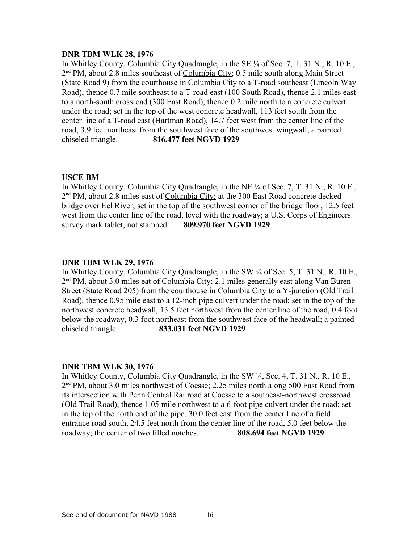## **DNR TBM WLK 28, 1976**

In Whitley County, Columbia City Quadrangle, in the SE ¼ of Sec. 7, T. 31 N., R. 10 E., 2<sup>nd</sup> PM, about 2.8 miles southeast of Columbia City; 0.5 mile south along Main Street (State Road 9) from the courthouse in Columbia City to a T-road southeast (Lincoln Way Road), thence 0.7 mile southeast to a T-road east (100 South Road), thence 2.1 miles east to a north-south crossroad (300 East Road), thence 0.2 mile north to a concrete culvert under the road; set in the top of the west concrete headwall, 113 feet south from the center line of a T-road east (Hartman Road), 14.7 feet west from the center line of the road, 3.9 feet northeast from the southwest face of the southwest wingwall; a painted chiseled triangle. **816.477 feet NGVD 1929**

## **USCE BM**

In Whitley County, Columbia City Quadrangle, in the NE ¼ of Sec. 7, T. 31 N., R. 10 E., 2<sup>nd</sup> PM, about 2.8 miles east of Columbia City; at the 300 East Road concrete decked bridge over Eel River; set in the top of the southwest corner of the bridge floor, 12.5 feet west from the center line of the road, level with the roadway; a U.S. Corps of Engineers survey mark tablet, not stamped. **809.970 feet NGVD 1929**

## **DNR TBM WLK 29, 1976**

In Whitley County, Columbia City Quadrangle, in the SW ¼ of Sec. 5, T. 31 N., R. 10 E., 2<sup>nd</sup> PM, about 3.0 miles eat of Columbia City; 2.1 miles generally east along Van Buren Street (State Road 205) from the courthouse in Columbia City to a Y-junction (Old Trail Road), thence 0.95 mile east to a 12-inch pipe culvert under the road; set in the top of the northwest concrete headwall, 13.5 feet northwest from the center line of the road, 0.4 foot below the roadway, 0.3 foot northeast from the southwest face of the headwall; a painted chiseled triangle. **833.031 feet NGVD 1929**

## **DNR TBM WLK 30, 1976**

In Whitley County, Columbia City Quadrangle, in the SW ¼, Sec. 4, T. 31 N., R. 10 E., 2<sup>nd</sup> PM, about 3.0 miles northwest of Coesse; 2.25 miles north along 500 East Road from its intersection with Penn Central Railroad at Coesse to a southeast-northwest crossroad (Old Trail Road), thence 1.05 mile northwest to a 6-foot pipe culvert under the road; set in the top of the north end of the pipe, 30.0 feet east from the center line of a field entrance road south, 24.5 feet north from the center line of the road, 5.0 feet below the roadway; the center of two filled notches. **808.694 feet NGVD 1929**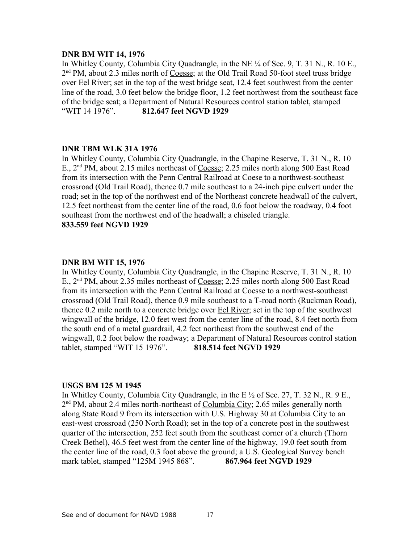## **DNR BM WIT 14, 1976**

In Whitley County, Columbia City Quadrangle, in the NE ¼ of Sec. 9, T. 31 N., R. 10 E., 2<sup>nd</sup> PM, about 2.3 miles north of Coesse; at the Old Trail Road 50-foot steel truss bridge over Eel River; set in the top of the west bridge seat, 12.4 feet southwest from the center line of the road, 3.0 feet below the bridge floor, 1.2 feet northwest from the southeast face of the bridge seat; a Department of Natural Resources control station tablet, stamped "WIT 14 1976". **812.647 feet NGVD 1929**

#### **DNR TBM WLK 31A 1976**

In Whitley County, Columbia City Quadrangle, in the Chapine Reserve, T. 31 N., R. 10 E., 2nd PM, about 2.15 miles northeast of Coesse; 2.25 miles north along 500 East Road from its intersection with the Penn Central Railroad at Coese to a northwest-southeast crossroad (Old Trail Road), thence 0.7 mile southeast to a 24-inch pipe culvert under the road; set in the top of the northwest end of the Northeast concrete headwall of the culvert, 12.5 feet northeast from the center line of the road, 0.6 foot below the roadway, 0.4 foot southeast from the northwest end of the headwall; a chiseled triangle. **833.559 feet NGVD 1929**

#### **DNR BM WIT 15, 1976**

In Whitley County, Columbia City Quadrangle, in the Chapine Reserve, T. 31 N., R. 10 E., 2<sup>nd</sup> PM, about 2.35 miles northeast of Coesse; 2.25 miles north along 500 East Road from its intersection with the Penn Central Railroad at Coesse to a northwest-southeast crossroad (Old Trail Road), thence 0.9 mile southeast to a T-road north (Ruckman Road), thence 0.2 mile north to a concrete bridge over Eel River; set in the top of the southwest wingwall of the bridge, 12.0 feet west from the center line of the road, 8.4 feet north from the south end of a metal guardrail, 4.2 feet northeast from the southwest end of the wingwall, 0.2 foot below the roadway; a Department of Natural Resources control station tablet, stamped "WIT 15 1976". **818.514 feet NGVD 1929**

#### **USGS BM 125 M 1945**

In Whitley County, Columbia City Quadrangle, in the E  $\frac{1}{2}$  of Sec. 27, T. 32 N., R. 9 E., 2<sup>nd</sup> PM, about 2.4 miles north-northeast of Columbia City; 2.65 miles generally north along State Road 9 from its intersection with U.S. Highway 30 at Columbia City to an east-west crossroad (250 North Road); set in the top of a concrete post in the southwest quarter of the intersection, 252 feet south from the southeast corner of a church (Thorn Creek Bethel), 46.5 feet west from the center line of the highway, 19.0 feet south from the center line of the road, 0.3 foot above the ground; a U.S. Geological Survey bench mark tablet, stamped "125M 1945 868". **867.964 feet NGVD 1929**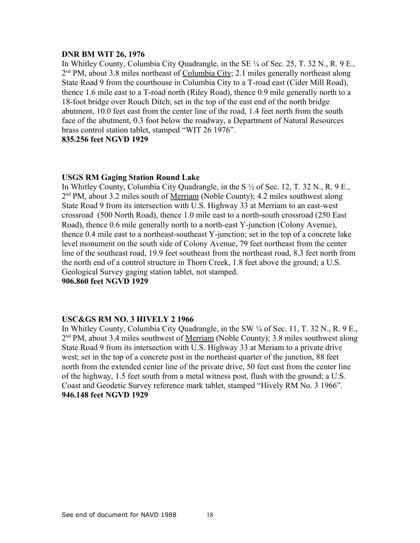## **DNR BM WIT 26, 1976**

In Whitley County, Columbia City Quadrangle, in the SE ¼ of Sec. 25, T. 32 N., R. 9 E., 2<sup>nd</sup> PM, about 3.8 miles northeast of Columbia City; 2.1 miles generally northeast along State Road 9 from the courthouse in Columbia City to a T-road east (Cider Mill Road), thence 1.6 mile east to a T-road north (Riley Road), thence 0.9 mile generally north to a 18-foot bridge over Rouch Ditch; set in the top of the east end of the north bridge abutment, 10.0 feet east from the center line of the road, 1.4 feet north from the south face of the abutment, 0.3 foot below the roadway, a Department of Natural Resources brass control station tablet, stamped "WIT 26 1976". **835.256 feet NGVD 1929**

# **USGS RM Gaging Station Round Lake**

In Whitley County, Columbia City Quadrangle, in the S  $\frac{1}{2}$  of Sec. 12, T. 32 N., R. 9 E., 2<sup>nd</sup> PM, about 3.2 miles south of <u>Merriam</u> (Noble County); 4.2 miles southwest along State Road 9 from its intersection with U.S. Highway 33 at Merriam to an east-west crossroad (500 North Road), thence 1.0 mile east to a north-south crossroad (250 East Road), thence 0.6 mile generally north to a north-east Y-junction (Colony Avenue), thence 0.4 mile east to a northeast-southeast Y-junction; set in the top of a concrete lake level monument on the south side of Colony Avenue, 79 feet northeast from the center line of the southeast road, 19.9 feet southeast from the northeast road, 8.3 feet north from the north end of a control structure in Thorn Creek, 1.8 feet above the ground; a U.S. Geological Survey gaging station tablet, not stamped.

**906.860 feet NGVD 1929**

## **USC&GS RM NO. 3 HIVELY 2 1966**

In Whitley County, Columbia City Quadrangle, in the SW ¼ of Sec. 11, T. 32 N., R. 9 E., 2<sup>nd</sup> PM, about 3.4 miles southwest of <u>Merriam</u> (Noble County); 3.8 miles southwest along State Road 9 from its intersection with U.S. Highway 33 at Meriam to a private drive west; set in the top of a concrete post in the northeast quarter of the junction, 88 feet north from the extended center line of the private drive, 50 feet east from the center line of the highway, 1.5 feet south from a metal witness post, flush with the ground; a U.S. Coast and Geodetic Survey reference mark tablet, stamped "Hively RM No. 3 1966". **946.148 feet NGVD 1929**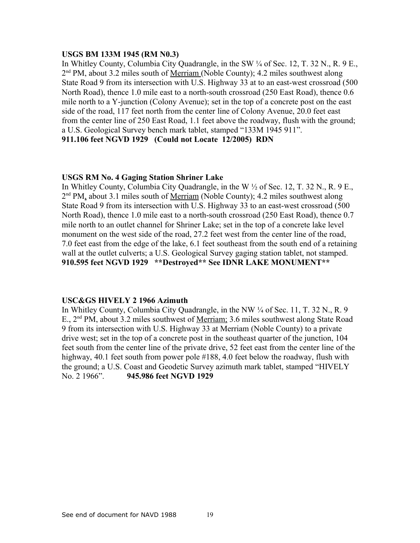## **USGS BM 133M 1945 (RM N0.3)**

In Whitley County, Columbia City Quadrangle, in the SW ¼ of Sec. 12, T. 32 N., R. 9 E., 2<sup>nd</sup> PM, about 3.2 miles south of <u>Merriam</u> (Noble County); 4.2 miles southwest along State Road 9 from its intersection with U.S. Highway 33 at to an east-west crossroad (500 North Road), thence 1.0 mile east to a north-south crossroad (250 East Road), thence 0.6 mile north to a Y-junction (Colony Avenue); set in the top of a concrete post on the east side of the road, 117 feet north from the center line of Colony Avenue, 20.0 feet east from the center line of 250 East Road, 1.1 feet above the roadway, flush with the ground; a U.S. Geological Survey bench mark tablet, stamped "133M 1945 911". **911.106 feet NGVD 1929 (Could not Locate 12/2005) RDN**

## **USGS RM No. 4 Gaging Station Shriner Lake**

In Whitley County, Columbia City Quadrangle, in the W ½ of Sec. 12, T. 32 N., R. 9 E., 2<sup>nd</sup> PM, about 3.1 miles south of <u>Merriam</u> (Noble County); 4.2 miles southwest along State Road 9 from its intersection with U.S. Highway 33 to an east-west crossroad (500 North Road), thence 1.0 mile east to a north-south crossroad (250 East Road), thence 0.7 mile north to an outlet channel for Shriner Lake; set in the top of a concrete lake level monument on the west side of the road, 27.2 feet west from the center line of the road, 7.0 feet east from the edge of the lake, 6.1 feet southeast from the south end of a retaining wall at the outlet culverts; a U.S. Geological Survey gaging station tablet, not stamped. **910.595 feet NGVD 1929 \*\*Destroyed\*\* See IDNR LAKE MONUMENT\*\***

## **USC&GS HIVELY 2 1966 Azimuth**

In Whitley County, Columbia City Quadrangle, in the NW ¼ of Sec. 11, T. 32 N., R. 9 E., 2<sup>nd</sup> PM, about 3.2 miles southwest of <u>Merriam;</u> 3.6 miles southwest along State Road 9 from its intersection with U.S. Highway 33 at Merriam (Noble County) to a private drive west; set in the top of a concrete post in the southeast quarter of the junction, 104 feet south from the center line of the private drive, 52 feet east from the center line of the highway, 40.1 feet south from power pole #188, 4.0 feet below the roadway, flush with the ground; a U.S. Coast and Geodetic Survey azimuth mark tablet, stamped "HIVELY No. 2 1966". **945.986 feet NGVD 1929**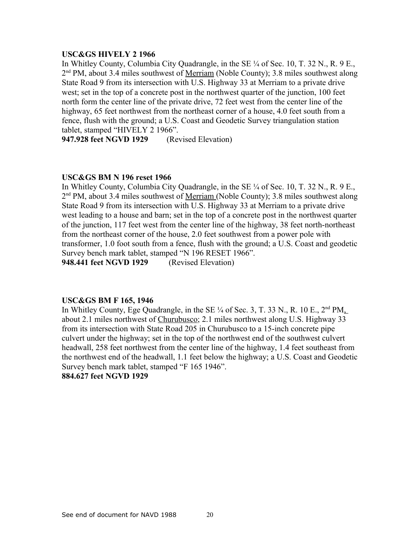### **USC&GS HIVELY 2 1966**

In Whitley County, Columbia City Quadrangle, in the SE ¼ of Sec. 10, T. 32 N., R. 9 E., 2<sup>nd</sup> PM, about 3.4 miles southwest of <u>Merriam</u> (Noble County); 3.8 miles southwest along State Road 9 from its intersection with U.S. Highway 33 at Merriam to a private drive west; set in the top of a concrete post in the northwest quarter of the junction, 100 feet north form the center line of the private drive, 72 feet west from the center line of the highway, 65 feet northwest from the northeast corner of a house, 4.0 feet south from a fence, flush with the ground; a U.S. Coast and Geodetic Survey triangulation station tablet, stamped "HIVELY 2 1966".

**947.928 feet NGVD 1929** (Revised Elevation)

#### **USC&GS BM N 196 reset 1966**

In Whitley County, Columbia City Quadrangle, in the SE  $\frac{1}{4}$  of Sec. 10, T. 32 N., R. 9 E., 2<sup>nd</sup> PM, about 3.4 miles southwest of <u>Merriam (</u>Noble County); 3.8 miles southwest along State Road 9 from its intersection with U.S. Highway 33 at Merriam to a private drive west leading to a house and barn; set in the top of a concrete post in the northwest quarter of the junction, 117 feet west from the center line of the highway, 38 feet north-northeast from the northeast corner of the house, 2.0 feet southwest from a power pole with transformer, 1.0 foot south from a fence, flush with the ground; a U.S. Coast and geodetic Survey bench mark tablet, stamped "N 196 RESET 1966".

**948.441 feet NGVD 1929** (Revised Elevation)

#### **USC&GS BM F 165, 1946**

In Whitley County, Ege Quadrangle, in the SE  $\frac{1}{4}$  of Sec. 3, T. 33 N., R. 10 E.,  $2<sup>nd</sup> PM$ . about 2.1 miles northwest of Churubusco; 2.1 miles northwest along U.S. Highway 33 from its intersection with State Road 205 in Churubusco to a 15-inch concrete pipe culvert under the highway; set in the top of the northwest end of the southwest culvert headwall, 258 feet northwest from the center line of the highway, 1.4 feet southeast from the northwest end of the headwall, 1.1 feet below the highway; a U.S. Coast and Geodetic Survey bench mark tablet, stamped "F 165 1946".

### **884.627 feet NGVD 1929**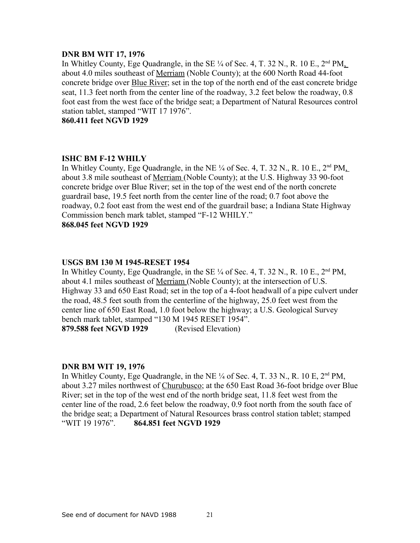## **DNR BM WIT 17, 1976**

In Whitley County, Ege Quadrangle, in the SE  $\frac{1}{4}$  of Sec. 4, T. 32 N., R. 10 E.,  $2<sup>nd</sup> PM$ . about 4.0 miles southeast of Merriam (Noble County); at the 600 North Road 44-foot concrete bridge over **Blue River**; set in the top of the north end of the east concrete bridge seat, 11.3 feet north from the center line of the roadway, 3.2 feet below the roadway, 0.8 foot east from the west face of the bridge seat; a Department of Natural Resources control station tablet, stamped "WIT 17 1976".

**860.411 feet NGVD 1929**

## **ISHC BM F-12 WHILY**

In Whitley County, Ege Quadrangle, in the NE  $\frac{1}{4}$  of Sec. 4, T. 32 N., R. 10 E.,  $2<sup>nd</sup> PM$ . about 3.8 mile southeast of Merriam (Noble County); at the U.S. Highway 33 90-foot concrete bridge over Blue River; set in the top of the west end of the north concrete guardrail base, 19.5 feet north from the center line of the road; 0.7 foot above the roadway, 0.2 foot east from the west end of the guardrail base; a Indiana State Highway Commission bench mark tablet, stamped "F-12 WHILY." **868.045 feet NGVD 1929**

## **USGS BM 130 M 1945-RESET 1954**

In Whitley County, Ege Quadrangle, in the SE  $\frac{1}{4}$  of Sec. 4, T. 32 N., R. 10 E., 2<sup>nd</sup> PM, about 4.1 miles southeast of Merriam (Noble County); at the intersection of U.S. Highway 33 and 650 East Road; set in the top of a 4-foot headwall of a pipe culvert under the road, 48.5 feet south from the centerline of the highway, 25.0 feet west from the center line of 650 East Road, 1.0 foot below the highway; a U.S. Geological Survey bench mark tablet, stamped "130 M 1945 RESET 1954".

**879.588 feet NGVD 1929** (Revised Elevation)

## **DNR BM WIT 19, 1976**

In Whitley County, Ege Quadrangle, in the NE  $\frac{1}{4}$  of Sec. 4, T. 33 N., R. 10 E,  $2^{nd}$  PM, about 3.27 miles northwest of Churubusco; at the 650 East Road 36-foot bridge over Blue River; set in the top of the west end of the north bridge seat, 11.8 feet west from the center line of the road, 2.6 feet below the roadway, 0.9 foot north from the south face of the bridge seat; a Department of Natural Resources brass control station tablet; stamped "WIT 19 1976". **864.851 feet NGVD 1929**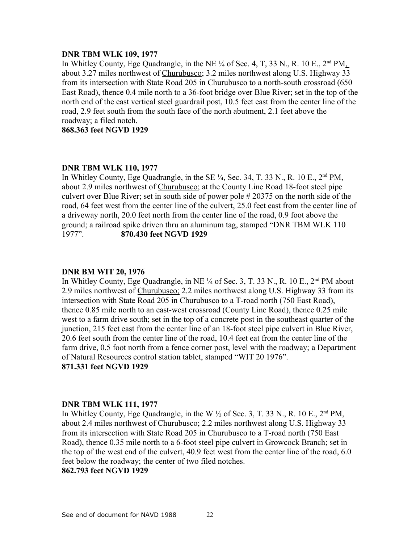#### **DNR TBM WLK 109, 1977**

In Whitley County, Ege Quadrangle, in the NE  $\frac{1}{4}$  of Sec. 4, T, 33 N., R. 10 E.,  $2<sup>nd</sup> PM$ . about 3.27 miles northwest of Churubusco; 3.2 miles northwest along U.S. Highway 33 from its intersection with State Road 205 in Churubusco to a north-south crossroad (650 East Road), thence 0.4 mile north to a 36-foot bridge over Blue River; set in the top of the north end of the east vertical steel guardrail post, 10.5 feet east from the center line of the road, 2.9 feet south from the south face of the north abutment, 2.1 feet above the roadway; a filed notch.

**868.363 feet NGVD 1929**

## **DNR TBM WLK 110, 1977**

In Whitley County, Ege Quadrangle, in the SE  $\frac{1}{4}$ , Sec. 34, T. 33 N., R. 10 E., 2<sup>nd</sup> PM, about 2.9 miles northwest of Churubusco; at the County Line Road 18-foot steel pipe culvert over Blue River; set in south side of power pole # 20375 on the north side of the road, 64 feet west from the center line of the culvert, 25.0 feet east from the center line of a driveway north, 20.0 feet north from the center line of the road, 0.9 foot above the ground; a railroad spike driven thru an aluminum tag, stamped "DNR TBM WLK 110 1977". **870.430 feet NGVD 1929**

## **DNR BM WIT 20, 1976**

In Whitley County, Ege Quadrangle, in NE  $\frac{1}{4}$  of Sec. 3, T. 33 N., R. 10 E.,  $2<sup>nd</sup>$  PM about 2.9 miles northwest of Churubusco; 2.2 miles northwest along U.S. Highway 33 from its intersection with State Road 205 in Churubusco to a T-road north (750 East Road), thence 0.85 mile north to an east-west crossroad (County Line Road), thence 0.25 mile west to a farm drive south; set in the top of a concrete post in the southeast quarter of the junction, 215 feet east from the center line of an 18-foot steel pipe culvert in Blue River, 20.6 feet south from the center line of the road, 10.4 feet eat from the center line of the farm drive, 0.5 foot north from a fence corner post, level with the roadway; a Department of Natural Resources control station tablet, stamped "WIT 20 1976". **871.331 feet NGVD 1929**

## **DNR TBM WLK 111, 1977**

In Whitley County, Ege Quadrangle, in the W  $\frac{1}{2}$  of Sec. 3, T. 33 N., R. 10 E., 2<sup>nd</sup> PM, about 2.4 miles northwest of Churubusco; 2.2 miles northwest along U.S. Highway 33 from its intersection with State Road 205 in Churubusco to a T-road north (750 East Road), thence 0.35 mile north to a 6-foot steel pipe culvert in Growcock Branch; set in the top of the west end of the culvert, 40.9 feet west from the center line of the road, 6.0 feet below the roadway; the center of two filed notches.

## **862.793 feet NGVD 1929**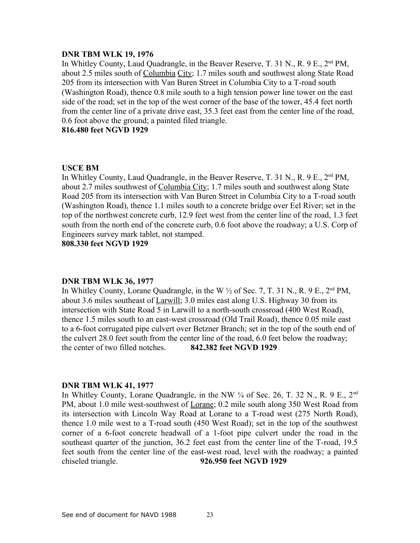#### **DNR TBM WLK 19, 1976**

In Whitley County, Laud Quadrangle, in the Beaver Reserve, T. 31 N., R. 9 E., 2<sup>nd</sup> PM, about 2.5 miles south of Columbia City; 1.7 miles south and southwest along State Road 205 from its intersection with Van Buren Street in Columbia City to a T-road south (Washington Road), thence 0.8 mile south to a high tension power line tower on the east side of the road; set in the top of the west corner of the base of the tower, 45.4 feet north from the center line of a private drive east, 35.3 feet east from the center line of the road, 0.6 foot above the ground; a painted filed triangle.

## **816.480 feet NGVD 1929**

#### **USCE BM**

In Whitley County, Laud Quadrangle, in the Beaver Reserve, T. 31 N., R. 9 E., 2<sup>nd</sup> PM, about 2.7 miles southwest of Columbia City; 1.7 miles south and southwest along State Road 205 from its intersection with Van Buren Street in Columbia City to a T-road south (Washington Road), thence 1.1 miles south to a concrete bridge over Eel River; set in the top of the northwest concrete curb, 12.9 feet west from the center line of the road, 1.3 feet south from the north end of the concrete curb, 0.6 foot above the roadway; a U.S. Corp of Engineers survey mark tablet, not stamped.

**808.330 feet NGVD 1929**

## **DNR TBM WLK 36, 1977**

In Whitley County, Lorane Quadrangle, in the W  $\frac{1}{2}$  of Sec. 7, T. 31 N., R. 9 E., 2<sup>nd</sup> PM, about 3.6 miles southeast of Larwill; 3.0 miles east along U.S. Highway 30 from its intersection with State Road 5 in Larwill to a north-south crossroad (400 West Road), thence 1.5 miles south to an east-west crossroad (Old Trail Road), thence 0.05 mile east to a 6-foot corrugated pipe culvert over Betzner Branch; set in the top of the south end of the culvert 28.0 feet south from the center line of the road, 6.0 feet below the roadway; the center of two filled notches. **842.382 feet NGVD 1929**

#### **DNR TBM WLK 41, 1977**

In Whitley County, Lorane Quadrangle, in the NW  $\frac{1}{4}$  of Sec. 26, T. 32 N., R. 9 E., 2<sup>nd</sup> PM, about 1.0 mile west-southwest of Lorane; 0.2 mile south along 350 West Road from its intersection with Lincoln Way Road at Lorane to a T-road west (275 North Road), thence 1.0 mile west to a T-road south (450 West Road); set in the top of the southwest corner of a 6-foot concrete headwall of a 1-foot pipe culvert under the road in the southeast quarter of the junction, 36.2 feet east from the center line of the T-road, 19.5 feet south from the center line of the east-west road, level with the roadway; a painted chiseled triangle. **926.950 feet NGVD 1929**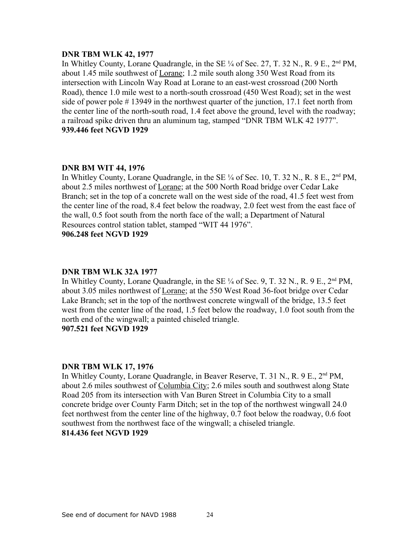#### **DNR TBM WLK 42, 1977**

In Whitley County, Lorane Quadrangle, in the SE  $\frac{1}{4}$  of Sec. 27, T. 32 N., R. 9 E., 2<sup>nd</sup> PM, about 1.45 mile southwest of Lorane; 1.2 mile south along 350 West Road from its intersection with Lincoln Way Road at Lorane to an east-west crossroad (200 North Road), thence 1.0 mile west to a north-south crossroad (450 West Road); set in the west side of power pole # 13949 in the northwest quarter of the junction, 17.1 feet north from the center line of the north-south road, 1.4 feet above the ground, level with the roadway; a railroad spike driven thru an aluminum tag, stamped "DNR TBM WLK 42 1977". **939.446 feet NGVD 1929**

## **DNR BM WIT 44, 1976**

In Whitley County, Lorane Quadrangle, in the SE  $\frac{1}{4}$  of Sec. 10, T. 32 N., R. 8 E., 2<sup>nd</sup> PM, about 2.5 miles northwest of Lorane; at the 500 North Road bridge over Cedar Lake Branch; set in the top of a concrete wall on the west side of the road, 41.5 feet west from the center line of the road, 8.4 feet below the roadway, 2.0 feet west from the east face of the wall, 0.5 foot south from the north face of the wall; a Department of Natural Resources control station tablet, stamped "WIT 44 1976". **906.248 feet NGVD 1929**

#### **DNR TBM WLK 32A 1977**

In Whitley County, Lorane Quadrangle, in the SE  $\frac{1}{4}$  of Sec. 9, T. 32 N., R. 9 E., 2<sup>nd</sup> PM, about 3.05 miles northwest of Lorane; at the 550 West Road 36-foot bridge over Cedar Lake Branch; set in the top of the northwest concrete wingwall of the bridge, 13.5 feet west from the center line of the road, 1.5 feet below the roadway, 1.0 foot south from the north end of the wingwall; a painted chiseled triangle.

**907.521 feet NGVD 1929**

#### **DNR TBM WLK 17, 1976**

In Whitley County, Lorane Quadrangle, in Beaver Reserve, T. 31 N., R. 9 E., 2<sup>nd</sup> PM, about 2.6 miles southwest of Columbia City; 2.6 miles south and southwest along State Road 205 from its intersection with Van Buren Street in Columbia City to a small concrete bridge over County Farm Ditch; set in the top of the northwest wingwall 24.0 feet northwest from the center line of the highway, 0.7 foot below the roadway, 0.6 foot southwest from the northwest face of the wingwall; a chiseled triangle. **814.436 feet NGVD 1929**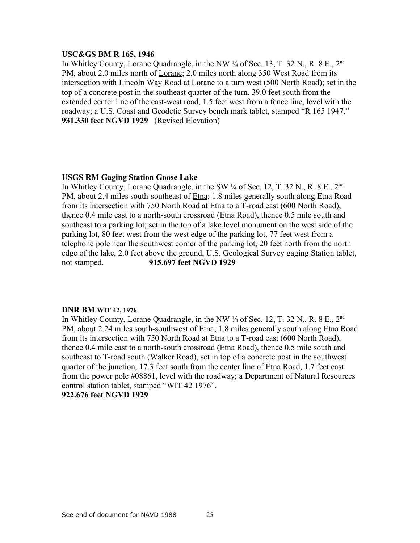#### **USC&GS BM R 165, 1946**

In Whitley County, Lorane Quadrangle, in the NW  $\frac{1}{4}$  of Sec. 13, T. 32 N., R. 8 E., 2<sup>nd</sup> PM, about 2.0 miles north of Lorane; 2.0 miles north along 350 West Road from its intersection with Lincoln Way Road at Lorane to a turn west (500 North Road); set in the top of a concrete post in the southeast quarter of the turn, 39.0 feet south from the extended center line of the east-west road, 1.5 feet west from a fence line, level with the roadway; a U.S. Coast and Geodetic Survey bench mark tablet, stamped "R 165 1947." **931.330 feet NGVD 1929** (Revised Elevation)

## **USGS RM Gaging Station Goose Lake**

In Whitley County, Lorane Quadrangle, in the SW  $\frac{1}{4}$  of Sec. 12, T. 32 N., R. 8 E., 2<sup>nd</sup> PM, about 2.4 miles south-southeast of Etna; 1.8 miles generally south along Etna Road from its intersection with 750 North Road at Etna to a T-road east (600 North Road), thence 0.4 mile east to a north-south crossroad (Etna Road), thence 0.5 mile south and southeast to a parking lot; set in the top of a lake level monument on the west side of the parking lot, 80 feet west from the west edge of the parking lot, 77 feet west from a telephone pole near the southwest corner of the parking lot, 20 feet north from the north edge of the lake, 2.0 feet above the ground, U.S. Geological Survey gaging Station tablet, not stamped. **915.697 feet NGVD 1929**

## **DNR BM WIT 42, 1976**

In Whitley County, Lorane Quadrangle, in the NW  $\frac{1}{4}$  of Sec. 12, T. 32 N., R. 8 E., 2<sup>nd</sup> PM, about 2.24 miles south-southwest of Etna; 1.8 miles generally south along Etna Road from its intersection with 750 North Road at Etna to a T-road east (600 North Road), thence 0.4 mile east to a north-south crossroad (Etna Road), thence 0.5 mile south and southeast to T-road south (Walker Road), set in top of a concrete post in the southwest quarter of the junction, 17.3 feet south from the center line of Etna Road, 1.7 feet east from the power pole #08861, level with the roadway; a Department of Natural Resources control station tablet, stamped "WIT 42 1976". **922.676 feet NGVD 1929**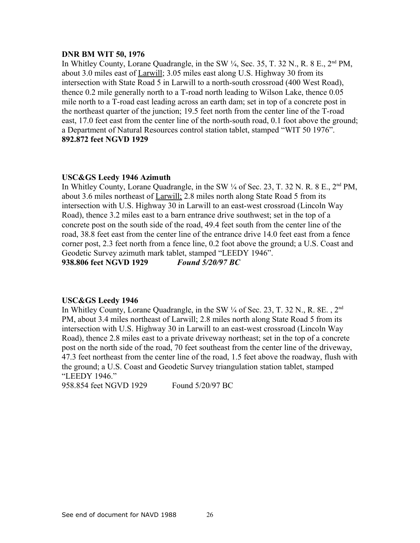### **DNR BM WIT 50, 1976**

In Whitley County, Lorane Quadrangle, in the SW  $\frac{1}{4}$ , Sec. 35, T. 32 N., R. 8 E., 2<sup>nd</sup> PM, about 3.0 miles east of Larwill; 3.05 miles east along U.S. Highway 30 from its intersection with State Road 5 in Larwill to a north-south crossroad (400 West Road), thence 0.2 mile generally north to a T-road north leading to Wilson Lake, thence 0.05 mile north to a T-road east leading across an earth dam; set in top of a concrete post in the northeast quarter of the junction; 19.5 feet north from the center line of the T-road east, 17.0 feet east from the center line of the north-south road, 0.1 foot above the ground; a Department of Natural Resources control station tablet, stamped "WIT 50 1976". **892.872 feet NGVD 1929**

## **USC&GS Leedy 1946 Azimuth**

In Whitley County, Lorane Quadrangle, in the SW  $\frac{1}{4}$  of Sec. 23, T. 32 N. R. 8 E.,  $2<sup>nd</sup> PM$ , about 3.6 miles northeast of Larwill; 2.8 miles north along State Road 5 from its intersection with U.S. Highway 30 in Larwill to an east-west crossroad (Lincoln Way Road), thence 3.2 miles east to a barn entrance drive southwest; set in the top of a concrete post on the south side of the road, 49.4 feet south from the center line of the road, 38.8 feet east from the center line of the entrance drive 14.0 feet east from a fence corner post, 2.3 feet north from a fence line, 0.2 foot above the ground; a U.S. Coast and Geodetic Survey azimuth mark tablet, stamped "LEEDY 1946".

**938.806 feet NGVD 1929** *Found 5/20/97 BC*

#### **USC&GS Leedy 1946**

In Whitley County, Lorane Quadrangle, in the SW  $\frac{1}{4}$  of Sec. 23, T. 32 N., R. 8E., 2<sup>nd</sup> PM, about 3.4 miles northeast of Larwill; 2.8 miles north along State Road 5 from its intersection with U.S. Highway 30 in Larwill to an east-west crossroad (Lincoln Way Road), thence 2.8 miles east to a private driveway northeast; set in the top of a concrete post on the north side of the road, 70 feet southeast from the center line of the driveway, 47.3 feet northeast from the center line of the road, 1.5 feet above the roadway, flush with the ground; a U.S. Coast and Geodetic Survey triangulation station tablet, stamped "LEEDY 1946."

958.854 feet NGVD 1929 Found 5/20/97 BC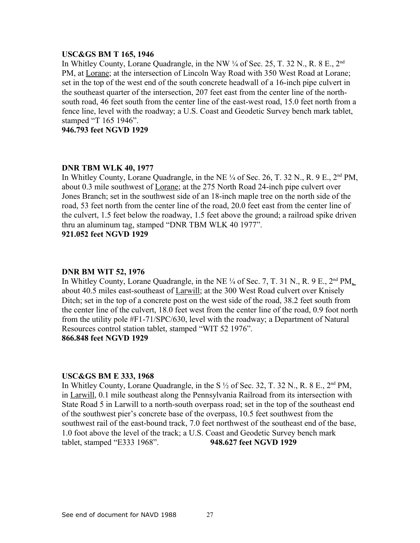#### **USC&GS BM T 165, 1946**

In Whitley County, Lorane Quadrangle, in the NW  $\frac{1}{4}$  of Sec. 25, T. 32 N., R. 8 E., 2<sup>nd</sup> PM, at Lorane; at the intersection of Lincoln Way Road with 350 West Road at Lorane; set in the top of the west end of the south concrete headwall of a 16-inch pipe culvert in the southeast quarter of the intersection, 207 feet east from the center line of the northsouth road, 46 feet south from the center line of the east-west road, 15.0 feet north from a fence line, level with the roadway; a U.S. Coast and Geodetic Survey bench mark tablet, stamped "T 165 1946".

**946.793 feet NGVD 1929**

## **DNR TBM WLK 40, 1977**

In Whitley County, Lorane Quadrangle, in the NE  $\frac{1}{4}$  of Sec. 26, T. 32 N., R. 9 E., 2<sup>nd</sup> PM, about 0.3 mile southwest of Lorane; at the 275 North Road 24-inch pipe culvert over Jones Branch; set in the southwest side of an 18-inch maple tree on the north side of the road, 53 feet north from the center line of the road, 20.0 feet east from the center line of the culvert, 1.5 feet below the roadway, 1.5 feet above the ground; a railroad spike driven thru an aluminum tag, stamped "DNR TBM WLK 40 1977".

**921.052 feet NGVD 1929**

#### **DNR BM WIT 52, 1976**

In Whitley County, Lorane Quadrangle, in the NE  $\frac{1}{4}$  of Sec. 7, T. 31 N., R. 9 E.,  $2<sup>nd</sup> PM$ , about 40.5 miles east-southeast of Larwill; at the 300 West Road culvert over Knisely Ditch; set in the top of a concrete post on the west side of the road, 38.2 feet south from the center line of the culvert, 18.0 feet west from the center line of the road, 0.9 foot north from the utility pole #F1-71/SPC/630, level with the roadway; a Department of Natural Resources control station tablet, stamped "WIT 52 1976". **866.848 feet NGVD 1929**

#### **USC&GS BM E 333, 1968**

In Whitley County, Lorane Quadrangle, in the S  $\frac{1}{2}$  of Sec. 32, T. 32 N., R. 8 E., 2<sup>nd</sup> PM, in Larwill, 0.1 mile southeast along the Pennsylvania Railroad from its intersection with State Road 5 in Larwill to a north-south overpass road; set in the top of the southeast end of the southwest pier's concrete base of the overpass, 10.5 feet southwest from the southwest rail of the east-bound track, 7.0 feet northwest of the southeast end of the base, 1.0 foot above the level of the track; a U.S. Coast and Geodetic Survey bench mark tablet, stamped "E333 1968". **948.627 feet NGVD 1929**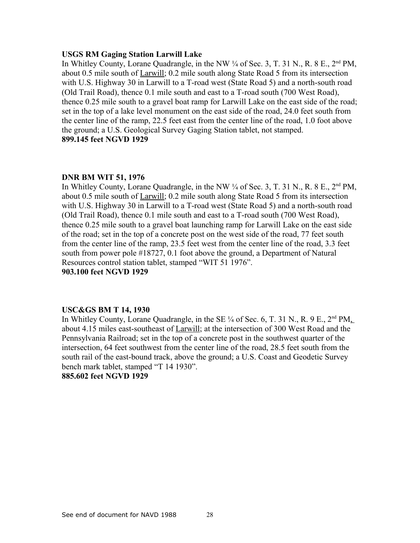#### **USGS RM Gaging Station Larwill Lake**

In Whitley County, Lorane Quadrangle, in the NW  $\frac{1}{4}$  of Sec. 3, T. 31 N., R. 8 E., 2<sup>nd</sup> PM, about 0.5 mile south of Larwill; 0.2 mile south along State Road 5 from its intersection with U.S. Highway 30 in Larwill to a T-road west (State Road 5) and a north-south road (Old Trail Road), thence 0.1 mile south and east to a T-road south (700 West Road), thence 0.25 mile south to a gravel boat ramp for Larwill Lake on the east side of the road; set in the top of a lake level monument on the east side of the road, 24.0 feet south from the center line of the ramp, 22.5 feet east from the center line of the road, 1.0 foot above the ground; a U.S. Geological Survey Gaging Station tablet, not stamped. **899.145 feet NGVD 1929**

#### **DNR BM WIT 51, 1976**

In Whitley County, Lorane Quadrangle, in the NW  $\frac{1}{4}$  of Sec. 3, T. 31 N., R. 8 E.,  $2<sup>nd</sup> PM$ , about 0.5 mile south of Larwill; 0.2 mile south along State Road 5 from its intersection with U.S. Highway 30 in Larwill to a T-road west (State Road 5) and a north-south road (Old Trail Road), thence 0.1 mile south and east to a T-road south (700 West Road), thence 0.25 mile south to a gravel boat launching ramp for Larwill Lake on the east side of the road; set in the top of a concrete post on the west side of the road, 77 feet south from the center line of the ramp, 23.5 feet west from the center line of the road, 3.3 feet south from power pole #18727, 0.1 foot above the ground, a Department of Natural Resources control station tablet, stamped "WIT 51 1976". **903.100 feet NGVD 1929**

#### **USC&GS BM T 14, 1930**

In Whitley County, Lorane Quadrangle, in the SE  $\frac{1}{4}$  of Sec. 6, T. 31 N., R. 9 E., 2<sup>nd</sup> PM<sub>1</sub> about 4.15 miles east-southeast of Larwill; at the intersection of 300 West Road and the Pennsylvania Railroad; set in the top of a concrete post in the southwest quarter of the intersection, 64 feet southwest from the center line of the road, 28.5 feet south from the south rail of the east-bound track, above the ground; a U.S. Coast and Geodetic Survey bench mark tablet, stamped "T 14 1930".

## **885.602 feet NGVD 1929**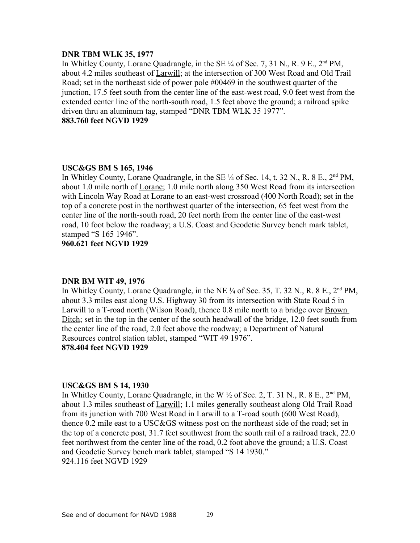### **DNR TBM WLK 35, 1977**

In Whitley County, Lorane Quadrangle, in the SE  $\frac{1}{4}$  of Sec. 7, 31 N., R. 9 E.,  $2^{nd}$  PM, about 4.2 miles southeast of Larwill; at the intersection of 300 West Road and Old Trail Road; set in the northeast side of power pole #00469 in the southwest quarter of the junction, 17.5 feet south from the center line of the east-west road, 9.0 feet west from the extended center line of the north-south road, 1.5 feet above the ground; a railroad spike driven thru an aluminum tag, stamped "DNR TBM WLK 35 1977". **883.760 feet NGVD 1929**

## **USC&GS BM S 165, 1946**

In Whitley County, Lorane Quadrangle, in the SE  $\frac{1}{4}$  of Sec. 14, t. 32 N., R. 8 E., 2<sup>nd</sup> PM, about 1.0 mile north of Lorane; 1.0 mile north along 350 West Road from its intersection with Lincoln Way Road at Lorane to an east-west crossroad (400 North Road); set in the top of a concrete post in the northwest quarter of the intersection, 65 feet west from the center line of the north-south road, 20 feet north from the center line of the east-west road, 10 foot below the roadway; a U.S. Coast and Geodetic Survey bench mark tablet, stamped "S 165 1946".

**960.621 feet NGVD 1929**

#### **DNR BM WIT 49, 1976**

In Whitley County, Lorane Quadrangle, in the NE  $\frac{1}{4}$  of Sec. 35, T. 32 N., R. 8 E., 2<sup>nd</sup> PM, about 3.3 miles east along U.S. Highway 30 from its intersection with State Road 5 in Larwill to a T-road north (Wilson Road), thence 0.8 mile north to a bridge over Brown Ditch; set in the top in the center of the south headwall of the bridge, 12.0 feet south from the center line of the road, 2.0 feet above the roadway; a Department of Natural Resources control station tablet, stamped "WIT 49 1976". **878.404 feet NGVD 1929**

#### **USC&GS BM S 14, 1930**

In Whitley County, Lorane Quadrangle, in the W  $\frac{1}{2}$  of Sec. 2, T. 31 N., R. 8 E., 2<sup>nd</sup> PM, about 1.3 miles southeast of Larwill; 1.1 miles generally southeast along Old Trail Road from its junction with 700 West Road in Larwill to a T-road south (600 West Road), thence 0.2 mile east to a USC&GS witness post on the northeast side of the road; set in the top of a concrete post, 31.7 feet southwest from the south rail of a railroad track, 22.0 feet northwest from the center line of the road, 0.2 foot above the ground; a U.S. Coast and Geodetic Survey bench mark tablet, stamped "S 14 1930." 924.116 feet NGVD 1929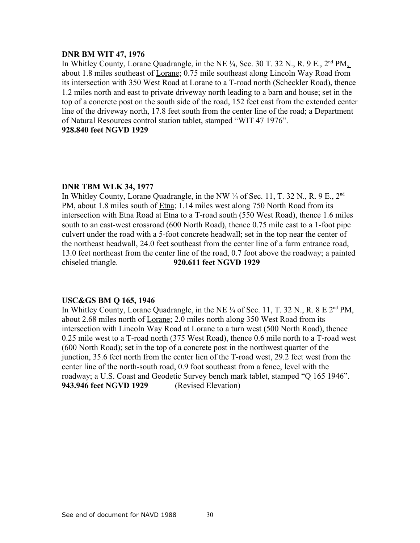## **DNR BM WIT 47, 1976**

In Whitley County, Lorane Quadrangle, in the NE  $\frac{1}{4}$ , Sec. 30 T. 32 N., R. 9 E., 2<sup>nd</sup> PM<sub>n</sub> about 1.8 miles southeast of Lorane; 0.75 mile southeast along Lincoln Way Road from its intersection with 350 West Road at Lorane to a T-road north (Scheckler Road), thence 1.2 miles north and east to private driveway north leading to a barn and house; set in the top of a concrete post on the south side of the road, 152 feet east from the extended center line of the driveway north, 17.8 feet south from the center line of the road; a Department of Natural Resources control station tablet, stamped "WIT 47 1976".

# **928.840 feet NGVD 1929**

## **DNR TBM WLK 34, 1977**

In Whitley County, Lorane Quadrangle, in the NW  $\frac{1}{4}$  of Sec. 11, T. 32 N., R. 9 E., 2<sup>nd</sup> PM, about 1.8 miles south of Etna; 1.14 miles west along 750 North Road from its intersection with Etna Road at Etna to a T-road south (550 West Road), thence 1.6 miles south to an east-west crossroad (600 North Road), thence 0.75 mile east to a 1-foot pipe culvert under the road with a 5-foot concrete headwall; set in the top near the center of the northeast headwall, 24.0 feet southeast from the center line of a farm entrance road, 13.0 feet northeast from the center line of the road, 0.7 foot above the roadway; a painted chiseled triangle. **920.611 feet NGVD 1929**

## **USC&GS BM Q 165, 1946**

In Whitley County, Lorane Quadrangle, in the NE  $\frac{1}{4}$  of Sec. 11, T. 32 N., R. 8 E  $2<sup>nd</sup>$  PM, about 2.68 miles north of Lorane; 2.0 miles north along 350 West Road from its intersection with Lincoln Way Road at Lorane to a turn west (500 North Road), thence 0.25 mile west to a T-road north (375 West Road), thence 0.6 mile north to a T-road west (600 North Road); set in the top of a concrete post in the northwest quarter of the junction, 35.6 feet north from the center lien of the T-road west, 29.2 feet west from the center line of the north-south road, 0.9 foot southeast from a fence, level with the roadway; a U.S. Coast and Geodetic Survey bench mark tablet, stamped "Q 165 1946". **943.946 feet NGVD 1929** (Revised Elevation)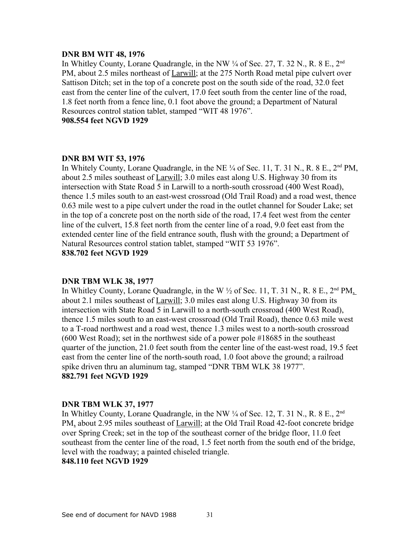### **DNR BM WIT 48, 1976**

In Whitley County, Lorane Quadrangle, in the NW  $\frac{1}{4}$  of Sec. 27, T. 32 N., R. 8 E., 2<sup>nd</sup> PM, about 2.5 miles northeast of Larwill; at the 275 North Road metal pipe culvert over Sattison Ditch; set in the top of a concrete post on the south side of the road, 32.0 feet east from the center line of the culvert, 17.0 feet south from the center line of the road, 1.8 feet north from a fence line, 0.1 foot above the ground; a Department of Natural Resources control station tablet, stamped "WIT 48 1976".

**908.554 feet NGVD 1929**

## **DNR BM WIT 53, 1976**

In Whitely County, Lorane Quadrangle, in the NE  $\frac{1}{4}$  of Sec. 11, T. 31 N., R. 8 E.,  $2<sup>nd</sup> PM$ , about 2.5 miles southeast of Larwill; 3.0 miles east along U.S. Highway 30 from its intersection with State Road 5 in Larwill to a north-south crossroad (400 West Road), thence 1.5 miles south to an east-west crossroad (Old Trail Road) and a road west, thence 0.63 mile west to a pipe culvert under the road in the outlet channel for Souder Lake; set in the top of a concrete post on the north side of the road, 17.4 feet west from the center line of the culvert, 15.8 feet north from the center line of a road, 9.0 feet east from the extended center line of the field entrance south, flush with the ground; a Department of Natural Resources control station tablet, stamped "WIT 53 1976". **838.702 feet NGVD 1929**

#### **DNR TBM WLK 38, 1977**

In Whitley County, Lorane Quadrangle, in the W  $\frac{1}{2}$  of Sec. 11, T. 31 N., R. 8 E.,  $2<sup>nd</sup> PM$ , about 2.1 miles southeast of Larwill; 3.0 miles east along U.S. Highway 30 from its intersection with State Road 5 in Larwill to a north-south crossroad (400 West Road), thence 1.5 miles south to an east-west crossroad (Old Trail Road), thence 0.63 mile west to a T-road northwest and a road west, thence 1.3 miles west to a north-south crossroad (600 West Road); set in the northwest side of a power pole #18685 in the southeast quarter of the junction, 21.0 feet south from the center line of the east-west road, 19.5 feet east from the center line of the north-south road, 1.0 foot above the ground; a railroad spike driven thru an aluminum tag, stamped "DNR TBM WLK 38 1977". **882.791 feet NGVD 1929**

#### **DNR TBM WLK 37, 1977**

In Whitley County, Lorane Quadrangle, in the NW ¼ of Sec. 12, T. 31 N., R. 8 E., 2<sup>nd</sup> PM, about 2.95 miles southeast of Larwill; at the Old Trail Road 42-foot concrete bridge over Spring Creek; set in the top of the southeast corner of the bridge floor, 11.0 feet southeast from the center line of the road, 1.5 feet north from the south end of the bridge, level with the roadway; a painted chiseled triangle.

## **848.110 feet NGVD 1929**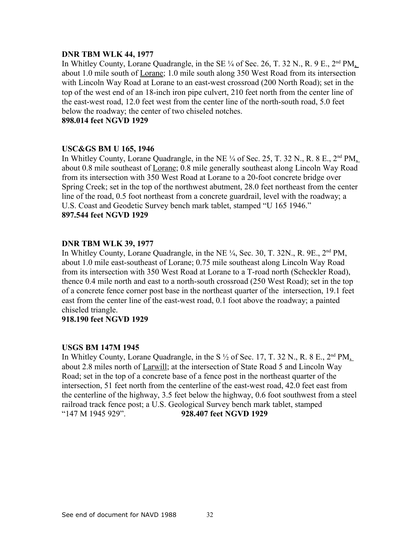## **DNR TBM WLK 44, 1977**

In Whitley County, Lorane Quadrangle, in the SE  $\frac{1}{4}$  of Sec. 26, T. 32 N., R. 9 E., 2<sup>nd</sup> PM, about 1.0 mile south of Lorane; 1.0 mile south along 350 West Road from its intersection with Lincoln Way Road at Lorane to an east-west crossroad (200 North Road); set in the top of the west end of an 18-inch iron pipe culvert, 210 feet north from the center line of the east-west road, 12.0 feet west from the center line of the north-south road, 5.0 feet below the roadway; the center of two chiseled notches.

**898.014 feet NGVD 1929**

## **USC&GS BM U 165, 1946**

In Whitley County, Lorane Quadrangle, in the NE  $\frac{1}{4}$  of Sec. 25, T. 32 N., R. 8 E., 2<sup>nd</sup> PM, about 0.8 mile southeast of Lorane; 0.8 mile generally southeast along Lincoln Way Road from its intersection with 350 West Road at Lorane to a 20-foot concrete bridge over Spring Creek; set in the top of the northwest abutment, 28.0 feet northeast from the center line of the road, 0.5 foot northeast from a concrete guardrail, level with the roadway; a U.S. Coast and Geodetic Survey bench mark tablet, stamped "U 165 1946." **897.544 feet NGVD 1929**

## **DNR TBM WLK 39, 1977**

In Whitley County, Lorane Quadrangle, in the NE ¼, Sec. 30, T. 32N., R. 9E., 2nd PM, about 1.0 mile east-southeast of Lorane; 0.75 mile southeast along Lincoln Way Road from its intersection with 350 West Road at Lorane to a T-road north (Scheckler Road), thence 0.4 mile north and east to a north-south crossroad (250 West Road); set in the top of a concrete fence corner post base in the northeast quarter of the intersection, 19.1 feet east from the center line of the east-west road, 0.1 foot above the roadway; a painted chiseled triangle.

**918.190 feet NGVD 1929**

## **USGS BM 147M 1945**

In Whitley County, Lorane Quadrangle, in the S  $\frac{1}{2}$  of Sec. 17, T. 32 N., R. 8 E., 2<sup>nd</sup> PM, about 2.8 miles north of Larwill; at the intersection of State Road 5 and Lincoln Way Road; set in the top of a concrete base of a fence post in the northeast quarter of the intersection, 51 feet north from the centerline of the east-west road, 42.0 feet east from the centerline of the highway, 3.5 feet below the highway, 0.6 foot southwest from a steel railroad track fence post; a U.S. Geological Survey bench mark tablet, stamped "147 M 1945 929". **928.407 feet NGVD 1929**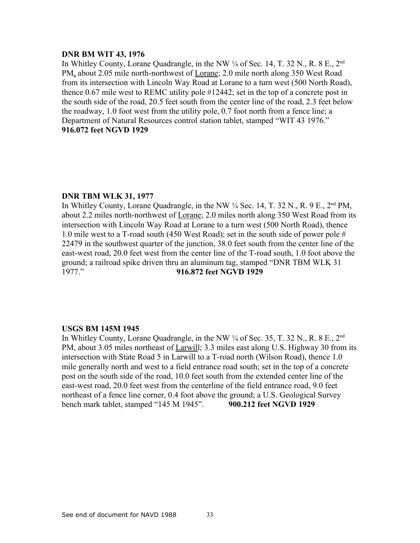## **DNR BM WIT 43, 1976**

In Whitley County, Lorane Quadrangle, in the NW  $\frac{1}{4}$  of Sec. 14, T. 32 N., R. 8 E., 2<sup>nd</sup> PM, about 2.05 mile north-northwest of Lorane; 2.0 mile north along 350 West Road from its intersection with Lincoln Way Road at Lorane to a turn west (500 North Road), thence 0.67 mile west to REMC utility pole #12442; set in the top of a concrete post in the south side of the road, 20.5 feet south from the center line of the road, 2.3 feet below the roadway, 1.0 foot west from the utility pole, 0.7 foot north from a fence line; a Department of Natural Resources control station tablet, stamped "WIT 43 1976." **916.072 feet NGVD 1929**

#### **DNR TBM WLK 31, 1977**

In Whitley County, Lorane Quadrangle, in the NW  $\frac{1}{4}$  Sec. 14, T, 32 N., R, 9 E., 2<sup>nd</sup> PM, about 2.2 miles north-northwest of Lorane; 2.0 miles north along 350 West Road from its intersection with Lincoln Way Road at Lorane to a turn west (500 North Road), thence 1.0 mile west to a T-road south (450 West Road); set in the south side of power pole # 22479 in the southwest quarter of the junction, 38.0 feet south from the center line of the east-west road, 20.0 feet west from the center line of the T-road south, 1.0 foot above the ground; a railroad spike driven thru an aluminum tag, stamped "DNR TBM WLK 31 1977." **916.872 feet NGVD 1929**

#### **USGS BM 145M 1945**

In Whitley County, Lorane Quadrangle, in the NW  $\frac{1}{4}$  of Sec. 35, T. 32 N., R. 8 E., 2<sup>nd</sup> PM, about 3.05 miles northeast of Larwill; 3.3 miles east along U.S. Highway 30 from its intersection with State Road 5 in Larwill to a T-road north (Wilson Road), thence 1.0 mile generally north and west to a field entrance road south; set in the top of a concrete post on the south side of the road, 10.0 feet south from the extended center line of the east-west road, 20.0 feet west from the centerline of the field entrance road, 9.0 feet northeast of a fence line corner, 0.4 foot above the ground; a U.S. Geological Survey bench mark tablet, stamped "145 M 1945". **900.212 feet NGVD 1929**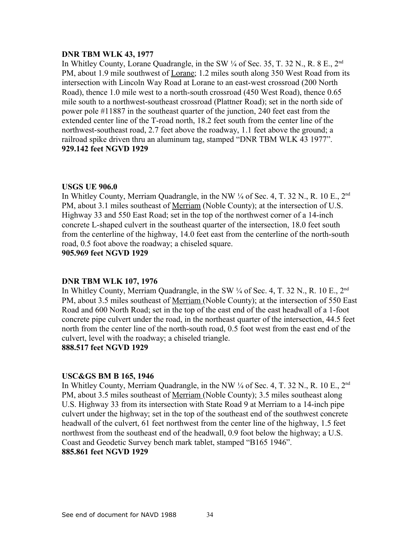## **DNR TBM WLK 43, 1977**

In Whitley County, Lorane Quadrangle, in the SW  $\frac{1}{4}$  of Sec. 35, T. 32 N., R. 8 E., 2<sup>nd</sup> PM, about 1.9 mile southwest of Lorane; 1.2 miles south along 350 West Road from its intersection with Lincoln Way Road at Lorane to an east-west crossroad (200 North Road), thence 1.0 mile west to a north-south crossroad (450 West Road), thence 0.65 mile south to a northwest-southeast crossroad (Plattner Road); set in the north side of power pole #11887 in the southeast quarter of the junction, 240 feet east from the extended center line of the T-road north, 18.2 feet south from the center line of the northwest-southeast road, 2.7 feet above the roadway, 1.1 feet above the ground; a railroad spike driven thru an aluminum tag, stamped "DNR TBM WLK 43 1977". **929.142 feet NGVD 1929**

#### **USGS UE 906.0**

In Whitley County, Merriam Quadrangle, in the NW  $\frac{1}{4}$  of Sec. 4, T. 32 N., R. 10 E., 2<sup>nd</sup> PM, about 3.1 miles southeast of Merriam (Noble County); at the intersection of U.S. Highway 33 and 550 East Road; set in the top of the northwest corner of a 14-inch concrete L-shaped culvert in the southeast quarter of the intersection, 18.0 feet south from the centerline of the highway, 14.0 feet east from the centerline of the north-south road, 0.5 foot above the roadway; a chiseled square.

**905.969 feet NGVD 1929**

## **DNR TBM WLK 107, 1976**

In Whitley County, Merriam Quadrangle, in the SW  $\frac{1}{4}$  of Sec. 4, T. 32 N., R. 10 E., 2<sup>nd</sup> PM, about 3.5 miles southeast of Merriam (Noble County); at the intersection of 550 East Road and 600 North Road; set in the top of the east end of the east headwall of a 1-foot concrete pipe culvert under the road, in the northeast quarter of the intersection, 44.5 feet north from the center line of the north-south road, 0.5 foot west from the east end of the culvert, level with the roadway; a chiseled triangle. **888.517 feet NGVD 1929**

## **USC&GS BM B 165, 1946**

In Whitley County, Merriam Quadrangle, in the NW  $\frac{1}{4}$  of Sec. 4, T. 32 N., R. 10 E., 2<sup>nd</sup> PM, about 3.5 miles southeast of Merriam (Noble County); 3.5 miles southeast along U.S. Highway 33 from its intersection with State Road 9 at Merriam to a 14-inch pipe culvert under the highway; set in the top of the southeast end of the southwest concrete headwall of the culvert, 61 feet northwest from the center line of the highway, 1.5 feet northwest from the southeast end of the headwall, 0.9 foot below the highway; a U.S. Coast and Geodetic Survey bench mark tablet, stamped "B165 1946". **885.861 feet NGVD 1929**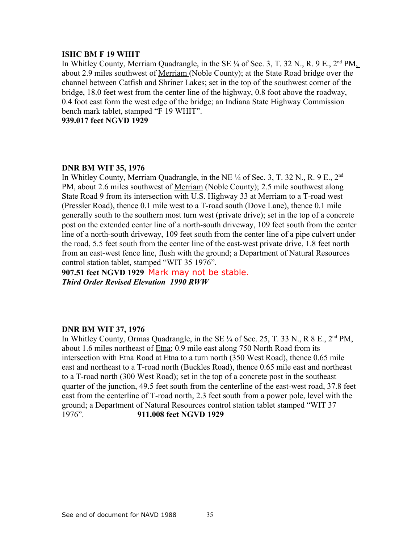## **ISHC BM F 19 WHIT**

In Whitley County, Merriam Quadrangle, in the SE  $\frac{1}{4}$  of Sec. 3, T. 32 N., R. 9 E., 2<sup>nd</sup> PM, about 2.9 miles southwest of Merriam (Noble County); at the State Road bridge over the channel between Catfish and Shriner Lakes; set in the top of the southwest corner of the bridge, 18.0 feet west from the center line of the highway, 0.8 foot above the roadway, 0.4 foot east form the west edge of the bridge; an Indiana State Highway Commission bench mark tablet, stamped "F 19 WHIT".

**939.017 feet NGVD 1929**

## **DNR BM WIT 35, 1976**

In Whitley County, Merriam Quadrangle, in the NE  $\frac{1}{4}$  of Sec. 3, T. 32 N., R. 9 E., 2<sup>nd</sup> PM, about 2.6 miles southwest of Merriam (Noble County); 2.5 mile southwest along State Road 9 from its intersection with U.S. Highway 33 at Merriam to a T-road west (Pressler Road), thence 0.1 mile west to a T-road south (Dove Lane), thence 0.1 mile generally south to the southern most turn west (private drive); set in the top of a concrete post on the extended center line of a north-south driveway, 109 feet south from the center line of a north-south driveway, 109 feet south from the center line of a pipe culvert under the road, 5.5 feet south from the center line of the east-west private drive, 1.8 feet north from an east-west fence line, flush with the ground; a Department of Natural Resources control station tablet, stamped "WIT 35 1976".

**907.51 feet NGVD 1929** Mark may not be stable. *Third Order Revised Elevation 1990 RWW*

## **DNR BM WIT 37, 1976**

In Whitley County, Ormas Quadrangle, in the SE  $\frac{1}{4}$  of Sec. 25, T. 33 N., R 8 E., 2<sup>nd</sup> PM, about 1.6 miles northeast of Etna; 0.9 mile east along 750 North Road from its intersection with Etna Road at Etna to a turn north (350 West Road), thence 0.65 mile east and northeast to a T-road north (Buckles Road), thence 0.65 mile east and northeast to a T-road north (300 West Road); set in the top of a concrete post in the southeast quarter of the junction, 49.5 feet south from the centerline of the east-west road, 37.8 feet east from the centerline of T-road north, 2.3 feet south from a power pole, level with the ground; a Department of Natural Resources control station tablet stamped "WIT 37 1976". **911.008 feet NGVD 1929**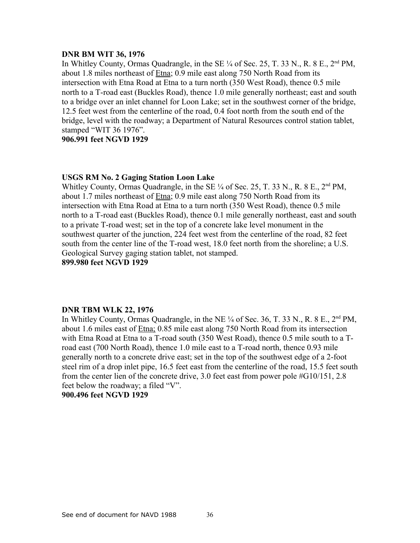## **DNR BM WIT 36, 1976**

In Whitley County, Ormas Quadrangle, in the SE  $\frac{1}{4}$  of Sec. 25, T. 33 N., R. 8 E., 2<sup>nd</sup> PM, about 1.8 miles northeast of Etna; 0.9 mile east along 750 North Road from its intersection with Etna Road at Etna to a turn north (350 West Road), thence 0.5 mile north to a T-road east (Buckles Road), thence 1.0 mile generally northeast; east and south to a bridge over an inlet channel for Loon Lake; set in the southwest corner of the bridge, 12.5 feet west from the centerline of the road, 0.4 foot north from the south end of the bridge, level with the roadway; a Department of Natural Resources control station tablet, stamped "WIT 36 1976".

**906.991 feet NGVD 1929**

#### **USGS RM No. 2 Gaging Station Loon Lake**

Whitley County, Ormas Quadrangle, in the SE  $\frac{1}{4}$  of Sec. 25, T. 33 N., R. 8 E., 2<sup>nd</sup> PM, about 1.7 miles northeast of Etna; 0.9 mile east along 750 North Road from its intersection with Etna Road at Etna to a turn north (350 West Road), thence 0.5 mile north to a T-road east (Buckles Road), thence 0.1 mile generally northeast, east and south to a private T-road west; set in the top of a concrete lake level monument in the southwest quarter of the junction, 224 feet west from the centerline of the road, 82 feet south from the center line of the T-road west, 18.0 feet north from the shoreline; a U.S. Geological Survey gaging station tablet, not stamped.

**899.980 feet NGVD 1929**

## **DNR TBM WLK 22, 1976**

In Whitley County, Ormas Quadrangle, in the NE  $\frac{1}{4}$  of Sec. 36, T. 33 N., R. 8 E.,  $2<sup>nd</sup> PM$ , about 1.6 miles east of Etna; 0.85 mile east along 750 North Road from its intersection with Etna Road at Etna to a T-road south (350 West Road), thence 0.5 mile south to a Troad east (700 North Road), thence 1.0 mile east to a T-road north, thence 0.93 mile generally north to a concrete drive east; set in the top of the southwest edge of a 2-foot steel rim of a drop inlet pipe, 16.5 feet east from the centerline of the road, 15.5 feet south from the center lien of the concrete drive, 3.0 feet east from power pole #G10/151, 2.8 feet below the roadway; a filed "V".

**900.496 feet NGVD 1929**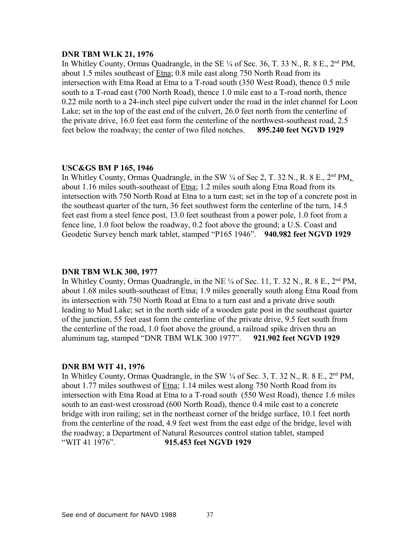#### **DNR TBM WLK 21, 1976**

In Whitley County, Ormas Quadrangle, in the SE  $\frac{1}{4}$  of Sec. 36, T. 33 N., R. 8 E., 2<sup>nd</sup> PM, about 1.5 miles southeast of Etna; 0.8 mile east along 750 North Road from its intersection with Etna Road at Etna to a T-road south (350 West Road), thence 0.5 mile south to a T-road east (700 North Road), thence 1.0 mile east to a T-road north, thence 0.22 mile north to a 24-inch steel pipe culvert under the road in the inlet channel for Loon Lake; set in the top of the east end of the culvert, 26.0 feet north from the centerline of the private drive, 16.0 feet east form the centerline of the northwest-southeast road, 2.5 feet below the roadway; the center of two filed notches. **895.240 feet NGVD 1929**

## **USC&GS BM P 165, 1946**

In Whitley County, Ormas Quadrangle, in the SW 1/4 of Sec 2, T. 32 N., R. 8 E., 2<sup>nd</sup> PM, about 1.16 miles south-southeast of Etna; 1.2 miles south along Etna Road from its intersection with 750 North Road at Etna to a turn east; set in the top of a concrete post in the southeast quarter of the turn, 36 feet southwest form the centerline of the turn, 14.5 feet east from a steel fence post, 13.0 feet southeast from a power pole, 1.0 foot from a fence line, 1.0 foot below the roadway, 0.2 foot above the ground; a U.S. Coast and Geodetic Survey bench mark tablet, stamped "P165 1946". **940.982 feet NGVD 1929**

#### **DNR TBM WLK 300, 1977**

In Whitley County, Ormas Quadrangle, in the NE  $\frac{1}{4}$  of Sec. 11, T. 32 N., R. 8 E., 2<sup>nd</sup> PM, about 1.68 miles south-southeast of Etna; 1.9 miles generally south along Etna Road from its intersection with 750 North Road at Etna to a turn east and a private drive south leading to Mud Lake; set in the north side of a wooden gate post in the southeast quarter of the junction, 55 feet east form the centerline of the private drive, 9.5 feet south from the centerline of the road, 1.0 foot above the ground, a railroad spike driven thru an aluminum tag, stamped "DNR TBM WLK 300 1977". **921.902 feet NGVD 1929**

#### **DNR BM WIT 41, 1976**

In Whitley County, Ormas Quadrangle, in the SW  $\frac{1}{4}$  of Sec. 3, T. 32 N., R. 8 E.,  $2<sup>nd</sup> PM$ , about 1.77 miles southwest of Etna; 1.14 miles west along 750 North Road from its intersection with Etna Road at Etna to a T-road south (550 West Road), thence 1.6 miles south to an east-west crossroad (600 North Road), thence 0.4 mile east to a concrete bridge with iron railing; set in the northeast corner of the bridge surface, 10.1 feet north from the centerline of the road, 4.9 feet west from the east edge of the bridge, level with the roadway; a Department of Natural Resources control station tablet, stamped "WIT 41 1976". **915.453 feet NGVD 1929**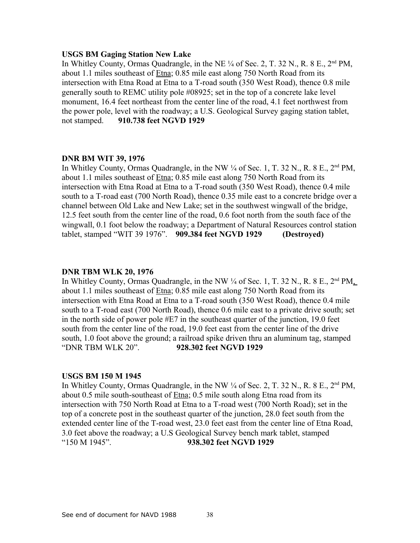#### **USGS BM Gaging Station New Lake**

In Whitley County, Ormas Quadrangle, in the NE  $\frac{1}{4}$  of Sec. 2, T. 32 N., R. 8 E.,  $2^{nd}$  PM, about 1.1 miles southeast of Etna; 0.85 mile east along 750 North Road from its intersection with Etna Road at Etna to a T-road south (350 West Road), thence 0.8 mile generally south to REMC utility pole #08925; set in the top of a concrete lake level monument, 16.4 feet northeast from the center line of the road, 4.1 feet northwest from the power pole, level with the roadway; a U.S. Geological Survey gaging station tablet, not stamped. **910.738 feet NGVD 1929**

## **DNR BM WIT 39, 1976**

In Whitley County, Ormas Quadrangle, in the NW  $\frac{1}{4}$  of Sec. 1, T. 32 N., R. 8 E., 2<sup>nd</sup> PM, about 1.1 miles southeast of Etna; 0.85 mile east along 750 North Road from its intersection with Etna Road at Etna to a T-road south (350 West Road), thence 0.4 mile south to a T-road east (700 North Road), thence 0.35 mile east to a concrete bridge over a channel between Old Lake and New Lake; set in the southwest wingwall of the bridge, 12.5 feet south from the center line of the road, 0.6 foot north from the south face of the wingwall, 0.1 foot below the roadway; a Department of Natural Resources control station tablet, stamped "WIT 39 1976". **909.384 feet NGVD 1929 (Destroyed)**

#### **DNR TBM WLK 20, 1976**

In Whitley County, Ormas Quadrangle, in the NW  $\frac{1}{4}$  of Sec. 1, T. 32 N., R. 8 E., 2<sup>nd</sup> PM, about 1.1 miles southeast of Etna; 0.85 mile east along 750 North Road from its intersection with Etna Road at Etna to a T-road south (350 West Road), thence 0.4 mile south to a T-road east (700 North Road), thence 0.6 mile east to a private drive south; set in the north side of power pole #E7 in the southeast quarter of the junction, 19.0 feet south from the center line of the road, 19.0 feet east from the center line of the drive south, 1.0 foot above the ground; a railroad spike driven thru an aluminum tag, stamped "DNR TBM WLK 20". **928.302 feet NGVD 1929**

#### **USGS BM 150 M 1945**

In Whitley County, Ormas Quadrangle, in the NW  $\frac{1}{4}$  of Sec. 2, T. 32 N., R. 8 E., 2<sup>nd</sup> PM, about 0.5 mile south-southeast of Etna; 0.5 mile south along Etna road from its intersection with 750 North Road at Etna to a T-road west (700 North Road); set in the top of a concrete post in the southeast quarter of the junction, 28.0 feet south from the extended center line of the T-road west, 23.0 feet east from the center line of Etna Road, 3.0 feet above the roadway; a U.S Geological Survey bench mark tablet, stamped "150 M 1945". **938.302 feet NGVD 1929**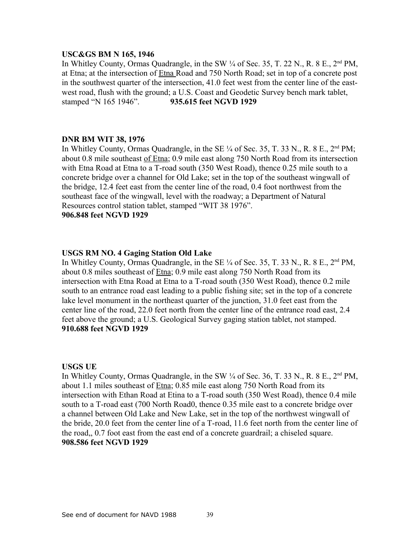## **USC&GS BM N 165, 1946**

In Whitley County, Ormas Quadrangle, in the SW  $\frac{1}{4}$  of Sec. 35, T. 22 N., R. 8 E., 2<sup>nd</sup> PM, at Etna; at the intersection of Etna Road and 750 North Road; set in top of a concrete post in the southwest quarter of the intersection, 41.0 feet west from the center line of the eastwest road, flush with the ground; a U.S. Coast and Geodetic Survey bench mark tablet, stamped "N 165 1946". **935.615 feet NGVD 1929**

## **DNR BM WIT 38, 1976**

In Whitley County, Ormas Quadrangle, in the SE  $\frac{1}{4}$  of Sec. 35, T. 33 N., R. 8 E., 2<sup>nd</sup> PM; about 0.8 mile southeast of Etna; 0.9 mile east along 750 North Road from its intersection with Etna Road at Etna to a T-road south (350 West Road), thence 0.25 mile south to a concrete bridge over a channel for Old Lake; set in the top of the southeast wingwall of the bridge, 12.4 feet east from the center line of the road, 0.4 foot northwest from the southeast face of the wingwall, level with the roadway; a Department of Natural Resources control station tablet, stamped "WIT 38 1976". **906.848 feet NGVD 1929**

## **USGS RM NO. 4 Gaging Station Old Lake**

In Whitley County, Ormas Quadrangle, in the SE  $\frac{1}{4}$  of Sec. 35, T. 33 N., R. 8 E.,  $2<sup>nd</sup> PM$ , about 0.8 miles southeast of Etna; 0.9 mile east along 750 North Road from its intersection with Etna Road at Etna to a T-road south (350 West Road), thence 0.2 mile south to an entrance road east leading to a public fishing site; set in the top of a concrete lake level monument in the northeast quarter of the junction, 31.0 feet east from the center line of the road, 22.0 feet north from the center line of the entrance road east, 2.4 feet above the ground; a U.S. Geological Survey gaging station tablet, not stamped. **910.688 feet NGVD 1929**

## **USGS UE**

In Whitley County, Ormas Quadrangle, in the SW  $\frac{1}{4}$  of Sec. 36, T. 33 N., R. 8 E.,  $2<sup>nd</sup> PM$ , about 1.1 miles southeast of Etna; 0.85 mile east along 750 North Road from its intersection with Ethan Road at Etina to a T-road south (350 West Road), thence 0.4 mile south to a T-road east (700 North Road0, thence 0.35 mile east to a concrete bridge over a channel between Old Lake and New Lake, set in the top of the northwest wingwall of the bride, 20.0 feet from the center line of a T-road, 11.6 feet north from the center line of the road,, 0.7 foot east from the east end of a concrete guardrail; a chiseled square. **908.586 feet NGVD 1929**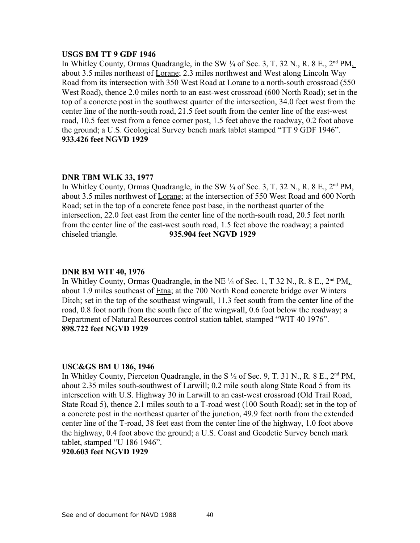#### **USGS BM TT 9 GDF 1946**

In Whitley County, Ormas Quadrangle, in the SW  $\frac{1}{4}$  of Sec. 3, T. 32 N., R. 8 E.,  $2<sup>nd</sup> PM$ . about 3.5 miles northeast of Lorane; 2.3 miles northwest and West along Lincoln Way Road from its intersection with 350 West Road at Lorane to a north-south crossroad (550 West Road), thence 2.0 miles north to an east-west crossroad (600 North Road); set in the top of a concrete post in the southwest quarter of the intersection, 34.0 feet west from the center line of the north-south road, 21.5 feet south from the center line of the east-west road, 10.5 feet west from a fence corner post, 1.5 feet above the roadway, 0.2 foot above the ground; a U.S. Geological Survey bench mark tablet stamped "TT 9 GDF 1946". **933.426 feet NGVD 1929**

## **DNR TBM WLK 33, 1977**

In Whitley County, Ormas Quadrangle, in the SW  $\frac{1}{4}$  of Sec. 3, T. 32 N., R. 8 E., 2<sup>nd</sup> PM, about 3.5 miles northwest of Lorane; at the intersection of 550 West Road and 600 North Road; set in the top of a concrete fence post base, in the northeast quarter of the intersection, 22.0 feet east from the center line of the north-south road, 20.5 feet north from the center line of the east-west south road, 1.5 feet above the roadway; a painted chiseled triangle. **935.904 feet NGVD 1929**

## **DNR BM WIT 40, 1976**

In Whitley County, Ormas Quadrangle, in the NE  $\frac{1}{4}$  of Sec. 1, T 32 N., R. 8 E.,  $2<sup>nd</sup> PM$ . about 1.9 miles southeast of Etna; at the 700 North Road concrete bridge over Winters Ditch; set in the top of the southeast wingwall, 11.3 feet south from the center line of the road, 0.8 foot north from the south face of the wingwall, 0.6 foot below the roadway; a Department of Natural Resources control station tablet, stamped "WIT 40 1976". **898.722 feet NGVD 1929**

#### **USC&GS BM U 186, 1946**

In Whitley County, Pierceton Quadrangle, in the S  $\frac{1}{2}$  of Sec. 9, T. 31 N., R. 8 E., 2<sup>nd</sup> PM, about 2.35 miles south-southwest of Larwill; 0.2 mile south along State Road 5 from its intersection with U.S. Highway 30 in Larwill to an east-west crossroad (Old Trail Road, State Road 5), thence 2.1 miles south to a T-road west (100 South Road); set in the top of a concrete post in the northeast quarter of the junction, 49.9 feet north from the extended center line of the T-road, 38 feet east from the center line of the highway, 1.0 foot above the highway, 0.4 foot above the ground; a U.S. Coast and Geodetic Survey bench mark tablet, stamped "U 186 1946".

# **920.603 feet NGVD 1929**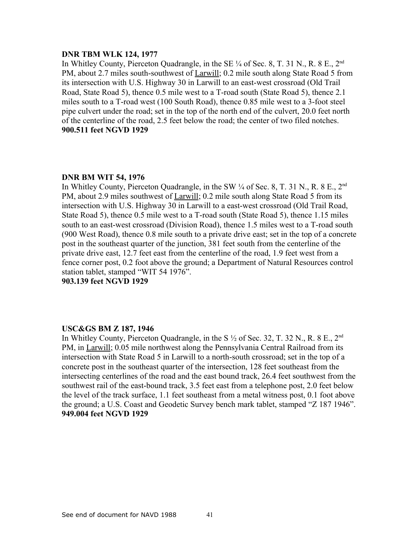### **DNR TBM WLK 124, 1977**

In Whitley County, Pierceton Quadrangle, in the SE  $\frac{1}{4}$  of Sec. 8, T. 31 N., R. 8 E., 2<sup>nd</sup> PM, about 2.7 miles south-southwest of Larwill; 0.2 mile south along State Road 5 from its intersection with U.S. Highway 30 in Larwill to an east-west crossroad (Old Trail Road, State Road 5), thence 0.5 mile west to a T-road south (State Road 5), thence 2.1 miles south to a T-road west (100 South Road), thence 0.85 mile west to a 3-foot steel pipe culvert under the road; set in the top of the north end of the culvert, 20.0 feet north of the centerline of the road, 2.5 feet below the road; the center of two filed notches. **900.511 feet NGVD 1929**

## **DNR BM WIT 54, 1976**

In Whitley County, Pierceton Quadrangle, in the SW  $\frac{1}{4}$  of Sec. 8, T. 31 N., R. 8 E., 2<sup>nd</sup> PM, about 2.9 miles southwest of Larwill; 0.2 mile south along State Road 5 from its intersection with U.S. Highway 30 in Larwill to a east-west crossroad (Old Trail Road, State Road 5), thence 0.5 mile west to a T-road south (State Road 5), thence 1.15 miles south to an east-west crossroad (Division Road), thence 1.5 miles west to a T-road south (900 West Road), thence 0.8 mile south to a private drive east; set in the top of a concrete post in the southeast quarter of the junction, 381 feet south from the centerline of the private drive east, 12.7 feet east from the centerline of the road, 1.9 feet west from a fence corner post, 0.2 foot above the ground; a Department of Natural Resources control station tablet, stamped "WIT 54 1976".

**903.139 feet NGVD 1929**

## **USC&GS BM Z 187, 1946**

In Whitley County, Pierceton Quadrangle, in the S  $\frac{1}{2}$  of Sec. 32, T. 32 N., R. 8 E., 2<sup>nd</sup> PM, in Larwill; 0.05 mile northwest along the Pennsylvania Central Railroad from its intersection with State Road 5 in Larwill to a north-south crossroad; set in the top of a concrete post in the southeast quarter of the intersection, 128 feet southeast from the intersecting centerlines of the road and the east bound track, 26.4 feet southwest from the southwest rail of the east-bound track, 3.5 feet east from a telephone post, 2.0 feet below the level of the track surface, 1.1 feet southeast from a metal witness post, 0.1 foot above the ground; a U.S. Coast and Geodetic Survey bench mark tablet, stamped "Z 187 1946". **949.004 feet NGVD 1929**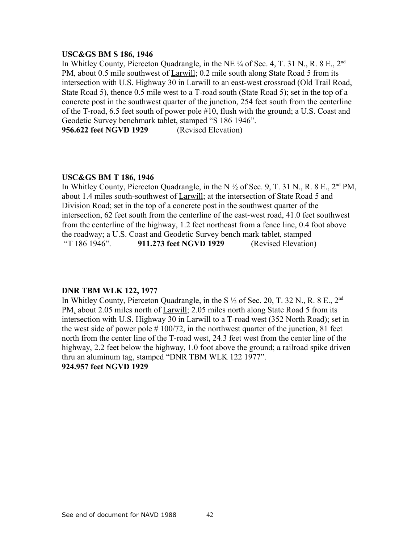#### **USC&GS BM S 186, 1946**

In Whitley County, Pierceton Quadrangle, in the NE  $\frac{1}{4}$  of Sec. 4, T. 31 N., R. 8 E., 2<sup>nd</sup> PM, about 0.5 mile southwest of Larwill; 0.2 mile south along State Road 5 from its intersection with U.S. Highway 30 in Larwill to an east-west crossroad (Old Trail Road, State Road 5), thence 0.5 mile west to a T-road south (State Road 5); set in the top of a concrete post in the southwest quarter of the junction, 254 feet south from the centerline of the T-road, 6.5 feet south of power pole #10, flush with the ground; a U.S. Coast and Geodetic Survey benchmark tablet, stamped "S 186 1946".

**956.622 feet NGVD 1929** (Revised Elevation)

#### **USC&GS BM T 186, 1946**

In Whitley County, Pierceton Quadrangle, in the N  $\frac{1}{2}$  of Sec. 9, T. 31 N., R. 8 E., 2<sup>nd</sup> PM, about 1.4 miles south-southwest of Larwill; at the intersection of State Road 5 and Division Road; set in the top of a concrete post in the southwest quarter of the intersection, 62 feet south from the centerline of the east-west road, 41.0 feet southwest from the centerline of the highway, 1.2 feet northeast from a fence line, 0.4 foot above the roadway; a U.S. Coast and Geodetic Survey bench mark tablet, stamped "T 186 1946". **911.273 feet NGVD 1929** (Revised Elevation)

## **DNR TBM WLK 122, 1977**

In Whitley County, Pierceton Quadrangle, in the S  $\frac{1}{2}$  of Sec. 20, T, 32 N, R, 8 E, 2<sup>nd</sup> PM, about 2.05 miles north of Larwill; 2.05 miles north along State Road 5 from its intersection with U.S. Highway 30 in Larwill to a T-road west (352 North Road); set in the west side of power pole  $# 100/72$ , in the northwest quarter of the junction, 81 feet north from the center line of the T-road west, 24.3 feet west from the center line of the highway, 2.2 feet below the highway, 1.0 foot above the ground; a railroad spike driven thru an aluminum tag, stamped "DNR TBM WLK 122 1977". **924.957 feet NGVD 1929**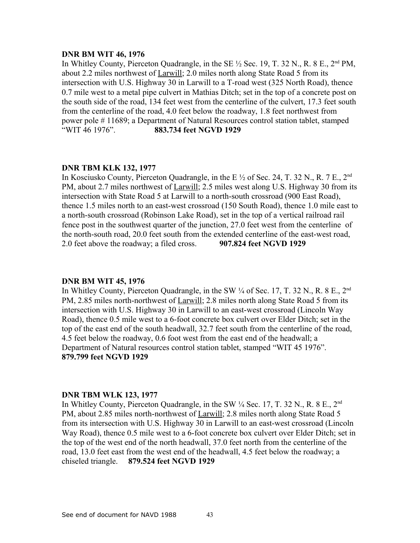## **DNR BM WIT 46, 1976**

In Whitley County, Pierceton Quadrangle, in the SE  $\frac{1}{2}$  Sec. 19, T. 32 N., R. 8 E., 2<sup>nd</sup> PM, about 2.2 miles northwest of Larwill; 2.0 miles north along State Road 5 from its intersection with U.S. Highway 30 in Larwill to a T-road west (325 North Road), thence 0.7 mile west to a metal pipe culvert in Mathias Ditch; set in the top of a concrete post on the south side of the road, 134 feet west from the centerline of the culvert, 17.3 feet south from the centerline of the road, 4.0 feet below the roadway, 1.8 feet northwest from power pole # 11689; a Department of Natural Resources control station tablet, stamped "WIT 46 1976". **883.734 feet NGVD 1929**

## **DNR TBM KLK 132, 1977**

In Kosciusko County, Pierceton Quadrangle, in the E  $\frac{1}{2}$  of Sec. 24, T. 32 N., R. 7 E., 2<sup>nd</sup> PM, about 2.7 miles northwest of Larwill; 2.5 miles west along U.S. Highway 30 from its intersection with State Road 5 at Larwill to a north-south crossroad (900 East Road), thence 1.5 miles north to an east-west crossroad (150 South Road), thence 1.0 mile east to a north-south crossroad (Robinson Lake Road), set in the top of a vertical railroad rail fence post in the southwest quarter of the junction, 27.0 feet west from the centerline of the north-south road, 20.0 feet south from the extended centerline of the east-west road, 2.0 feet above the roadway; a filed cross. **907.824 feet NGVD 1929**

#### **DNR BM WIT 45, 1976**

In Whitley County, Pierceton Quadrangle, in the SW  $\frac{1}{4}$  of Sec. 17, T. 32 N., R. 8 E., 2<sup>nd</sup> PM, 2.85 miles north-northwest of Larwill; 2.8 miles north along State Road 5 from its intersection with U.S. Highway 30 in Larwill to an east-west crossroad (Lincoln Way Road), thence 0.5 mile west to a 6-foot concrete box culvert over Elder Ditch; set in the top of the east end of the south headwall, 32.7 feet south from the centerline of the road, 4.5 feet below the roadway, 0.6 foot west from the east end of the headwall; a Department of Natural resources control station tablet, stamped "WIT 45 1976". **879.799 feet NGVD 1929**

#### **DNR TBM WLK 123, 1977**

In Whitley County, Pierceton Quadrangle, in the SW  $\frac{1}{4}$  Sec. 17, T. 32 N., R. 8 E., 2<sup>nd</sup> PM, about 2.85 miles north-northwest of Larwill; 2.8 miles north along State Road 5 from its intersection with U.S. Highway 30 in Larwill to an east-west crossroad (Lincoln Way Road), thence 0.5 mile west to a 6-foot concrete box culvert over Elder Ditch; set in the top of the west end of the north headwall, 37.0 feet north from the centerline of the road, 13.0 feet east from the west end of the headwall, 4.5 feet below the roadway; a chiseled triangle. **879.524 feet NGVD 1929**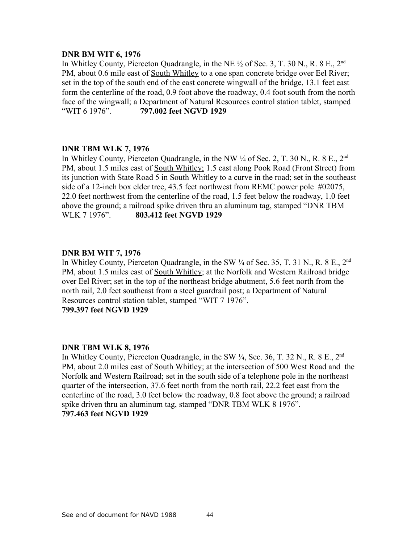## **DNR BM WIT 6, 1976**

In Whitley County, Pierceton Quadrangle, in the NE  $\frac{1}{2}$  of Sec. 3, T. 30 N., R. 8 E., 2<sup>nd</sup> PM, about 0.6 mile east of South Whitley to a one span concrete bridge over Eel River; set in the top of the south end of the east concrete wingwall of the bridge, 13.1 feet east form the centerline of the road, 0.9 foot above the roadway, 0.4 foot south from the north face of the wingwall; a Department of Natural Resources control station tablet, stamped "WIT 6 1976". **797.002 feet NGVD 1929**

## **DNR TBM WLK 7, 1976**

In Whitley County, Pierceton Quadrangle, in the NW  $\frac{1}{4}$  of Sec. 2, T. 30 N., R. 8 E., 2<sup>nd</sup> PM, about 1.5 miles east of South Whitley; 1.5 east along Pook Road (Front Street) from its junction with State Road 5 in South Whitley to a curve in the road; set in the southeast side of a 12-inch box elder tree, 43.5 feet northwest from REMC power pole #02075, 22.0 feet northwest from the centerline of the road, 1.5 feet below the roadway, 1.0 feet above the ground; a railroad spike driven thru an aluminum tag, stamped "DNR TBM WLK 7 1976". **803.412 feet NGVD 1929**

## **DNR BM WIT 7, 1976**

In Whitley County, Pierceton Quadrangle, in the SW  $\frac{1}{4}$  of Sec. 35, T. 31 N., R. 8 E., 2<sup>nd</sup> PM, about 1.5 miles east of South Whitley; at the Norfolk and Western Railroad bridge over Eel River; set in the top of the northeast bridge abutment, 5.6 feet north from the north rail, 2.0 feet southeast from a steel guardrail post; a Department of Natural Resources control station tablet, stamped "WIT 7 1976". **799.397 feet NGVD 1929**

## **DNR TBM WLK 8, 1976**

In Whitley County, Pierceton Quadrangle, in the SW  $\frac{1}{4}$ , Sec. 36, T. 32 N., R. 8 E., 2<sup>nd</sup> PM, about 2.0 miles east of South Whitley; at the intersection of 500 West Road and the Norfolk and Western Railroad; set in the south side of a telephone pole in the northeast quarter of the intersection, 37.6 feet north from the north rail, 22.2 feet east from the centerline of the road, 3.0 feet below the roadway, 0.8 foot above the ground; a railroad spike driven thru an aluminum tag, stamped "DNR TBM WLK 8 1976". **797.463 feet NGVD 1929**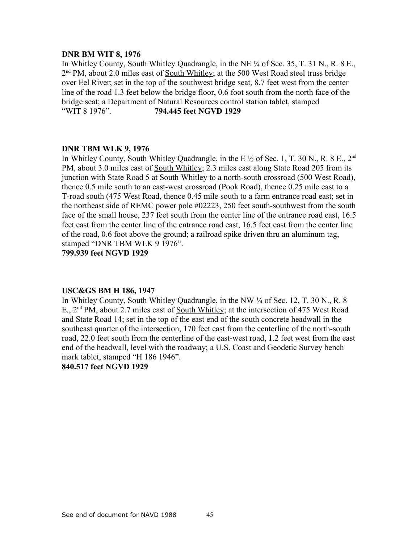## **DNR BM WIT 8, 1976**

In Whitley County, South Whitley Quadrangle, in the NE ¼ of Sec. 35, T. 31 N., R. 8 E., 2<sup>nd</sup> PM, about 2.0 miles east of <u>South Whitley</u>; at the 500 West Road steel truss bridge over Eel River; set in the top of the southwest bridge seat, 8.7 feet west from the center line of the road 1.3 feet below the bridge floor, 0.6 foot south from the north face of the bridge seat; a Department of Natural Resources control station tablet, stamped "WIT 8 1976". **794.445 feet NGVD 1929**

## **DNR TBM WLK 9, 1976**

In Whitley County, South Whitley Quadrangle, in the E  $\frac{1}{2}$  of Sec. 1, T. 30 N., R. 8 E., 2<sup>nd</sup> PM, about 3.0 miles east of South Whitley; 2.3 miles east along State Road 205 from its junction with State Road 5 at South Whitley to a north-south crossroad (500 West Road), thence 0.5 mile south to an east-west crossroad (Pook Road), thence 0.25 mile east to a T-road south (475 West Road, thence 0.45 mile south to a farm entrance road east; set in the northeast side of REMC power pole #02223, 250 feet south-southwest from the south face of the small house, 237 feet south from the center line of the entrance road east, 16.5 feet east from the center line of the entrance road east, 16.5 feet east from the center line of the road, 0.6 foot above the ground; a railroad spike driven thru an aluminum tag, stamped "DNR TBM WLK 9 1976".

**799.939 feet NGVD 1929**

#### **USC&GS BM H 186, 1947**

In Whitley County, South Whitley Quadrangle, in the NW ¼ of Sec. 12, T. 30 N., R. 8 E., 2<sup>nd</sup> PM, about 2.7 miles east of South Whitley; at the intersection of 475 West Road and State Road 14; set in the top of the east end of the south concrete headwall in the southeast quarter of the intersection, 170 feet east from the centerline of the north-south road, 22.0 feet south from the centerline of the east-west road, 1.2 feet west from the east end of the headwall, level with the roadway; a U.S. Coast and Geodetic Survey bench mark tablet, stamped "H 186 1946".

**840.517 feet NGVD 1929**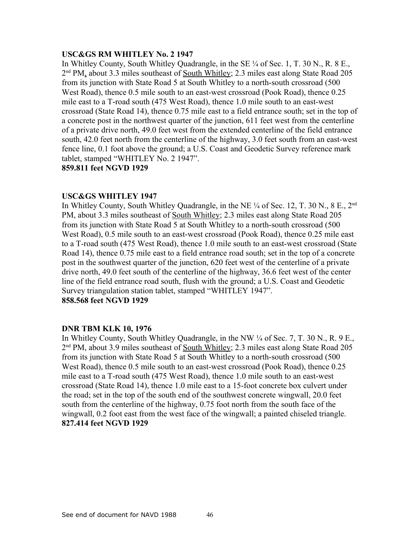# **USC&GS RM WHITLEY No. 2 1947**

In Whitley County, South Whitley Quadrangle, in the SE ¼ of Sec. 1, T. 30 N., R. 8 E., 2<sup>nd</sup> PM, about 3.3 miles southeast of <u>South Whitley</u>; 2.3 miles east along State Road 205 from its junction with State Road 5 at South Whitley to a north-south crossroad (500 West Road), thence 0.5 mile south to an east-west crossroad (Pook Road), thence 0.25 mile east to a T-road south (475 West Road), thence 1.0 mile south to an east-west crossroad (State Road 14), thence 0.75 mile east to a field entrance south; set in the top of a concrete post in the northwest quarter of the junction, 611 feet west from the centerline of a private drive north, 49.0 feet west from the extended centerline of the field entrance south, 42.0 feet north from the centerline of the highway, 3.0 feet south from an east-west fence line, 0.1 foot above the ground; a U.S. Coast and Geodetic Survey reference mark tablet, stamped "WHITLEY No. 2 1947". **859.811 feet NGVD 1929**

# **USC&GS WHITLEY 1947**

In Whitley County, South Whitley Quadrangle, in the NE  $\frac{1}{4}$  of Sec. 12, T, 30 N, 8 E, 2<sup>nd</sup> PM, about 3.3 miles southeast of South Whitley; 2.3 miles east along State Road 205 from its junction with State Road 5 at South Whitley to a north-south crossroad (500 West Road), 0.5 mile south to an east-west crossroad (Pook Road), thence 0.25 mile east to a T-road south (475 West Road), thence 1.0 mile south to an east-west crossroad (State Road 14), thence 0.75 mile east to a field entrance road south; set in the top of a concrete post in the southwest quarter of the junction, 620 feet west of the centerline of a private drive north, 49.0 feet south of the centerline of the highway, 36.6 feet west of the center line of the field entrance road south, flush with the ground; a U.S. Coast and Geodetic Survey triangulation station tablet, stamped "WHITLEY 1947". **858.568 feet NGVD 1929**

## **DNR TBM KLK 10, 1976**

In Whitley County, South Whitley Quadrangle, in the NW ¼ of Sec. 7, T. 30 N., R. 9 E., 2<sup>nd</sup> PM, about 3.9 miles southeast of <u>South Whitley</u>; 2.3 miles east along State Road 205 from its junction with State Road 5 at South Whitley to a north-south crossroad (500 West Road), thence 0.5 mile south to an east-west crossroad (Pook Road), thence 0.25 mile east to a T-road south (475 West Road), thence 1.0 mile south to an east-west crossroad (State Road 14), thence 1.0 mile east to a 15-foot concrete box culvert under the road; set in the top of the south end of the southwest concrete wingwall, 20.0 feet south from the centerline of the highway, 0.75 foot north from the south face of the wingwall, 0.2 foot east from the west face of the wingwall; a painted chiseled triangle. **827.414 feet NGVD 1929**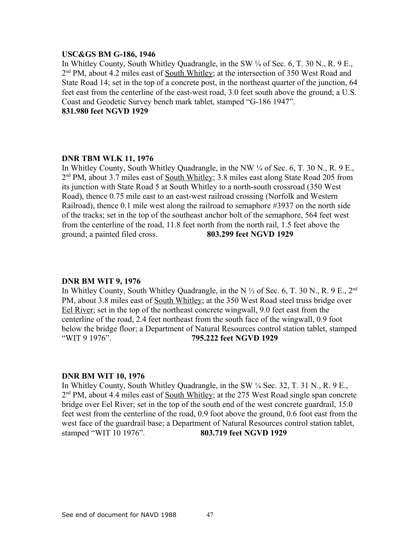#### **USC&GS BM G-186, 1946**

In Whitley County, South Whitley Quadrangle, in the SW ¼ of Sec. 6, T. 30 N., R. 9 E., 2<sup>nd</sup> PM, about 4.2 miles east of <u>South Whitley</u>; at the intersection of 350 West Road and State Road 14; set in the top of a concrete post, in the northeast quarter of the junction, 64 feet east from the centerline of the east-west road, 3.0 feet south above the ground; a U.S. Coast and Geodetic Survey bench mark tablet, stamped "G-186 1947". **831.980 feet NGVD 1929**

## **DNR TBM WLK 11, 1976**

In Whitley County, South Whitley Quadrangle, in the NW ¼ of Sec. 6, T. 30 N., R. 9 E., 2<sup>nd</sup> PM, about 3.7 miles east of South Whitley; 3.8 miles east along State Road 205 from its junction with State Road 5 at South Whitley to a north-south crossroad (350 West Road), thence 0.75 mile east to an east-west railroad crossing (Norfolk and Western Railroad), thence 0.1 mile west along the railroad to semaphore #3937 on the north side of the tracks; set in the top of the southeast anchor bolt of the semaphore, 564 feet west from the centerline of the road, 11.8 feet north from the north rail, 1.5 feet above the ground; a painted filed cross. **803.299 feet NGVD 1929**

#### **DNR BM WIT 9, 1976**

In Whitley County, South Whitley Quadrangle, in the N  $\frac{1}{2}$  of Sec. 6, T. 30 N., R. 9 E., 2<sup>nd</sup> PM, about 3.8 miles east of South Whitley; at the 350 West Road steel truss bridge over Eel River; set in the top of the northeast concrete wingwall, 9.0 feet east from the centerline of the road, 2.4 feet northeast from the south face of the wingwall, 0.9 foot below the bridge floor; a Department of Natural Resources control station tablet, stamped "WIT 9 1976". **795.222 feet NGVD 1929**

#### **DNR BM WIT 10, 1976**

In Whitley County, South Whitley Quadrangle, in the SW ¼ Sec. 32, T. 31 N., R. 9 E., 2<sup>nd</sup> PM, about 4.4 miles east of <u>South Whitley</u>; at the 275 West Road single span concrete bridge over Eel River; set in the top of the south end of the west concrete guardrail, 15.0 feet west from the centerline of the road, 0.9 foot above the ground, 0.6 foot east from the west face of the guardrail base; a Department of Natural Resources control station tablet, stamped "WIT 10 1976". **803.719 feet NGVD 1929**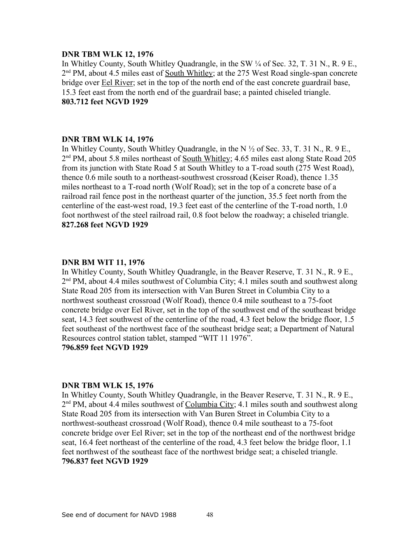### **DNR TBM WLK 12, 1976**

In Whitley County, South Whitley Quadrangle, in the SW ¼ of Sec. 32, T. 31 N., R. 9 E., 2<sup>nd</sup> PM, about 4.5 miles east of <u>South Whitley</u>; at the 275 West Road single-span concrete bridge over **Eel River**; set in the top of the north end of the east concrete guardrail base, 15.3 feet east from the north end of the guardrail base; a painted chiseled triangle. **803.712 feet NGVD 1929**

## **DNR TBM WLK 14, 1976**

In Whitley County, South Whitley Quadrangle, in the N ½ of Sec. 33, T. 31 N., R. 9 E., 2<sup>nd</sup> PM, about 5.8 miles northeast of <u>South Whitley</u>; 4.65 miles east along State Road 205 from its junction with State Road 5 at South Whitley to a T-road south (275 West Road), thence 0.6 mile south to a northeast-southwest crossroad (Keiser Road), thence 1.35 miles northeast to a T-road north (Wolf Road); set in the top of a concrete base of a railroad rail fence post in the northeast quarter of the junction, 35.5 feet north from the centerline of the east-west road, 19.3 feet east of the centerline of the T-road north, 1.0 foot northwest of the steel railroad rail, 0.8 foot below the roadway; a chiseled triangle. **827.268 feet NGVD 1929**

#### **DNR BM WIT 11, 1976**

In Whitley County, South Whitley Quadrangle, in the Beaver Reserve, T. 31 N., R. 9 E., 2<sup>nd</sup> PM, about 4.4 miles southwest of Columbia City; 4.1 miles south and southwest along State Road 205 from its intersection with Van Buren Street in Columbia City to a northwest southeast crossroad (Wolf Road), thence 0.4 mile southeast to a 75-foot concrete bridge over Eel River, set in the top of the southwest end of the southeast bridge seat, 14.3 feet southwest of the centerline of the road, 4.3 feet below the bridge floor, 1.5 feet southeast of the northwest face of the southeast bridge seat; a Department of Natural Resources control station tablet, stamped "WIT 11 1976". **796.859 feet NGVD 1929**

#### **DNR TBM WLK 15, 1976**

In Whitley County, South Whitley Quadrangle, in the Beaver Reserve, T. 31 N., R. 9 E., 2<sup>nd</sup> PM, about 4.4 miles southwest of Columbia City; 4.1 miles south and southwest along State Road 205 from its intersection with Van Buren Street in Columbia City to a northwest-southeast crossroad (Wolf Road), thence 0.4 mile southeast to a 75-foot concrete bridge over Eel River; set in the top of the northeast end of the northwest bridge seat, 16.4 feet northeast of the centerline of the road, 4.3 feet below the bridge floor, 1.1 feet northwest of the southeast face of the northwest bridge seat; a chiseled triangle. **796.837 feet NGVD 1929**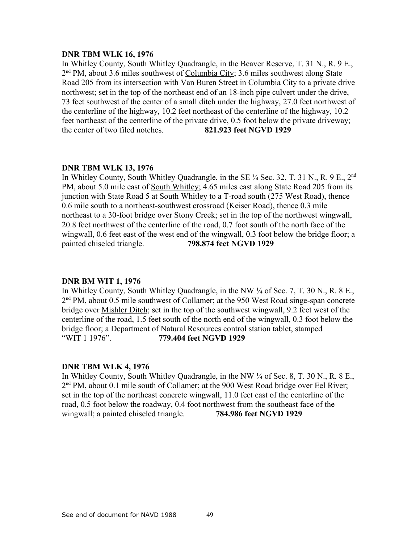#### **DNR TBM WLK 16, 1976**

In Whitley County, South Whitley Quadrangle, in the Beaver Reserve, T. 31 N., R. 9 E., 2<sup>nd</sup> PM, about 3.6 miles southwest of Columbia City; 3.6 miles southwest along State Road 205 from its intersection with Van Buren Street in Columbia City to a private drive northwest; set in the top of the northeast end of an 18-inch pipe culvert under the drive, 73 feet southwest of the center of a small ditch under the highway, 27.0 feet northwest of the centerline of the highway, 10.2 feet northeast of the centerline of the highway, 10.2 feet northeast of the centerline of the private drive, 0.5 foot below the private driveway; the center of two filed notches. **821.923 feet NGVD 1929**

## **DNR TBM WLK 13, 1976**

In Whitley County, South Whitley Quadrangle, in the SE  $\frac{1}{4}$  Sec. 32, T. 31 N., R. 9 E., 2<sup>nd</sup> PM, about 5.0 mile east of South Whitley; 4.65 miles east along State Road 205 from its junction with State Road 5 at South Whitley to a T-road south (275 West Road), thence 0.6 mile south to a northeast-southwest crossroad (Keiser Road), thence 0.3 mile northeast to a 30-foot bridge over Stony Creek; set in the top of the northwest wingwall, 20.8 feet northwest of the centerline of the road, 0.7 foot south of the north face of the wingwall, 0.6 feet east of the west end of the wingwall, 0.3 foot below the bridge floor; a painted chiseled triangle. **798.874 feet NGVD 1929**

#### **DNR BM WIT 1, 1976**

In Whitley County, South Whitley Quadrangle, in the NW ¼ of Sec. 7, T. 30 N., R. 8 E., 2<sup>nd</sup> PM, about 0.5 mile southwest of Collamer; at the 950 West Road singe-span concrete bridge over Mishler Ditch; set in the top of the southwest wingwall, 9.2 feet west of the centerline of the road, 1.5 feet south of the north end of the wingwall, 0.3 foot below the bridge floor; a Department of Natural Resources control station tablet, stamped "WIT 1 1976". **779.404 feet NGVD 1929**

#### **DNR TBM WLK 4, 1976**

In Whitley County, South Whitley Quadrangle, in the NW ¼ of Sec. 8, T. 30 N., R. 8 E., 2<sup>nd</sup> PM, about 0.1 mile south of Collamer; at the 900 West Road bridge over Eel River; set in the top of the northeast concrete wingwall, 11.0 feet east of the centerline of the road, 0.5 foot below the roadway, 0.4 foot northwest from the southeast face of the wingwall; a painted chiseled triangle. **784.986 feet NGVD 1929**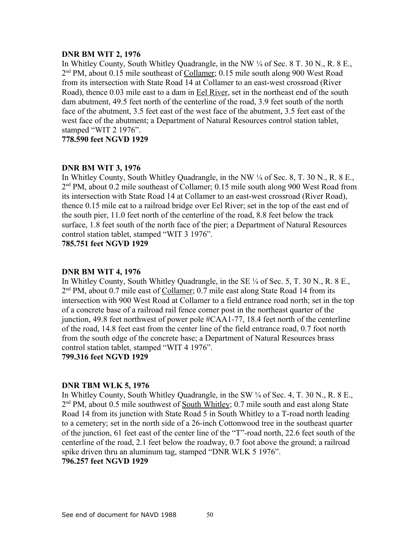## **DNR BM WIT 2, 1976**

In Whitley County, South Whitley Quadrangle, in the NW ¼ of Sec. 8 T. 30 N., R. 8 E., 2<sup>nd</sup> PM, about 0.15 mile southeast of Collamer; 0.15 mile south along 900 West Road from its intersection with State Road 14 at Collamer to an east-west crossroad (River Road), thence 0.03 mile east to a dam in Eel River, set in the northeast end of the south dam abutment, 49.5 feet north of the centerline of the road, 3.9 feet south of the north face of the abutment, 3.5 feet east of the west face of the abutment, 3.5 feet east of the west face of the abutment; a Department of Natural Resources control station tablet, stamped "WIT 2 1976".

**778.590 feet NGVD 1929**

## **DNR BM WIT 3, 1976**

In Whitley County, South Whitley Quadrangle, in the NW ¼ of Sec. 8, T. 30 N., R. 8 E., 2<sup>nd</sup> PM, about 0.2 mile southeast of Collamer; 0.15 mile south along 900 West Road from its intersection with State Road 14 at Collamer to an east-west crossroad (River Road), thence 0.15 mile eat to a railroad bridge over Eel River; set in the top of the east end of the south pier, 11.0 feet north of the centerline of the road, 8.8 feet below the track surface, 1.8 feet south of the north face of the pier; a Department of Natural Resources control station tablet, stamped "WIT 3 1976".

**785.751 feet NGVD 1929**

## **DNR BM WIT 4, 1976**

In Whitley County, South Whitley Quadrangle, in the SE ¼ of Sec. 5, T. 30 N., R. 8 E., 2<sup>nd</sup> PM, about 0.7 mile east of Collamer; 0.7 mile east along State Road 14 from its intersection with 900 West Road at Collamer to a field entrance road north; set in the top of a concrete base of a railroad rail fence corner post in the northeast quarter of the junction, 49.8 feet northwest of power pole #CAA1-77, 18.4 feet north of the centerline of the road, 14.8 feet east from the center line of the field entrance road, 0.7 foot north from the south edge of the concrete base; a Department of Natural Resources brass control station tablet, stamped "WIT 4 1976".

## **799.316 feet NGVD 1929**

## **DNR TBM WLK 5, 1976**

In Whitley County, South Whitley Quadrangle, in the SW ¼ of Sec. 4, T. 30 N., R. 8 E., 2<sup>nd</sup> PM, about 0.5 mile southwest of <u>South Whitley</u>; 0.7 mile south and east along State Road 14 from its junction with State Road 5 in South Whitley to a T-road north leading to a cemetery; set in the north side of a 26-inch Cottonwood tree in the southeast quarter of the junction, 61 feet east of the center line of the "T"-road north, 22.6 feet south of the centerline of the road, 2.1 feet below the roadway, 0.7 foot above the ground; a railroad spike driven thru an aluminum tag, stamped "DNR WLK 5 1976". **796.257 feet NGVD 1929**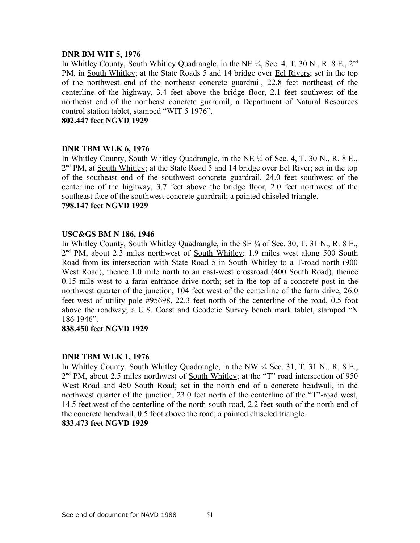## **DNR BM WIT 5, 1976**

In Whitley County, South Whitley Quadrangle, in the NE  $\frac{1}{4}$ , Sec. 4, T. 30 N., R. 8 E., 2<sup>nd</sup> PM, in South Whitley; at the State Roads 5 and 14 bridge over Eel Rivers; set in the top of the northwest end of the northeast concrete guardrail, 22.8 feet northeast of the centerline of the highway, 3.4 feet above the bridge floor, 2.1 feet southwest of the northeast end of the northeast concrete guardrail; a Department of Natural Resources control station tablet, stamped "WIT 5 1976".

**802.447 feet NGVD 1929**

## **DNR TBM WLK 6, 1976**

In Whitley County, South Whitley Quadrangle, in the NE ¼ of Sec. 4, T. 30 N., R. 8 E., 2<sup>nd</sup> PM, at South Whitley; at the State Road 5 and 14 bridge over Eel River; set in the top of the southeast end of the southwest concrete guardrail, 24.0 feet southwest of the centerline of the highway, 3.7 feet above the bridge floor, 2.0 feet northwest of the southeast face of the southwest concrete guardrail; a painted chiseled triangle. **798.147 feet NGVD 1929**

## **USC&GS BM N 186, 1946**

In Whitley County, South Whitley Quadrangle, in the SE  $\frac{1}{4}$  of Sec. 30, T. 31 N., R. 8 E., 2<sup>nd</sup> PM, about 2.3 miles northwest of <u>South Whitley</u>; 1.9 miles west along 500 South Road from its intersection with State Road 5 in South Whitley to a T-road north (900 West Road), thence 1.0 mile north to an east-west crossroad (400 South Road), thence 0.15 mile west to a farm entrance drive north; set in the top of a concrete post in the northwest quarter of the junction, 104 feet west of the centerline of the farm drive, 26.0 feet west of utility pole #95698, 22.3 feet north of the centerline of the road, 0.5 foot above the roadway; a U.S. Coast and Geodetic Survey bench mark tablet, stamped "N 186 1946".

## **838.450 feet NGVD 1929**

## **DNR TBM WLK 1, 1976**

In Whitley County, South Whitley Quadrangle, in the NW ¼ Sec. 31, T. 31 N., R. 8 E., 2<sup>nd</sup> PM, about 2.5 miles northwest of <u>South Whitley</u>; at the "T" road intersection of 950 West Road and 450 South Road; set in the north end of a concrete headwall, in the northwest quarter of the junction, 23.0 feet north of the centerline of the "T"-road west, 14.5 feet west of the centerline of the north-south road, 2.2 feet south of the north end of the concrete headwall, 0.5 foot above the road; a painted chiseled triangle.

## **833.473 feet NGVD 1929**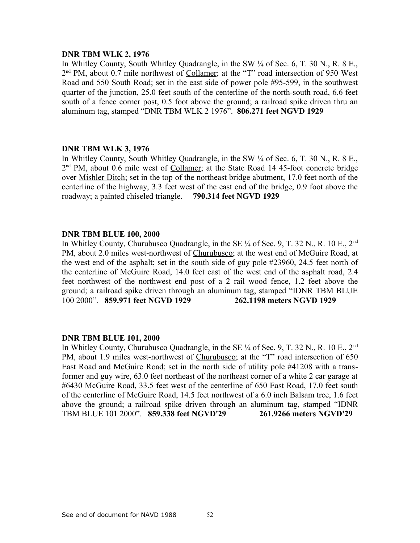#### **DNR TBM WLK 2, 1976**

In Whitley County, South Whitley Quadrangle, in the SW  $\frac{1}{4}$  of Sec. 6, T. 30 N., R. 8 E., 2<sup>nd</sup> PM, about 0.7 mile northwest of Collamer; at the "T" road intersection of 950 West Road and 550 South Road; set in the east side of power pole #95-599, in the southwest quarter of the junction, 25.0 feet south of the centerline of the north-south road, 6.6 feet south of a fence corner post, 0.5 foot above the ground; a railroad spike driven thru an aluminum tag, stamped "DNR TBM WLK 2 1976". **806.271 feet NGVD 1929**

## **DNR TBM WLK 3, 1976**

In Whitley County, South Whitley Quadrangle, in the SW  $\frac{1}{4}$  of Sec. 6, T. 30 N., R. 8 E., 2<sup>nd</sup> PM, about 0.6 mile west of Collamer; at the State Road 14 45-foot concrete bridge over Mishler Ditch; set in the top of the northeast bridge abutment, 17.0 feet north of the centerline of the highway, 3.3 feet west of the east end of the bridge, 0.9 foot above the roadway; a painted chiseled triangle. **790.314 feet NGVD 1929**

#### **DNR TBM BLUE 100, 2000**

In Whitley County, Churubusco Quadrangle, in the SE  $\frac{1}{4}$  of Sec. 9, T. 32 N., R. 10 E., 2<sup>nd</sup> PM, about 2.0 miles west-northwest of Churubusco; at the west end of McGuire Road, at the west end of the asphalt; set in the south side of guy pole #23960, 24.5 feet north of the centerline of McGuire Road, 14.0 feet east of the west end of the asphalt road, 2.4 feet northwest of the northwest end post of a 2 rail wood fence, 1.2 feet above the ground; a railroad spike driven through an aluminum tag, stamped "IDNR TBM BLUE 100 2000". **859.971 feet NGVD 1929 262.1198 meters NGVD 1929**

#### **DNR TBM BLUE 101, 2000**

In Whitley County, Churubusco Quadrangle, in the SE  $\frac{1}{4}$  of Sec. 9, T. 32 N., R. 10 E., 2<sup>nd</sup> PM, about 1.9 miles west-northwest of Churubusco; at the "T" road intersection of 650 East Road and McGuire Road; set in the north side of utility pole #41208 with a transformer and guy wire, 63.0 feet northeast of the northeast corner of a white 2 car garage at #6430 McGuire Road, 33.5 feet west of the centerline of 650 East Road, 17.0 feet south of the centerline of McGuire Road, 14.5 feet northwest of a 6.0 inch Balsam tree, 1.6 feet above the ground; a railroad spike driven through an aluminum tag, stamped "IDNR TBM BLUE 101 2000". **859.338 feet NGVD'29 261.9266 meters NGVD'29**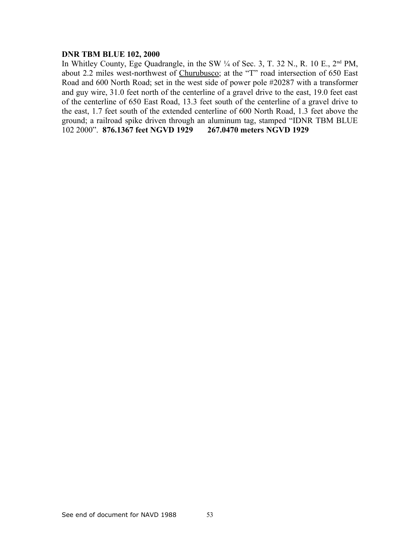## **DNR TBM BLUE 102, 2000**

In Whitley County, Ege Quadrangle, in the SW  $\frac{1}{4}$  of Sec. 3, T. 32 N., R. 10 E., 2<sup>nd</sup> PM, about 2.2 miles west-northwest of Churubusco; at the "T" road intersection of 650 East Road and 600 North Road; set in the west side of power pole #20287 with a transformer and guy wire, 31.0 feet north of the centerline of a gravel drive to the east, 19.0 feet east of the centerline of 650 East Road, 13.3 feet south of the centerline of a gravel drive to the east, 1.7 feet south of the extended centerline of 600 North Road, 1.3 feet above the ground; a railroad spike driven through an aluminum tag, stamped "IDNR TBM BLUE 102 2000". **876.1367 feet NGVD 1929 267.0470 meters NGVD 1929**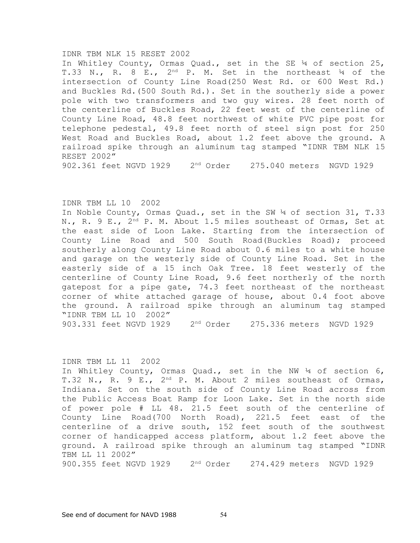#### IDNR TBM NLK 15 RESET 2002

In Whitley County, Ormas Quad., set in the SE ¼ of section 25, T.33 N., R. 8 E.,  $2^{nd}$  P. M. Set in the northeast  $\frac{1}{4}$  of the intersection of County Line Road(250 West Rd. or 600 West Rd.) and Buckles Rd.(500 South Rd.). Set in the southerly side a power pole with two transformers and two guy wires. 28 feet north of the centerline of Buckles Road, 22 feet west of the centerline of County Line Road, 48.8 feet northwest of white PVC pipe post for telephone pedestal, 49.8 feet north of steel sign post for 250 West Road and Buckles Road, about 1.2 feet above the ground. A railroad spike through an aluminum tag stamped "IDNR TBM NLK 15 RESET 2002"

902.361 feet NGVD 1929 2nd Order 275.040 meters NGVD 1929

#### IDNR TBM LL 10 2002

In Noble County, Ormas Quad., set in the SW ¼ of section 31, T.33 N., R. 9 E., 2<sup>nd</sup> P. M. About 1.5 miles southeast of Ormas, Set at the east side of Loon Lake. Starting from the intersection of County Line Road and 500 South Road(Buckles Road); proceed southerly along County Line Road about 0.6 miles to a white house and garage on the westerly side of County Line Road. Set in the easterly side of a 15 inch Oak Tree. 18 feet westerly of the centerline of County Line Road, 9.6 feet northerly of the north gatepost for a pipe gate, 74.3 feet northeast of the northeast corner of white attached garage of house, about 0.4 foot above the ground. A railroad spike through an aluminum tag stamped "IDNR TBM LL 10 2002" 903.331 feet NGVD 1929 2nd Order 275.336 meters NGVD 1929

#### IDNR TBM LL 11 2002

In Whitley County, Ormas Quad., set in the NW ¼ of section 6, T.32 N., R. 9 E., 2<sup>nd</sup> P. M. About 2 miles southeast of Ormas, Indiana. Set on the south side of County Line Road across from the Public Access Boat Ramp for Loon Lake. Set in the north side of power pole # LL 48. 21.5 feet south of the centerline of County Line Road(700 North Road), 221.5 feet east of the centerline of a drive south, 152 feet south of the southwest corner of handicapped access platform, about 1.2 feet above the ground. A railroad spike through an aluminum tag stamped "IDNR TBM LL 11 2002"

900.355 feet NGVD 1929 2nd Order 274.429 meters NGVD 1929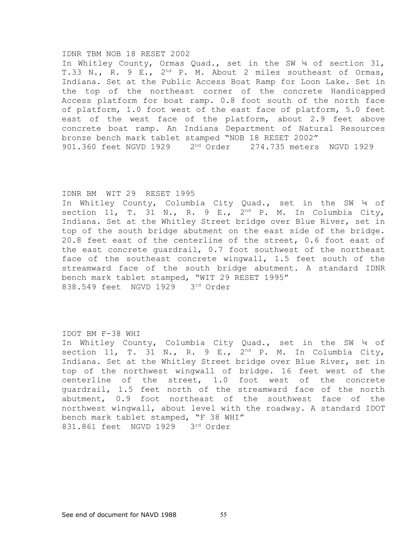#### IDNR TBM NOB 18 RESET 2002

In Whitley County, Ormas Quad., set in the SW ¼ of section 31, T.33 N., R. 9 E., 2<sup>nd</sup> P. M. About 2 miles southeast of Ormas, Indiana. Set at the Public Access Boat Ramp for Loon Lake. Set in the top of the northeast corner of the concrete Handicapped Access platform for boat ramp. 0.8 foot south of the north face of platform, 1.0 foot west of the east face of platform, 5.0 feet east of the west face of the platform, about 2.9 feet above concrete boat ramp. An Indiana Department of Natural Resources bronze bench mark tablet stamped "NOB 18 RESET 2002" 901.360 feet NGVD 1929 2nd Order 274.735 meters NGVD 1929

#### IDNR BM WIT 29 RESET 1995

In Whitley County, Columbia City Quad., set in the SW ¼ of section 11, T. 31 N., R. 9 E.,  $2^{nd}$  P. M. In Columbia City, Indiana. Set at the Whitley Street bridge over Blue River, set in top of the south bridge abutment on the east side of the bridge. 20.8 feet east of the centerline of the street, 0.6 foot east of the east concrete guardrail, 0.7 foot southwest of the northeast face of the southeast concrete wingwall, 1.5 feet south of the streamward face of the south bridge abutment. A standard IDNR bench mark tablet stamped, "WIT 29 RESET 1995" 838.549 feet NGVD 1929 3rd Order

#### IDOT BM F-38 WHI

In Whitley County, Columbia City Quad., set in the SW ¼ of section 11, T. 31 N., R. 9 E.,  $2^{nd}$  P. M. In Columbia City, Indiana. Set at the Whitley Street bridge over Blue River, set in top of the northwest wingwall of bridge. 16 feet west of the centerline of the street, 1.0 foot west of the concrete guardrail, 1.5 feet north of the streamward face of the north abutment, 0.9 foot northeast of the southwest face of the northwest wingwall, about level with the roadway. A standard IDOT bench mark tablet stamped, "F 38 WHI" 831.861 feet NGVD 1929 3rd Order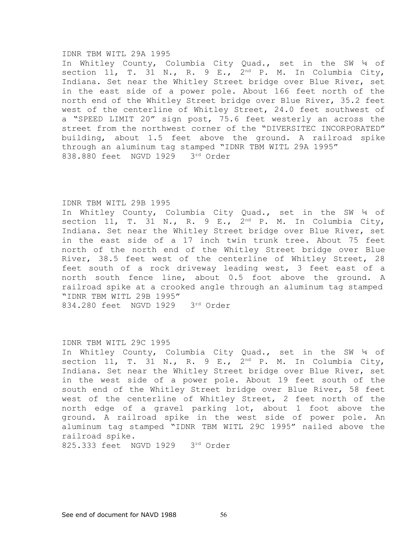#### IDNR TBM WITL 29A 1995

In Whitley County, Columbia City Quad., set in the SW ¼ of section 11, T. 31 N., R. 9 E.,  $2^{nd}$  P. M. In Columbia City, Indiana. Set near the Whitley Street bridge over Blue River, set in the east side of a power pole. About 166 feet north of the north end of the Whitley Street bridge over Blue River, 35.2 feet west of the centerline of Whitley Street, 24.0 feet southwest of a "SPEED LIMIT 20" sign post, 75.6 feet westerly an across the street from the northwest corner of the "DIVERSITEC INCORPORATED" building, about 1.5 feet above the ground. A railroad spike through an aluminum tag stamped "IDNR TBM WITL 29A 1995" 838.880 feet NGVD 1929 3rd Order

#### IDNR TBM WITL 29B 1995

In Whitley County, Columbia City Quad., set in the SW ¼ of section 11, T. 31 N., R. 9 E.,  $2^{nd}$  P. M. In Columbia City, Indiana. Set near the Whitley Street bridge over Blue River, set in the east side of a 17 inch twin trunk tree. About 75 feet north of the north end of the Whitley Street bridge over Blue River, 38.5 feet west of the centerline of Whitley Street, 28 feet south of a rock driveway leading west, 3 feet east of a north south fence line, about 0.5 foot above the ground. A railroad spike at a crooked angle through an aluminum tag stamped "IDNR TBM WITL 29B 1995" 834.280 feet NGVD 1929 3rd Order

#### IDNR TBM WITL 29C 1995

In Whitley County, Columbia City Quad., set in the SW ¼ of section 11, T. 31 N., R. 9 E.,  $2^{nd}$  P. M. In Columbia City, Indiana. Set near the Whitley Street bridge over Blue River, set in the west side of a power pole. About 19 feet south of the south end of the Whitley Street bridge over Blue River, 58 feet west of the centerline of Whitley Street, 2 feet north of the north edge of a gravel parking lot, about 1 foot above the ground. A railroad spike in the west side of power pole. An aluminum tag stamped "IDNR TBM WITL 29C 1995" nailed above the railroad spike.

825.333 feet NGVD 1929 3rd Order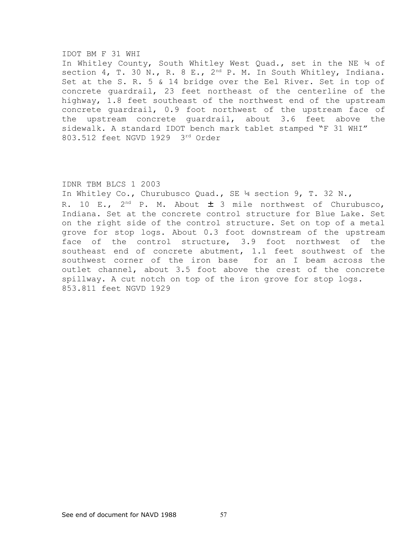#### IDOT BM F 31 WHI

In Whitley County, South Whitley West Quad., set in the NE ¼ of section 4, T. 30 N., R. 8 E., 2<sup>nd</sup> P. M. In South Whitley, Indiana. Set at the S. R. 5 & 14 bridge over the Eel River. Set in top of concrete guardrail, 23 feet northeast of the centerline of the highway, 1.8 feet southeast of the northwest end of the upstream concrete guardrail, 0.9 foot northwest of the upstream face of the upstream concrete guardrail, about 3.6 feet above the sidewalk. A standard IDOT bench mark tablet stamped "F 31 WHI" 803.512 feet NGVD 1929 3rd Order

#### IDNR TBM BLCS 1 2003

In Whitley Co., Churubusco Quad., SE  $\frac{1}{4}$  section 9, T. 32 N., R. 10 E.,  $2^{nd}$  P. M. About  $\pm$  3 mile northwest of Churubusco, Indiana. Set at the concrete control structure for Blue Lake. Set on the right side of the control structure. Set on top of a metal grove for stop logs. About 0.3 foot downstream of the upstream face of the control structure, 3.9 foot northwest of the southeast end of concrete abutment, 1.1 feet southwest of the southwest corner of the iron base for an I beam across the outlet channel, about 3.5 foot above the crest of the concrete spillway. A cut notch on top of the iron grove for stop logs. 853.811 feet NGVD 1929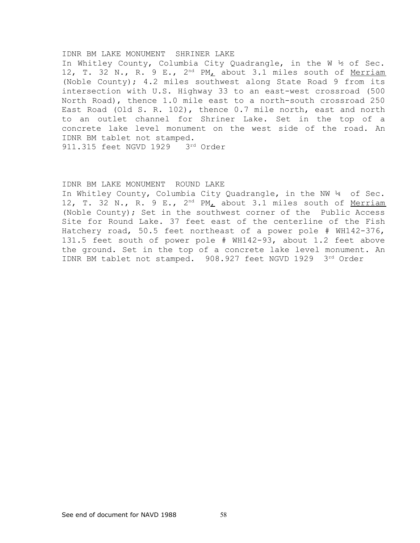#### IDNR BM LAKE MONUMENT SHRINER LAKE

In Whitley County, Columbia City Quadrangle, in the W ½ of Sec. 12, T. 32 N., R. 9 E., 2<sup>nd</sup> PM<sub>L</sub> about 3.1 miles south of Merriam (Noble County); 4.2 miles southwest along State Road 9 from its intersection with U.S. Highway 33 to an east-west crossroad (500 North Road), thence 1.0 mile east to a north-south crossroad 250 East Road (Old S. R. 102), thence 0.7 mile north, east and north to an outlet channel for Shriner Lake. Set in the top of a concrete lake level monument on the west side of the road. An IDNR BM tablet not stamped. 911.315 feet NGVD 1929 3rd Order

#### IDNR BM LAKE MONUMENT ROUND LAKE

In Whitley County, Columbia City Quadrangle, in the NW 14 of Sec. 12, T. 32 N., R. 9 E.,  $2^{nd} PM_L$  about 3.1 miles south of Merriam (Noble County); Set in the southwest corner of the Public Access Site for Round Lake. 37 feet east of the centerline of the Fish Hatchery road, 50.5 feet northeast of a power pole # WH142-376, 131.5 feet south of power pole # WH142-93, about 1.2 feet above the ground. Set in the top of a concrete lake level monument. An IDNR BM tablet not stamped. 908.927 feet NGVD 1929 3rd Order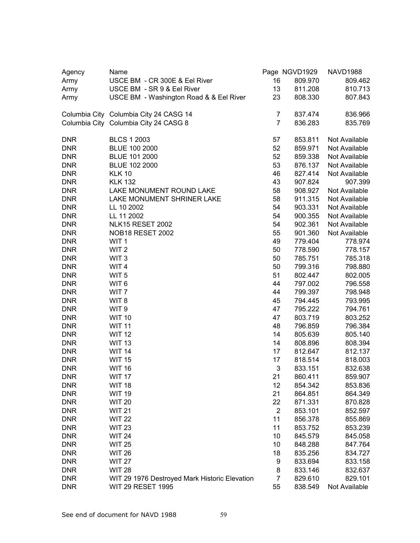| Agency     | Name                                          |                | Page NGVD1929 | <b>NAVD1988</b> |
|------------|-----------------------------------------------|----------------|---------------|-----------------|
| Army       | USCE BM - CR 300E & Eel River                 | 16             | 809.970       | 809.462         |
| Army       | USCE BM - SR 9 & Eel River                    | 13             | 811.208       | 810.713         |
| Army       | USCE BM - Washington Road & & Eel River       | 23             | 808.330       | 807.843         |
|            | Columbia City Columbia City 24 CASG 14        | $\overline{7}$ | 837.474       | 836.966         |
|            | Columbia City Columbia City 24 CASG 8         | $\overline{7}$ | 836.283       | 835.769         |
| <b>DNR</b> | <b>BLCS 1 2003</b>                            | 57             | 853.811       | Not Available   |
| <b>DNR</b> | BLUE 100 2000                                 | 52             | 859.971       | Not Available   |
| <b>DNR</b> | BLUE 101 2000                                 | 52             | 859.338       | Not Available   |
| <b>DNR</b> | BLUE 102 2000                                 | 53             | 876.137       | Not Available   |
| <b>DNR</b> | <b>KLK 10</b>                                 | 46             | 827.414       | Not Available   |
| <b>DNR</b> | <b>KLK 132</b>                                | 43             | 907.824       | 907.399         |
| <b>DNR</b> | LAKE MONUMENT ROUND LAKE                      | 58             | 908.927       | Not Available   |
| <b>DNR</b> | LAKE MONUMENT SHRINER LAKE                    | 58             | 911.315       | Not Available   |
| <b>DNR</b> | LL 10 2002                                    | 54             | 903.331       | Not Available   |
| <b>DNR</b> | LL 11 2002                                    | 54             | 900.355       | Not Available   |
| <b>DNR</b> | NLK15 RESET 2002                              | 54             | 902.361       | Not Available   |
| <b>DNR</b> | <b>NOB18 RESET 2002</b>                       | 55             | 901.360       | Not Available   |
| <b>DNR</b> | WIT <sub>1</sub>                              | 49             | 779.404       | 778.974         |
| <b>DNR</b> | WIT <sub>2</sub>                              | 50             | 778.590       | 778.157         |
| <b>DNR</b> | WIT <sub>3</sub>                              | 50             | 785.751       | 785.318         |
| <b>DNR</b> | WIT <sub>4</sub>                              | 50             | 799.316       | 798.880         |
| <b>DNR</b> | WIT <sub>5</sub>                              | 51             | 802.447       | 802.005         |
| <b>DNR</b> | WIT <sub>6</sub>                              | 44             | 797.002       | 796.558         |
| <b>DNR</b> | WIT <sub>7</sub>                              | 44             | 799.397       | 798.948         |
| <b>DNR</b> | WIT <sub>8</sub>                              | 45             | 794.445       | 793.995         |
| <b>DNR</b> | WIT <sub>9</sub>                              | 47             | 795.222       | 794.761         |
| <b>DNR</b> | <b>WIT 10</b>                                 | 47             | 803.719       | 803.252         |
| <b>DNR</b> | <b>WIT 11</b>                                 | 48             | 796.859       | 796.384         |
| <b>DNR</b> | <b>WIT 12</b>                                 | 14             | 805.639       | 805.140         |
| <b>DNR</b> | <b>WIT 13</b>                                 | 14             | 808.896       | 808.394         |
| <b>DNR</b> | <b>WIT 14</b>                                 | 17             | 812.647       | 812.137         |
| <b>DNR</b> | <b>WIT 15</b>                                 | 17             | 818.514       | 818.003         |
| <b>DNR</b> | <b>WIT 16</b>                                 | 3              | 833.151       | 832.638         |
| <b>DNR</b> | WIT <sub>17</sub>                             | 21             | 860.411       | 859.907         |
| <b>DNR</b> | <b>WIT 18</b>                                 | 12             | 854.342       | 853.836         |
| <b>DNR</b> | <b>WIT 19</b>                                 | 21             | 864.851       | 864.349         |
| <b>DNR</b> | <b>WIT 20</b>                                 | 22             | 871.331       | 870.828         |
| <b>DNR</b> | <b>WIT 21</b>                                 | $\overline{2}$ | 853.101       | 852.597         |
| <b>DNR</b> | <b>WIT 22</b>                                 | 11             | 856.378       | 855.869         |
| <b>DNR</b> | <b>WIT 23</b>                                 | 11             | 853.752       | 853.239         |
| <b>DNR</b> | <b>WIT 24</b>                                 | 10             | 845.579       | 845.058         |
| <b>DNR</b> | <b>WIT 25</b>                                 | 10             | 848.288       | 847.764         |
| <b>DNR</b> | <b>WIT 26</b>                                 | 18             | 835.256       | 834.727         |
| <b>DNR</b> | <b>WIT 27</b>                                 | 9              | 833.694       | 833.158         |
| <b>DNR</b> | <b>WIT 28</b>                                 | 8              | 833.146       | 832.637         |
| <b>DNR</b> | WIT 29 1976 Destroyed Mark Historic Elevation | $\overline{7}$ | 829.610       | 829.101         |
| <b>DNR</b> | <b>WIT 29 RESET 1995</b>                      | 55             | 838.549       | Not Available   |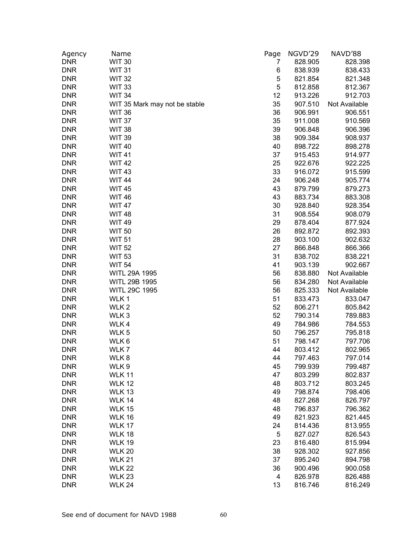| Agency     | Name                           | Page                    | NGVD'29 | NAVD'88       |
|------------|--------------------------------|-------------------------|---------|---------------|
| <b>DNR</b> | <b>WIT 30</b>                  | 7                       | 828.905 | 828.398       |
| <b>DNR</b> | <b>WIT 31</b>                  | 6                       | 838.939 | 838.433       |
| <b>DNR</b> | <b>WIT 32</b>                  | 5                       | 821.854 | 821.348       |
| <b>DNR</b> | <b>WIT 33</b>                  | $\mathbf 5$             | 812.858 | 812.367       |
| <b>DNR</b> | <b>WIT 34</b>                  | 12                      | 913.226 | 912.703       |
| <b>DNR</b> | WIT 35 Mark may not be stable  | 35                      | 907.510 | Not Available |
| <b>DNR</b> | <b>WIT 36</b>                  | 36                      | 906.991 | 906.551       |
| <b>DNR</b> | <b>WIT 37</b>                  | 35                      | 911.008 | 910.569       |
| <b>DNR</b> | <b>WIT 38</b>                  | 39                      | 906.848 | 906.396       |
| <b>DNR</b> | <b>WIT 39</b>                  | 38                      | 909.384 | 908.937       |
| <b>DNR</b> | <b>WIT 40</b>                  | 40                      | 898.722 | 898.278       |
| <b>DNR</b> | <b>WIT41</b>                   | 37                      | 915.453 | 914.977       |
| <b>DNR</b> | <b>WIT42</b>                   | 25                      | 922.676 | 922.225       |
| <b>DNR</b> | <b>WIT43</b>                   | 33                      | 916.072 | 915.599       |
| <b>DNR</b> | <b>WIT 44</b>                  | 24                      | 906.248 | 905.774       |
| <b>DNR</b> | <b>WIT45</b>                   | 43                      | 879.799 | 879.273       |
| <b>DNR</b> | <b>WIT 46</b>                  | 43                      | 883.734 | 883.308       |
| <b>DNR</b> | <b>WIT 47</b>                  | 30                      | 928.840 | 928.354       |
| <b>DNR</b> | <b>WIT 48</b>                  | 31                      | 908.554 | 908.079       |
| <b>DNR</b> | <b>WIT 49</b>                  | 29                      | 878.404 | 877.924       |
| <b>DNR</b> | <b>WIT 50</b>                  | 26                      | 892.872 | 892.393       |
| <b>DNR</b> | <b>WIT 51</b>                  | 28                      | 903.100 | 902.632       |
| <b>DNR</b> | <b>WIT 52</b>                  | 27                      | 866.848 | 866.366       |
| <b>DNR</b> | <b>WIT 53</b>                  | 31                      | 838.702 | 838.221       |
| <b>DNR</b> | <b>WIT 54</b>                  | 41                      | 903.139 | 902.667       |
| <b>DNR</b> | WITL 29A 1995                  | 56                      | 838.880 | Not Available |
| <b>DNR</b> | WITL 29B 1995                  | 56                      | 834.280 | Not Available |
| <b>DNR</b> | WITL 29C 1995                  | 56                      | 825.333 | Not Available |
| <b>DNR</b> | WLK1                           | 51                      | 833.473 | 833.047       |
| <b>DNR</b> | WLK <sub>2</sub>               | 52                      | 806.271 | 805.842       |
| <b>DNR</b> | WLK <sub>3</sub>               | 52                      | 790.314 | 789.883       |
| <b>DNR</b> | WLK4                           | 49                      | 784.986 | 784.553       |
| <b>DNR</b> | WLK <sub>5</sub>               | 50                      | 796.257 | 795.818       |
| <b>DNR</b> | WLK <sub>6</sub>               | 51                      | 798.147 | 797.706       |
| <b>DNR</b> | WLK7                           | 44                      | 803.412 | 802.965       |
| <b>DNR</b> | WLK8                           | 44                      | 797.463 | 797.014       |
| <b>DNR</b> | WLK <sub>9</sub>               | 45                      | 799.939 | 799.487       |
| <b>DNR</b> | <b>WLK 11</b>                  | 47                      | 803.299 | 802.837       |
| <b>DNR</b> | <b>WLK 12</b>                  | 48                      | 803.712 | 803.245       |
| <b>DNR</b> | <b>WLK 13</b>                  | 49                      | 798.874 | 798.406       |
| <b>DNR</b> | <b>WLK 14</b>                  | 48                      | 827.268 | 826.797       |
| <b>DNR</b> | <b>WLK 15</b>                  | 48                      |         | 796.362       |
| <b>DNR</b> |                                | 49                      | 796.837 | 821.445       |
|            | <b>WLK 16</b>                  |                         | 821.923 |               |
| <b>DNR</b> | <b>WLK 17</b><br><b>WLK 18</b> | 24                      | 814.436 | 813.955       |
| <b>DNR</b> |                                | $\sqrt{5}$              | 827.027 | 826.543       |
| <b>DNR</b> | <b>WLK 19</b>                  | 23                      | 816.480 | 815.994       |
| <b>DNR</b> | <b>WLK 20</b>                  | 38                      | 928.302 | 927.856       |
| <b>DNR</b> | <b>WLK 21</b>                  | 37                      | 895.240 | 894.798       |
| <b>DNR</b> | <b>WLK 22</b>                  | 36                      | 900.496 | 900.058       |
| <b>DNR</b> | <b>WLK 23</b>                  | $\overline{\mathbf{4}}$ | 826.978 | 826.488       |
| <b>DNR</b> | <b>WLK 24</b>                  | 13                      | 816.746 | 816.249       |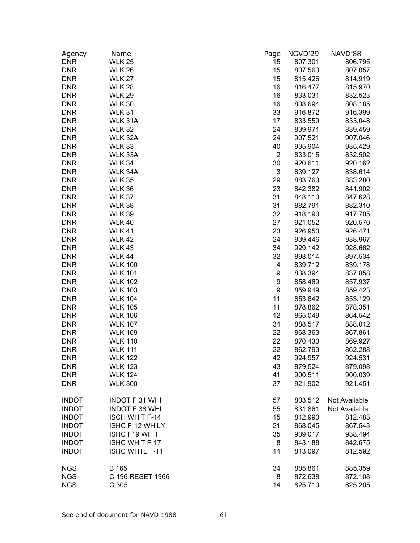| Agency       | Name                             | Page                      | NGVD'29            | NAVD'88            |
|--------------|----------------------------------|---------------------------|--------------------|--------------------|
| <b>DNR</b>   | <b>WLK 25</b>                    | 15                        | 807.301            | 806.795            |
| <b>DNR</b>   | <b>WLK 26</b>                    | 15                        | 807.563            | 807.057            |
| <b>DNR</b>   | <b>WLK 27</b>                    | 15                        | 815.426            | 814.919            |
| <b>DNR</b>   | <b>WLK 28</b>                    | 16                        | 816.477            | 815.970            |
| <b>DNR</b>   | <b>WLK 29</b>                    | 16                        | 833.031            | 832.523            |
| <b>DNR</b>   | <b>WLK 30</b>                    | 16                        | 808.694            | 808.185            |
| <b>DNR</b>   | <b>WLK 31</b>                    | 33                        | 916.872            | 916.399            |
| <b>DNR</b>   | WLK 31A                          | 17                        | 833.559            | 833.048            |
| <b>DNR</b>   | <b>WLK 32</b>                    | 24                        | 839.971            | 839.459            |
| <b>DNR</b>   | WLK 32A                          | 24                        | 907.521            | 907.046            |
| <b>DNR</b>   | <b>WLK33</b>                     | 40                        | 935.904            | 935.429            |
| <b>DNR</b>   | WLK 33A                          | $\overline{2}$            | 833.015            | 832.502            |
| <b>DNR</b>   | WLK 34                           | 30                        | 920.611            | 920.162            |
| <b>DNR</b>   | WLK 34A                          | $\ensuremath{\mathsf{3}}$ | 839.127            | 838.614            |
| <b>DNR</b>   | <b>WLK 35</b>                    | 29                        | 883.760            | 883.280            |
| <b>DNR</b>   | <b>WLK 36</b>                    | 23                        | 842.382            | 841.902            |
| <b>DNR</b>   | <b>WLK 37</b>                    | 31                        | 848.110            | 847.628            |
| <b>DNR</b>   | <b>WLK 38</b>                    | 31                        | 882.791            | 882.310            |
| <b>DNR</b>   | <b>WLK 39</b>                    | 32                        | 918.190            | 917.705            |
| <b>DNR</b>   | <b>WLK 40</b>                    | 27                        | 921.052            | 920.570            |
| <b>DNR</b>   | <b>WLK 41</b>                    | 23                        | 926.950            | 926.471            |
| <b>DNR</b>   | <b>WLK 42</b>                    | 24                        | 939.446            | 938.967            |
| <b>DNR</b>   | <b>WLK43</b>                     | 34                        | 929.142            | 928.662            |
| <b>DNR</b>   | <b>WLK 44</b>                    | 32                        | 898.014            | 897.534            |
| <b>DNR</b>   | <b>WLK 100</b>                   | 4                         | 839.712            | 839.178            |
| <b>DNR</b>   | <b>WLK 101</b>                   | 9                         | 838.394            | 837.858            |
| <b>DNR</b>   | <b>WLK 102</b>                   | 9                         | 858.469            | 857.937            |
| <b>DNR</b>   | <b>WLK 103</b>                   | 9                         | 859.949            | 859.423            |
| <b>DNR</b>   | <b>WLK 104</b>                   | 11                        | 853.642            | 853.129            |
| <b>DNR</b>   | <b>WLK 105</b>                   | 11                        | 878.862            | 878.351            |
| <b>DNR</b>   | <b>WLK 106</b>                   | 12                        | 865.049            | 864.542            |
| <b>DNR</b>   | <b>WLK 107</b>                   | 34                        | 888.517            | 888.012            |
| <b>DNR</b>   | <b>WLK 109</b>                   | 22                        | 868.363            | 867.861            |
| <b>DNR</b>   |                                  | 22                        |                    | 869.927            |
|              | <b>WLK 110</b><br><b>WLK 111</b> | 22                        | 870.430<br>862.793 | 862.288            |
| <b>DNR</b>   | <b>WLK 122</b>                   | 42                        |                    |                    |
| <b>DNR</b>   |                                  |                           | 924.957            | 924.531<br>879.098 |
| <b>DNR</b>   | <b>WLK 123</b>                   | 43                        | 879.524            |                    |
| <b>DNR</b>   | <b>WLK 124</b>                   | 41                        | 900.511            | 900.039            |
| <b>DNR</b>   | <b>WLK 300</b>                   | 37                        | 921.902            | 921.451            |
| <b>INDOT</b> | <b>INDOT F 31 WHI</b>            | 57                        | 803.512            | Not Available      |
| <b>INDOT</b> | <b>INDOT F 38 WHI</b>            | 55                        | 831.861            | Not Available      |
| <b>INDOT</b> | <b>ISCH WHIT F-14</b>            | 15                        | 812.990            | 812.483            |
| <b>INDOT</b> | ISHC F-12 WHILY                  | 21                        | 868.045            | 867.543            |
| <b>INDOT</b> | ISHC F19 WHIT                    | 35                        | 939.017            | 938.494            |
| <b>INDOT</b> | ISHC WHIT F-17                   | 8                         | 843.188            | 842.675            |
| <b>INDOT</b> | <b>ISHC WHTL F-11</b>            | 14                        | 813.097            | 812.592            |
| <b>NGS</b>   | B 165                            | 34                        | 885.861            | 885.359            |
| <b>NGS</b>   | C 196 RESET 1966                 | 8                         | 872.638            | 872.108            |
| <b>NGS</b>   | C 305                            | 14                        | 825.710            | 825.205            |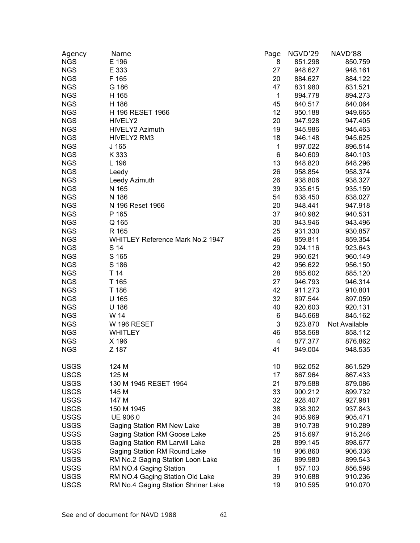| Agency      | Name                                | Page | NGVD'29 | NAVD'88       |
|-------------|-------------------------------------|------|---------|---------------|
| <b>NGS</b>  | E 196                               | 8    | 851.298 | 850.759       |
| <b>NGS</b>  | E 333                               | 27   | 948.627 | 948.161       |
| <b>NGS</b>  | F 165                               | 20   | 884.627 | 884.122       |
| <b>NGS</b>  | G 186                               | 47   | 831.980 | 831.521       |
| <b>NGS</b>  | H 165                               | 1    | 894.778 | 894.273       |
| <b>NGS</b>  | H 186                               | 45   | 840.517 | 840.064       |
| <b>NGS</b>  | H 196 RESET 1966                    | 12   | 950.188 | 949.665       |
| <b>NGS</b>  | HIVELY2                             | 20   | 947.928 | 947.405       |
| <b>NGS</b>  | HIVELY2 Azimuth                     | 19   | 945.986 | 945.463       |
| <b>NGS</b>  | HIVELY2 RM3                         | 18   | 946.148 | 945.625       |
| <b>NGS</b>  | J <sub>165</sub>                    | 1    | 897.022 | 896.514       |
| <b>NGS</b>  | K 333                               | 6    | 840.609 | 840.103       |
| <b>NGS</b>  | L 196                               | 13   | 848.820 | 848.296       |
| <b>NGS</b>  | Leedy                               | 26   | 958.854 | 958.374       |
| <b>NGS</b>  | Leedy Azimuth                       | 26   | 938.806 | 938.327       |
| <b>NGS</b>  | N 165                               | 39   | 935.615 | 935.159       |
| <b>NGS</b>  | N 186                               | 54   | 838.450 | 838.027       |
| <b>NGS</b>  | N 196 Reset 1966                    | 20   | 948.441 | 947.918       |
| <b>NGS</b>  | P 165                               | 37   | 940.982 | 940.531       |
| <b>NGS</b>  | Q 165                               | 30   | 943.946 | 943.496       |
| <b>NGS</b>  | R 165                               | 25   | 931.330 | 930.857       |
| <b>NGS</b>  | WHITLEY Reference Mark No.2 1947    | 46   | 859.811 | 859.354       |
| <b>NGS</b>  | S 14                                | 29   | 924.116 | 923.643       |
| <b>NGS</b>  | S 165                               | 29   | 960.621 | 960.149       |
| <b>NGS</b>  | S 186                               | 42   | 956.622 | 956.150       |
| <b>NGS</b>  | T 14                                | 28   | 885.602 | 885.120       |
| <b>NGS</b>  | T 165                               | 27   | 946.793 | 946.314       |
| <b>NGS</b>  | T 186                               | 42   | 911.273 | 910.801       |
| <b>NGS</b>  | U 165                               | 32   | 897.544 | 897.059       |
| <b>NGS</b>  | U 186                               | 40   | 920.603 | 920.131       |
| <b>NGS</b>  | W 14                                | 6    | 845.668 | 845.162       |
| <b>NGS</b>  | W 196 RESET                         | 3    | 823.870 | Not Available |
| <b>NGS</b>  | <b>WHITLEY</b>                      | 46   | 858.568 | 858.112       |
| <b>NGS</b>  | X 196                               | 4    | 877.377 | 876.862       |
| <b>NGS</b>  | Z 187                               | 41   | 949.004 | 948.535       |
|             |                                     |      |         |               |
| <b>USGS</b> | 124 M                               | 10   | 862.052 | 861.529       |
| <b>USGS</b> | 125 M                               | 17   | 867.964 | 867.433       |
| <b>USGS</b> | 130 M 1945 RESET 1954               | 21   | 879.588 | 879.086       |
| <b>USGS</b> | 145 M                               | 33   | 900.212 | 899.732       |
| <b>USGS</b> | 147 M                               | 32   | 928.407 | 927.981       |
| <b>USGS</b> | 150 M 1945                          | 38   | 938.302 | 937.843       |
| <b>USGS</b> | UE 906.0                            | 34   | 905.969 | 905.471       |
| <b>USGS</b> | Gaging Station RM New Lake          | 38   | 910.738 | 910.289       |
| <b>USGS</b> | Gaging Station RM Goose Lake        | 25   | 915.697 | 915.246       |
| <b>USGS</b> | Gaging Station RM Larwill Lake      | 28   | 899.145 | 898.677       |
| <b>USGS</b> | Gaging Station RM Round Lake        | 18   | 906.860 | 906.336       |
| <b>USGS</b> | RM No.2 Gaging Station Loon Lake    | 36   | 899.980 | 899.543       |
| <b>USGS</b> | RM NO.4 Gaging Station              | 1    | 857.103 | 856.598       |
| <b>USGS</b> | RM NO.4 Gaging Station Old Lake     | 39   | 910.688 | 910.236       |
| <b>USGS</b> | RM No.4 Gaging Station Shriner Lake | 19   | 910.595 | 910.070       |